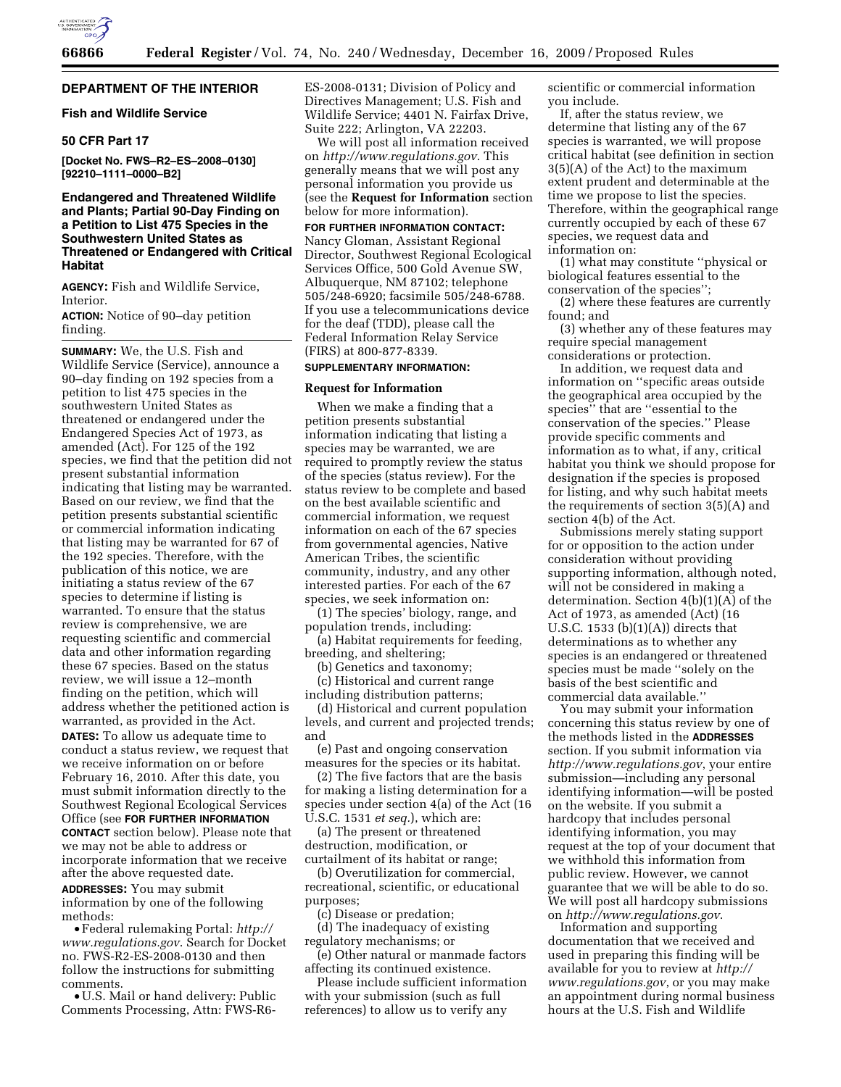# **DEPARTMENT OF THE INTERIOR**

### **Fish and Wildlife Service**

# **50 CFR Part 17**

**[Docket No. FWS–R2–ES–2008–0130] [92210–1111–0000–B2]** 

# **Endangered and Threatened Wildlife and Plants; Partial 90-Day Finding on a Petition to List 475 Species in the Southwestern United States as Threatened or Endangered with Critical Habitat**

**AGENCY:** Fish and Wildlife Service, Interior.

**ACTION:** Notice of 90–day petition finding.

**SUMMARY:** We, the U.S. Fish and Wildlife Service (Service), announce a 90–day finding on 192 species from a petition to list 475 species in the southwestern United States as threatened or endangered under the Endangered Species Act of 1973, as amended (Act). For 125 of the 192 species, we find that the petition did not present substantial information indicating that listing may be warranted. Based on our review, we find that the petition presents substantial scientific or commercial information indicating that listing may be warranted for 67 of the 192 species. Therefore, with the publication of this notice, we are initiating a status review of the 67 species to determine if listing is warranted. To ensure that the status review is comprehensive, we are requesting scientific and commercial data and other information regarding these 67 species. Based on the status review, we will issue a 12–month finding on the petition, which will address whether the petitioned action is warranted, as provided in the Act. **DATES:** To allow us adequate time to

conduct a status review, we request that we receive information on or before February 16, 2010. After this date, you must submit information directly to the Southwest Regional Ecological Services Office (see **FOR FURTHER INFORMATION CONTACT** section below). Please note that we may not be able to address or incorporate information that we receive

after the above requested date. **ADDRESSES:** You may submit information by one of the following methods:

• Federal rulemaking Portal: *http:// www.regulations.gov*. Search for Docket no. FWS-R2-ES-2008-0130 and then follow the instructions for submitting comments.

• U.S. Mail or hand delivery: Public Comments Processing, Attn: FWS-R6ES-2008-0131; Division of Policy and Directives Management; U.S. Fish and Wildlife Service; 4401 N. Fairfax Drive, Suite 222; Arlington, VA 22203.

We will post all information received on *http://www.regulations.gov*. This generally means that we will post any personal information you provide us (see the **Request for Information** section below for more information).

**FOR FURTHER INFORMATION CONTACT:**  Nancy Gloman, Assistant Regional Director, Southwest Regional Ecological Services Office, 500 Gold Avenue SW, Albuquerque, NM 87102; telephone 505/248-6920; facsimile 505/248-6788. If you use a telecommunications device for the deaf (TDD), please call the Federal Information Relay Service (FIRS) at 800-877-8339.

# **SUPPLEMENTARY INFORMATION:**

### **Request for Information**

When we make a finding that a petition presents substantial information indicating that listing a species may be warranted, we are required to promptly review the status of the species (status review). For the status review to be complete and based on the best available scientific and commercial information, we request information on each of the 67 species from governmental agencies, Native American Tribes, the scientific community, industry, and any other interested parties. For each of the 67 species, we seek information on:

(1) The species' biology, range, and population trends, including:

(a) Habitat requirements for feeding, breeding, and sheltering;

(b) Genetics and taxonomy;

(c) Historical and current range including distribution patterns;

(d) Historical and current population levels, and current and projected trends; and

(e) Past and ongoing conservation measures for the species or its habitat.

(2) The five factors that are the basis for making a listing determination for a species under section 4(a) of the Act (16 U.S.C. 1531 *et seq.*), which are:

(a) The present or threatened destruction, modification, or curtailment of its habitat or range;

(b) Overutilization for commercial, recreational, scientific, or educational purposes;

(c) Disease or predation;

(d) The inadequacy of existing regulatory mechanisms; or

(e) Other natural or manmade factors affecting its continued existence.

Please include sufficient information with your submission (such as full references) to allow us to verify any

scientific or commercial information you include.

If, after the status review, we determine that listing any of the 67 species is warranted, we will propose critical habitat (see definition in section 3(5)(A) of the Act) to the maximum extent prudent and determinable at the time we propose to list the species. Therefore, within the geographical range currently occupied by each of these 67 species, we request data and information on:

(1) what may constitute ''physical or biological features essential to the conservation of the species'';

(2) where these features are currently found; and

(3) whether any of these features may require special management considerations or protection.

In addition, we request data and information on ''specific areas outside the geographical area occupied by the species'' that are ''essential to the conservation of the species.'' Please provide specific comments and information as to what, if any, critical habitat you think we should propose for designation if the species is proposed for listing, and why such habitat meets the requirements of section 3(5)(A) and section 4(b) of the Act.

Submissions merely stating support for or opposition to the action under consideration without providing supporting information, although noted, will not be considered in making a determination. Section 4(b)(1)(A) of the Act of 1973, as amended (Act) (16 U.S.C. 1533  $(b)(1)(A))$  directs that determinations as to whether any species is an endangered or threatened species must be made ''solely on the basis of the best scientific and commercial data available.''

You may submit your information concerning this status review by one of the methods listed in the **ADDRESSES** section. If you submit information via *http://www.regulations.gov*, your entire submission—including any personal identifying information—will be posted on the website. If you submit a hardcopy that includes personal identifying information, you may request at the top of your document that we withhold this information from public review. However, we cannot guarantee that we will be able to do so. We will post all hardcopy submissions on *http://www.regulations.gov*.

Information and supporting documentation that we received and used in preparing this finding will be available for you to review at *http:// www.regulations.gov*, or you may make an appointment during normal business hours at the U.S. Fish and Wildlife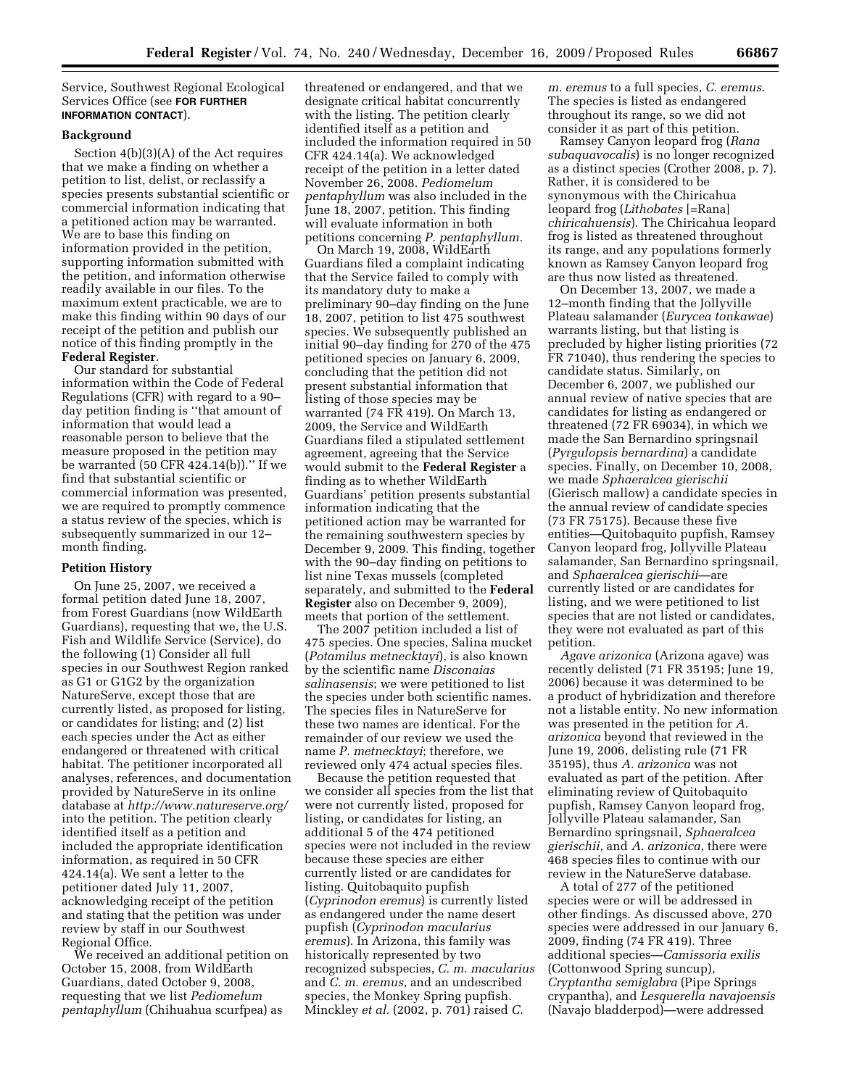Service, Southwest Regional Ecological Services Office (see **FOR FURTHER INFORMATION CONTACT**).

# **Background**

Section 4(b)(3)(A) of the Act requires that we make a finding on whether a petition to list, delist, or reclassify a species presents substantial scientific or commercial information indicating that a petitioned action may be warranted. We are to base this finding on information provided in the petition, supporting information submitted with the petition, and information otherwise readily available in our files. To the maximum extent practicable, we are to make this finding within 90 days of our receipt of the petition and publish our notice of this finding promptly in the **Federal Register**.

Our standard for substantial information within the Code of Federal Regulations (CFR) with regard to a 90– day petition finding is ''that amount of information that would lead a reasonable person to believe that the measure proposed in the petition may be warranted (50 CFR 424.14(b)).'' If we find that substantial scientific or commercial information was presented, we are required to promptly commence a status review of the species, which is subsequently summarized in our 12– month finding.

#### **Petition History**

On June 25, 2007, we received a formal petition dated June 18, 2007, from Forest Guardians (now WildEarth Guardians), requesting that we, the U.S. Fish and Wildlife Service (Service), do the following (1) Consider all full species in our Southwest Region ranked as G1 or G1G2 by the organization NatureServe, except those that are currently listed, as proposed for listing, or candidates for listing; and (2) list each species under the Act as either endangered or threatened with critical habitat. The petitioner incorporated all analyses, references, and documentation provided by NatureServe in its online database at *http://www.natureserve.org/*  into the petition. The petition clearly identified itself as a petition and included the appropriate identification information, as required in 50 CFR 424.14(a). We sent a letter to the petitioner dated July 11, 2007, acknowledging receipt of the petition and stating that the petition was under review by staff in our Southwest Regional Office.

We received an additional petition on October 15, 2008, from WildEarth Guardians, dated October 9, 2008, requesting that we list *Pediomelum pentaphyllum* (Chihuahua scurfpea) as

threatened or endangered, and that we designate critical habitat concurrently with the listing. The petition clearly identified itself as a petition and included the information required in 50 CFR 424.14(a). We acknowledged receipt of the petition in a letter dated November 26, 2008. *Pediomelum pentaphyllum* was also included in the June 18, 2007, petition. This finding will evaluate information in both petitions concerning *P. pentaphyllum.* 

On March 19, 2008, WildEarth Guardians filed a complaint indicating that the Service failed to comply with its mandatory duty to make a preliminary 90–day finding on the June 18, 2007, petition to list 475 southwest species. We subsequently published an initial 90–day finding for 270 of the 475 petitioned species on January 6, 2009, concluding that the petition did not present substantial information that listing of those species may be warranted (74 FR 419). On March 13, 2009, the Service and WildEarth Guardians filed a stipulated settlement agreement, agreeing that the Service would submit to the **Federal Register** a finding as to whether WildEarth Guardians' petition presents substantial information indicating that the petitioned action may be warranted for the remaining southwestern species by December 9, 2009. This finding, together with the 90–day finding on petitions to list nine Texas mussels (completed separately, and submitted to the **Federal Register** also on December 9, 2009), meets that portion of the settlement.

The 2007 petition included a list of 475 species. One species, Salina mucket (*Potamilus metnecktayi*), is also known by the scientific name *Disconaias salinasensis*; we were petitioned to list the species under both scientific names. The species files in NatureServe for these two names are identical. For the remainder of our review we used the name *P. metnecktayi*; therefore, we reviewed only 474 actual species files.

Because the petition requested that we consider all species from the list that were not currently listed, proposed for listing, or candidates for listing, an additional 5 of the 474 petitioned species were not included in the review because these species are either currently listed or are candidates for listing. Quitobaquito pupfish (*Cyprinodon eremus*) is currently listed as endangered under the name desert pupfish (*Cyprinodon macularius eremus*). In Arizona, this family was historically represented by two recognized subspecies, *C. m. macularius*  and *C. m. eremus*, and an undescribed species, the Monkey Spring pupfish. Minckley *et al.* (2002, p. 701) raised *C.* 

*m. eremus* to a full species, *C. eremus*. The species is listed as endangered throughout its range, so we did not consider it as part of this petition.

Ramsey Canyon leopard frog (*Rana subaquavocalis*) is no longer recognized as a distinct species (Crother 2008, p. 7). Rather, it is considered to be synonymous with the Chiricahua leopard frog (*Lithobates* [=Rana] *chiricahuensis*). The Chiricahua leopard frog is listed as threatened throughout its range, and any populations formerly known as Ramsey Canyon leopard frog are thus now listed as threatened.

On December 13, 2007, we made a 12–month finding that the Jollyville Plateau salamander (*Eurycea tonkawae*) warrants listing, but that listing is precluded by higher listing priorities (72 FR 71040), thus rendering the species to candidate status. Similarly, on December 6, 2007, we published our annual review of native species that are candidates for listing as endangered or threatened (72 FR 69034), in which we made the San Bernardino springsnail (*Pyrgulopsis bernardina*) a candidate species. Finally, on December 10, 2008, we made *Sphaeralcea gierischii*  (Gierisch mallow) a candidate species in the annual review of candidate species (73 FR 75175). Because these five entities—Quitobaquito pupfish, Ramsey Canyon leopard frog, Jollyville Plateau salamander, San Bernardino springsnail, and *Sphaeralcea gierischii*—are currently listed or are candidates for listing, and we were petitioned to list species that are not listed or candidates, they were not evaluated as part of this petition.

*Agave arizonica* (Arizona agave) was recently delisted (71 FR 35195; June 19, 2006) because it was determined to be a product of hybridization and therefore not a listable entity. No new information was presented in the petition for *A. arizonica* beyond that reviewed in the June 19, 2006, delisting rule (71 FR 35195), thus *A. arizonica* was not evaluated as part of the petition. After eliminating review of Quitobaquito pupfish, Ramsey Canyon leopard frog, Jollyville Plateau salamander, San Bernardino springsnail, *Sphaeralcea gierischii,* and *A. arizonica*, there were 468 species files to continue with our review in the NatureServe database.

A total of 277 of the petitioned species were or will be addressed in other findings. As discussed above, 270 species were addressed in our January 6, 2009, finding (74 FR 419). Three additional species—*Camissoria exilis*  (Cottonwood Spring suncup), *Cryptantha semiglabra* (Pipe Springs crypantha), and *Lesquerella navajoensis*  (Navajo bladderpod)—were addressed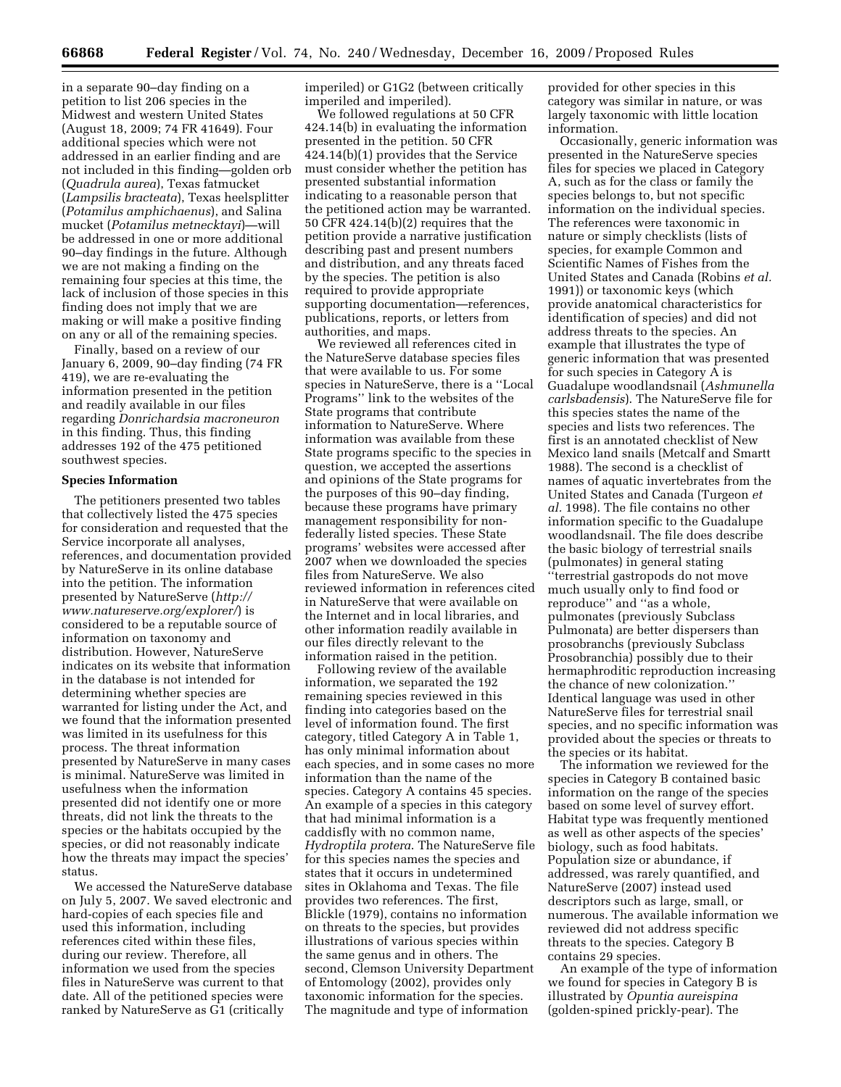in a separate 90–day finding on a petition to list 206 species in the Midwest and western United States (August 18, 2009; 74 FR 41649). Four additional species which were not addressed in an earlier finding and are not included in this finding—golden orb (*Quadrula aurea*), Texas fatmucket (*Lampsilis bracteata*), Texas heelsplitter (*Potamilus amphichaenus*), and Salina mucket (*Potamilus metnecktayi*)—will be addressed in one or more additional 90–day findings in the future. Although we are not making a finding on the remaining four species at this time, the lack of inclusion of those species in this finding does not imply that we are making or will make a positive finding on any or all of the remaining species.

Finally, based on a review of our January 6, 2009, 90–day finding (74 FR 419), we are re-evaluating the information presented in the petition and readily available in our files regarding *Donrichardsia macroneuron*  in this finding. Thus, this finding addresses 192 of the 475 petitioned southwest species.

### **Species Information**

The petitioners presented two tables that collectively listed the 475 species for consideration and requested that the Service incorporate all analyses, references, and documentation provided by NatureServe in its online database into the petition. The information presented by NatureServe (*http:// www.natureserve.org/explorer/*) is considered to be a reputable source of information on taxonomy and distribution. However, NatureServe indicates on its website that information in the database is not intended for determining whether species are warranted for listing under the Act, and we found that the information presented was limited in its usefulness for this process. The threat information presented by NatureServe in many cases is minimal. NatureServe was limited in usefulness when the information presented did not identify one or more threats, did not link the threats to the species or the habitats occupied by the species, or did not reasonably indicate how the threats may impact the species' status.

We accessed the NatureServe database on July 5, 2007. We saved electronic and hard-copies of each species file and used this information, including references cited within these files, during our review. Therefore, all information we used from the species files in NatureServe was current to that date. All of the petitioned species were ranked by NatureServe as G1 (critically

imperiled) or G1G2 (between critically imperiled and imperiled).

We followed regulations at 50 CFR 424.14(b) in evaluating the information presented in the petition. 50 CFR 424.14(b)(1) provides that the Service must consider whether the petition has presented substantial information indicating to a reasonable person that the petitioned action may be warranted. 50 CFR 424.14(b)(2) requires that the petition provide a narrative justification describing past and present numbers and distribution, and any threats faced by the species. The petition is also required to provide appropriate supporting documentation—references, publications, reports, or letters from authorities, and maps.

We reviewed all references cited in the NatureServe database species files that were available to us. For some species in NatureServe, there is a ''Local Programs'' link to the websites of the State programs that contribute information to NatureServe. Where information was available from these State programs specific to the species in question, we accepted the assertions and opinions of the State programs for the purposes of this 90–day finding, because these programs have primary management responsibility for nonfederally listed species. These State programs' websites were accessed after 2007 when we downloaded the species files from NatureServe. We also reviewed information in references cited in NatureServe that were available on the Internet and in local libraries, and other information readily available in our files directly relevant to the information raised in the petition.

Following review of the available information, we separated the 192 remaining species reviewed in this finding into categories based on the level of information found. The first category, titled Category A in Table 1, has only minimal information about each species, and in some cases no more information than the name of the species. Category A contains 45 species. An example of a species in this category that had minimal information is a caddisfly with no common name, *Hydroptila protera*. The NatureServe file for this species names the species and states that it occurs in undetermined sites in Oklahoma and Texas. The file provides two references. The first, Blickle (1979), contains no information on threats to the species, but provides illustrations of various species within the same genus and in others. The second, Clemson University Department of Entomology (2002), provides only taxonomic information for the species. The magnitude and type of information

provided for other species in this category was similar in nature, or was largely taxonomic with little location information.

Occasionally, generic information was presented in the NatureServe species files for species we placed in Category A, such as for the class or family the species belongs to, but not specific information on the individual species. The references were taxonomic in nature or simply checklists (lists of species, for example Common and Scientific Names of Fishes from the United States and Canada (Robins *et al.*  1991)) or taxonomic keys (which provide anatomical characteristics for identification of species) and did not address threats to the species. An example that illustrates the type of generic information that was presented for such species in Category A is Guadalupe woodlandsnail (*Ashmunella carlsbadensis*). The NatureServe file for this species states the name of the species and lists two references. The first is an annotated checklist of New Mexico land snails (Metcalf and Smartt 1988). The second is a checklist of names of aquatic invertebrates from the United States and Canada (Turgeon *et al.* 1998). The file contains no other information specific to the Guadalupe woodlandsnail. The file does describe the basic biology of terrestrial snails (pulmonates) in general stating ''terrestrial gastropods do not move much usually only to find food or reproduce'' and ''as a whole, pulmonates (previously Subclass Pulmonata) are better dispersers than prosobranchs (previously Subclass Prosobranchia) possibly due to their hermaphroditic reproduction increasing the chance of new colonization.'' Identical language was used in other NatureServe files for terrestrial snail species, and no specific information was provided about the species or threats to the species or its habitat.

The information we reviewed for the species in Category B contained basic information on the range of the species based on some level of survey effort. Habitat type was frequently mentioned as well as other aspects of the species' biology, such as food habitats. Population size or abundance, if addressed, was rarely quantified, and NatureServe (2007) instead used descriptors such as large, small, or numerous. The available information we reviewed did not address specific threats to the species. Category B contains 29 species.

An example of the type of information we found for species in Category B is illustrated by *Opuntia aureispina*  (golden-spined prickly-pear). The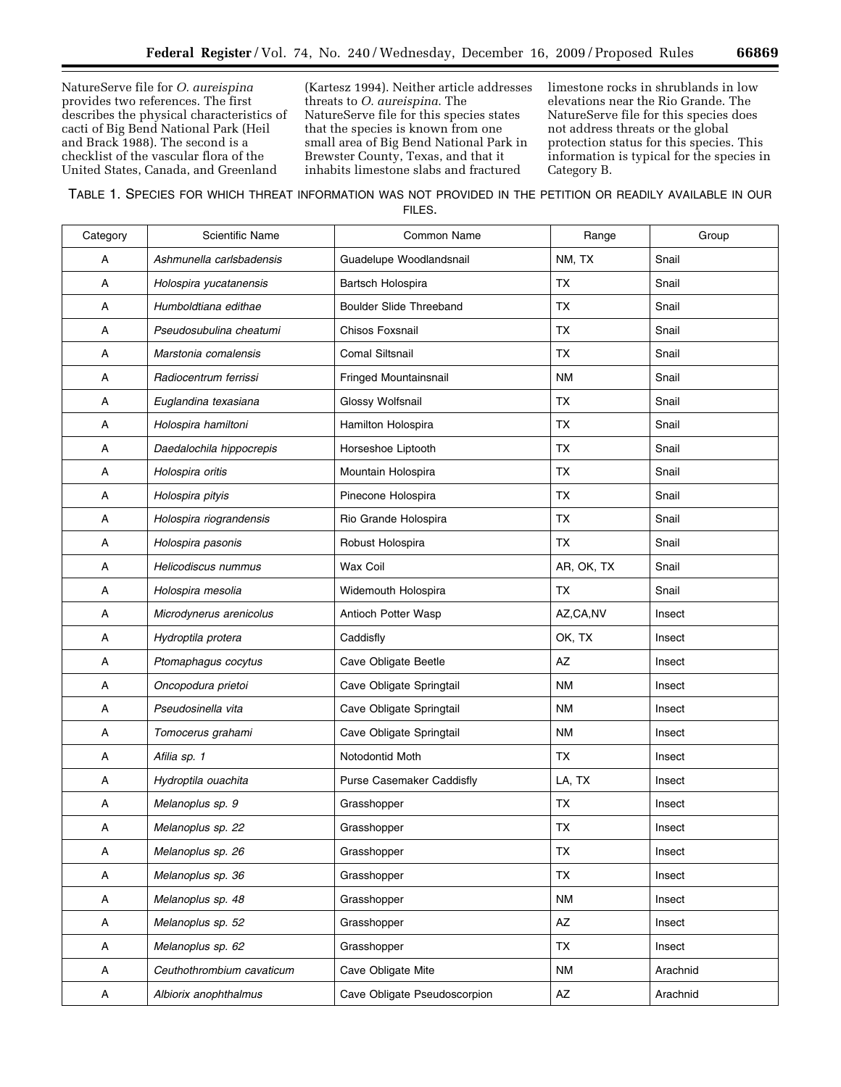NatureServe file for *O. aureispina*  provides two references. The first describes the physical characteristics of cacti of Big Bend National Park (Heil and Brack 1988). The second is a checklist of the vascular flora of the United States, Canada, and Greenland

(Kartesz 1994). Neither article addresses threats to *O. aureispina*. The NatureServe file for this species states that the species is known from one small area of Big Bend National Park in Brewster County, Texas, and that it inhabits limestone slabs and fractured

limestone rocks in shrublands in low elevations near the Rio Grande. The NatureServe file for this species does not address threats or the global protection status for this species. This information is typical for the species in Category B.

TABLE 1. SPECIES FOR WHICH THREAT INFORMATION WAS NOT PROVIDED IN THE PETITION OR READILY AVAILABLE IN OUR FILES.

| Category | <b>Scientific Name</b>    | Common Name                      | Range                  | Group    |
|----------|---------------------------|----------------------------------|------------------------|----------|
| A        | Ashmunella carlsbadensis  | Guadelupe Woodlandsnail          | NM, TX                 | Snail    |
| А        | Holospira yucatanensis    | Bartsch Holospira                | ТX                     | Snail    |
| А        | Humboldtiana edithae      | <b>Boulder Slide Threeband</b>   | <b>TX</b>              | Snail    |
| А        | Pseudosubulina cheatumi   | Chisos Foxsnail                  | ТX                     | Snail    |
| Α        | Marstonia comalensis      | <b>Comal Siltsnail</b>           | ТX                     | Snail    |
| А        | Radiocentrum ferrissi     | Fringed Mountainsnail            | ΝM                     | Snail    |
| А        | Euglandina texasiana      | Glossy Wolfsnail                 | <b>TX</b>              | Snail    |
| Α        | Holospira hamiltoni       | Hamilton Holospira               | <b>TX</b>              | Snail    |
| А        | Daedalochila hippocrepis  | Horseshoe Liptooth               | ТX                     | Snail    |
| Α        | Holospira oritis          | Mountain Holospira               | ТX                     | Snail    |
| А        | Holospira pityis          | Pinecone Holospira               | ТX                     | Snail    |
| Α        | Holospira riograndensis   | Rio Grande Holospira             | ТX                     | Snail    |
| А        | Holospira pasonis         | Robust Holospira                 | TX                     | Snail    |
| А        | Helicodiscus nummus       | Wax Coil                         | AR, OK, TX             | Snail    |
| А        | Holospira mesolia         | Widemouth Holospira              | <b>TX</b>              | Snail    |
| Α        | Microdynerus arenicolus   | Antioch Potter Wasp              | AZ,CA,NV               | Insect   |
| А        | Hydroptila protera        | Caddisfly                        | OK, TX                 | Insect   |
| А        | Ptomaphagus cocytus       | Cave Obligate Beetle             | AZ                     | Insect   |
| А        | Oncopodura prietoi        | Cave Obligate Springtail         | ΝM                     | Insect   |
| Α        | Pseudosinella vita        | Cave Obligate Springtail         | ΝM                     | Insect   |
| Α        | Tomocerus grahami         | Cave Obligate Springtail         | ΝM                     | Insect   |
| А        | Afilia sp. 1              | Notodontid Moth                  | TX                     | Insect   |
| А        | Hydroptila ouachita       | <b>Purse Casemaker Caddisfly</b> | LA, TX                 | Insect   |
| А        | Melanoplus sp. 9          | Grasshopper                      | <b>TX</b>              | Insect   |
| А        | Melanoplus sp. 22         | Grasshopper                      | TX                     | Insect   |
| А        | Melanoplus sp. 26         | Grasshopper                      | <b>TX</b>              | Insect   |
| A        | Melanoplus sp. 36         | Grasshopper                      | TX                     | Insect   |
| A        | Melanoplus sp. 48         | Grasshopper                      | ΝM                     | Insect   |
| A        | Melanoplus sp. 52         | Grasshopper                      | AZ                     | Insect   |
| A        | Melanoplus sp. 62         | Grasshopper                      | TX                     | Insect   |
| A        | Ceuthothrombium cavaticum | Cave Obligate Mite               | <b>NM</b>              | Arachnid |
| A        | Albiorix anophthalmus     | Cave Obligate Pseudoscorpion     | $\mathsf{A}\mathsf{Z}$ | Arachnid |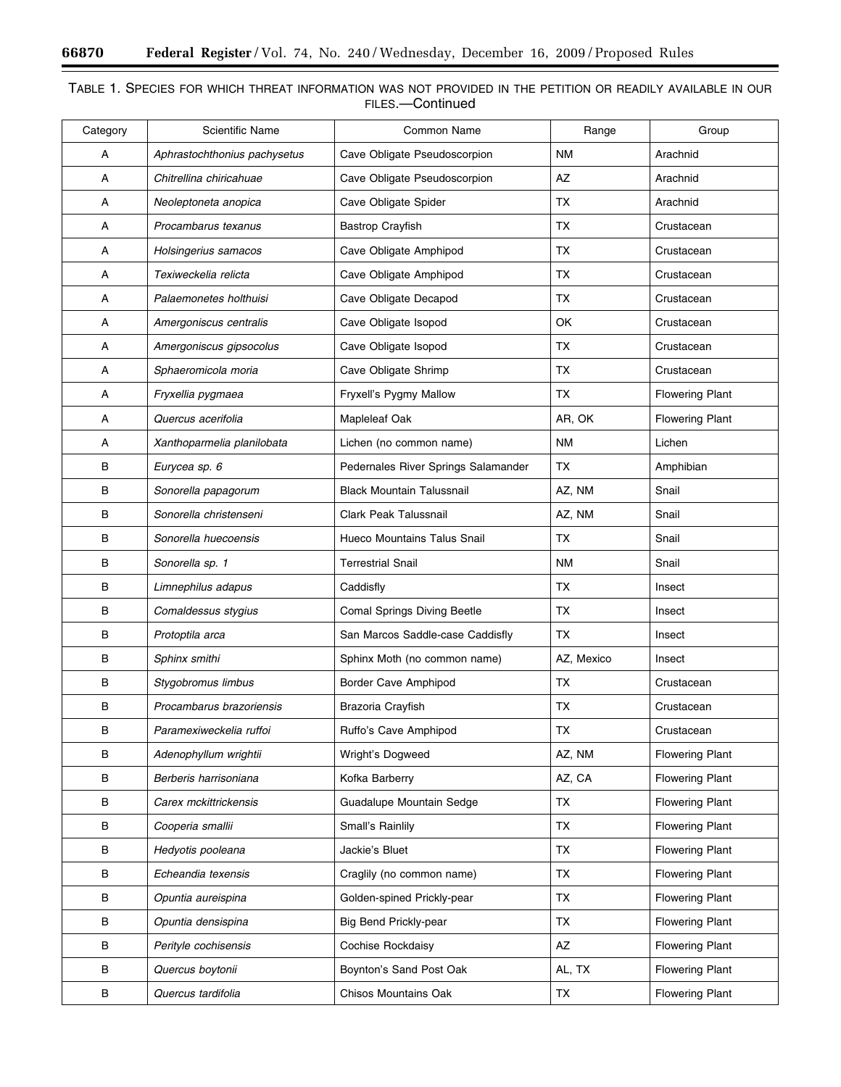$\equiv$ 

▀

| Category | <b>Scientific Name</b>       | Common Name                         | Range      | Group                  |
|----------|------------------------------|-------------------------------------|------------|------------------------|
| A        | Aphrastochthonius pachysetus | Cave Obligate Pseudoscorpion        | <b>NM</b>  | Arachnid               |
| Α        | Chitrellina chiricahuae      | Cave Obligate Pseudoscorpion        | AZ         | Arachnid               |
| А        | Neoleptoneta anopica         | Cave Obligate Spider                | TX         | Arachnid               |
| Α        | Procambarus texanus          | <b>Bastrop Crayfish</b>             | TX         | Crustacean             |
| Α        | Holsingerius samacos         | Cave Obligate Amphipod              | TX         | Crustacean             |
| А        | Texiweckelia relicta         | Cave Obligate Amphipod              | TX         | Crustacean             |
| А        | Palaemonetes holthuisi       | Cave Obligate Decapod               | TX         | Crustacean             |
| А        | Amergoniscus centralis       | Cave Obligate Isopod                | OK         | Crustacean             |
| А        | Amergoniscus gipsocolus      | Cave Obligate Isopod                | TX         | Crustacean             |
| А        | Sphaeromicola moria          | Cave Obligate Shrimp                | TX         | Crustacean             |
| А        | Fryxellia pygmaea            | Fryxell's Pygmy Mallow              | <b>TX</b>  | <b>Flowering Plant</b> |
| Α        | Quercus acerifolia           | Mapleleaf Oak                       | AR, OK     | <b>Flowering Plant</b> |
| А        | Xanthoparmelia planilobata   | Lichen (no common name)             | <b>NM</b>  | Lichen                 |
| B        | Eurycea sp. 6                | Pedernales River Springs Salamander | TX         | Amphibian              |
| в        | Sonorella papagorum          | <b>Black Mountain Talussnail</b>    | AZ, NM     | Snail                  |
| в        | Sonorella christenseni       | Clark Peak Talussnail               | AZ, NM     | Snail                  |
| в        | Sonorella huecoensis         | <b>Hueco Mountains Talus Snail</b>  | TX         | Snail                  |
| в        | Sonorella sp. 1              | <b>Terrestrial Snail</b>            | ΝM         | Snail                  |
| в        | Limnephilus adapus           | Caddisfly                           | ТX         | Insect                 |
| B        | Comaldessus stygius          | Comal Springs Diving Beetle         | TX         | Insect                 |
| в        | Protoptila arca              | San Marcos Saddle-case Caddisfly    | TX.        | Insect                 |
| В        | Sphinx smithi                | Sphinx Moth (no common name)        | AZ, Mexico | Insect                 |
| B        | Stygobromus limbus           | Border Cave Amphipod                | TX         | Crustacean             |
| в        | Procambarus brazoriensis     | Brazoria Crayfish                   | TX.        | Crustacean             |
| R        | Paramexiweckelia ruffoi      | Ruffo's Cave Amphipod               | <b>TX</b>  | Crustacean             |
| B        | Adenophyllum wrightii        | Wright's Dogweed                    | AZ, NM     | <b>Flowering Plant</b> |
| B        | Berberis harrisoniana        | Kofka Barberry                      | AZ, CA     | <b>Flowering Plant</b> |
| В        | Carex mckittrickensis        | Guadalupe Mountain Sedge            | TX         | <b>Flowering Plant</b> |
| В        | Cooperia smallii             | Small's Rainlily                    | TX         | <b>Flowering Plant</b> |
| в        | Hedyotis pooleana            | Jackie's Bluet                      | TX         | <b>Flowering Plant</b> |
| В        | Echeandia texensis           | Craglily (no common name)           | TX         | <b>Flowering Plant</b> |
| B        | Opuntia aureispina           | Golden-spined Prickly-pear          | TX         | <b>Flowering Plant</b> |
| B        | Opuntia densispina           | <b>Big Bend Prickly-pear</b>        | TX         | <b>Flowering Plant</b> |
| В        | Perityle cochisensis         | Cochise Rockdaisy                   | AZ         | <b>Flowering Plant</b> |
| B        | Quercus boytonii             | Boynton's Sand Post Oak             | AL, TX     | <b>Flowering Plant</b> |
| $\sf B$  | Quercus tardifolia           | Chisos Mountains Oak                | TX         | <b>Flowering Plant</b> |

# TABLE 1. SPECIES FOR WHICH THREAT INFORMATION WAS NOT PROVIDED IN THE PETITION OR READILY AVAILABLE IN OUR FILES.—Continued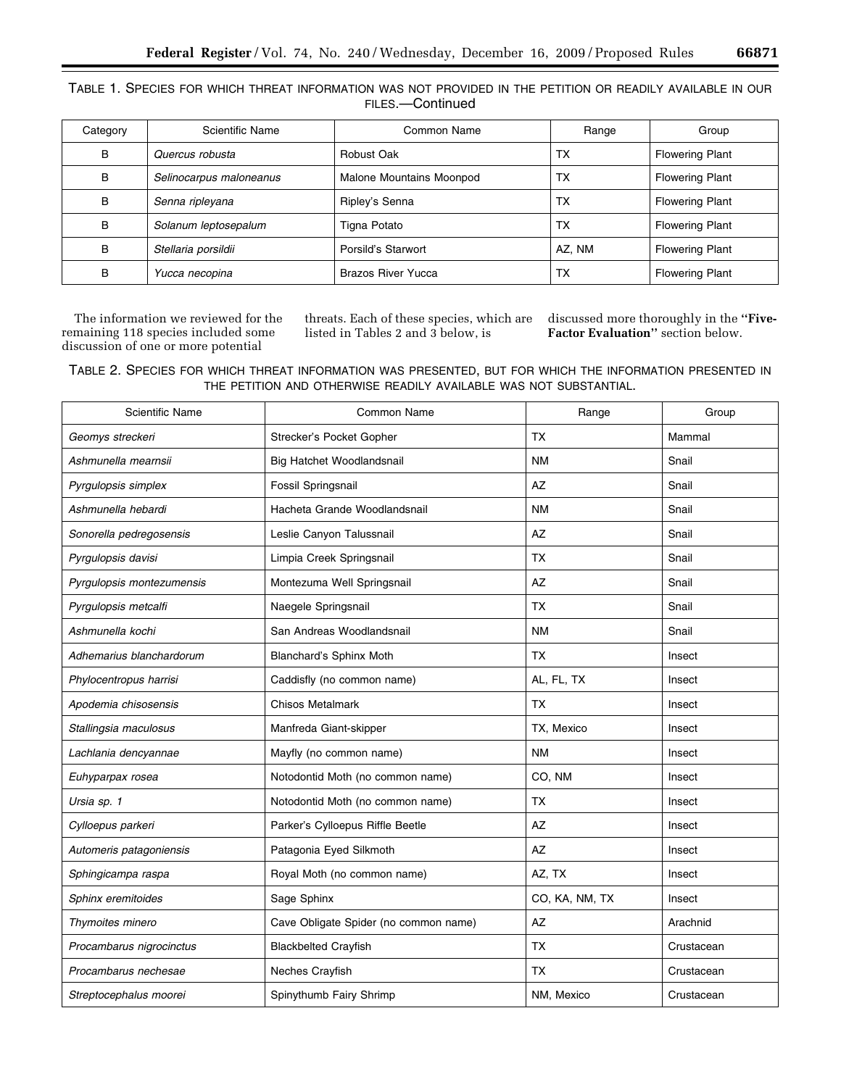| TABLE 1. SPECIES FOR WHICH THREAT INFORMATION WAS NOT PROVIDED IN THE PETITION OR READILY AVAILABLE IN OUR |  |
|------------------------------------------------------------------------------------------------------------|--|
| FILES.—Continued                                                                                           |  |

| Category | Scientific Name         | Common Name              | Range  | Group                  |
|----------|-------------------------|--------------------------|--------|------------------------|
| B        | Quercus robusta         | Robust Oak               | TX     | <b>Flowering Plant</b> |
| B        | Selinocarpus maloneanus | Malone Mountains Moonpod | TX     | <b>Flowering Plant</b> |
| B        | Senna ripleyana         | Ripley's Senna           | TX     | <b>Flowering Plant</b> |
| в        | Solanum leptosepalum    | Tigna Potato             | TX     | <b>Flowering Plant</b> |
| B        | Stellaria porsildii     | Porsild's Starwort       | AZ. NM | <b>Flowering Plant</b> |
| B        | Yucca necopina          | Brazos River Yucca       | TX     | <b>Flowering Plant</b> |

The information we reviewed for the remaining 118 species included some discussion of one or more potential

threats. Each of these species, which are listed in Tables 2 and 3 below, is

discussed more thoroughly in the **''Five-Factor Evaluation''** section below.

# TABLE 2. SPECIES FOR WHICH THREAT INFORMATION WAS PRESENTED, BUT FOR WHICH THE INFORMATION PRESENTED IN THE PETITION AND OTHERWISE READILY AVAILABLE WAS NOT SUBSTANTIAL.

| Common Name                           | Range          | Group      |
|---------------------------------------|----------------|------------|
| Strecker's Pocket Gopher              | ТX             | Mammal     |
| Big Hatchet Woodlandsnail             | <b>NM</b>      | Snail      |
| Fossil Springsnail                    | AZ             | Snail      |
| Hacheta Grande Woodlandsnail          | <b>NM</b>      | Snail      |
| Leslie Canyon Talussnail              | AZ             | Snail      |
| Limpia Creek Springsnail              | <b>TX</b>      | Snail      |
| Montezuma Well Springsnail            | AZ             | Snail      |
| Naegele Springsnail                   | ТX             | Snail      |
| San Andreas Woodlandsnail             | <b>NM</b>      | Snail      |
| Blanchard's Sphinx Moth               | <b>TX</b>      | Insect     |
| Caddisfly (no common name)            | AL, FL, TX     | Insect     |
| <b>Chisos Metalmark</b>               | <b>TX</b>      | Insect     |
| Manfreda Giant-skipper                | TX, Mexico     | Insect     |
| Mayfly (no common name)               | <b>NM</b>      | Insect     |
| Notodontid Moth (no common name)      | CO, NM         | Insect     |
| Notodontid Moth (no common name)      | <b>TX</b>      | Insect     |
| Parker's Cylloepus Riffle Beetle      | AZ             | Insect     |
| Patagonia Eyed Silkmoth               | AZ             | Insect     |
| Royal Moth (no common name)           | AZ, TX         | Insect     |
| Sage Sphinx                           | CO, KA, NM, TX | Insect     |
| Cave Obligate Spider (no common name) | AZ             | Arachnid   |
| <b>Blackbelted Crayfish</b>           | <b>TX</b>      | Crustacean |
| Neches Crayfish                       | ТX             | Crustacean |
| Spinythumb Fairy Shrimp               | NM, Mexico     | Crustacean |
|                                       |                |            |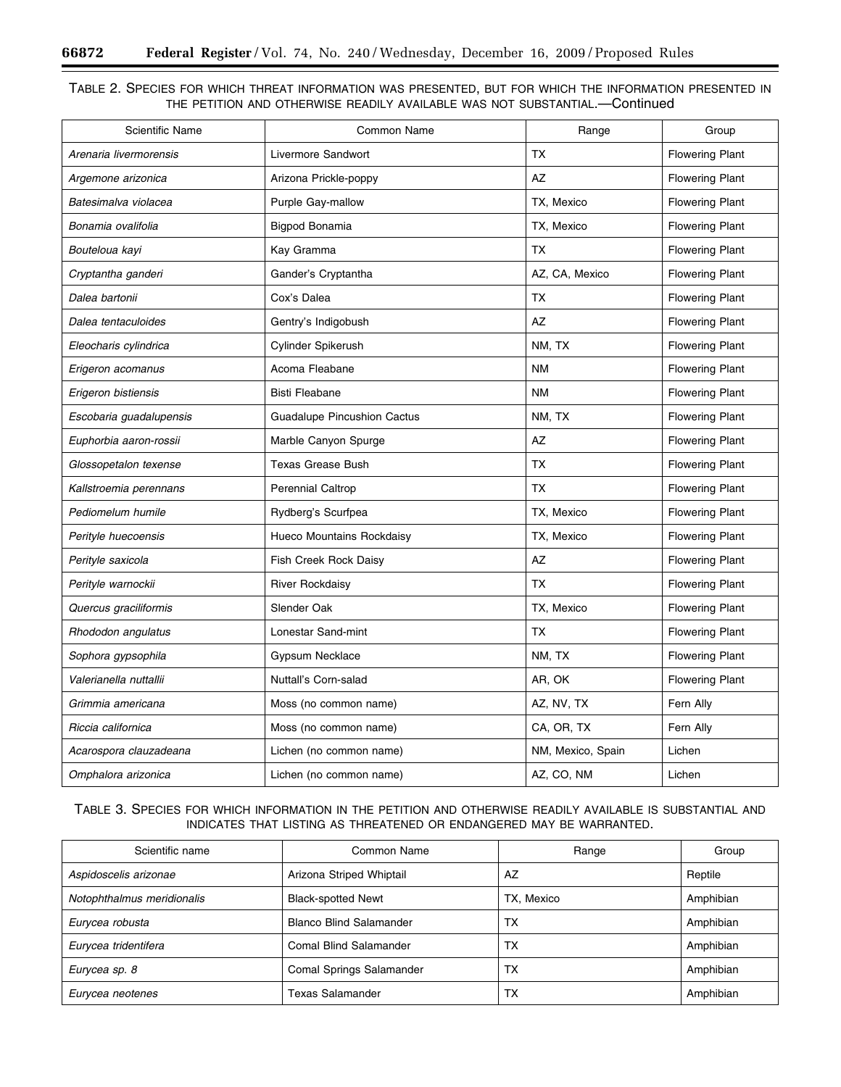Ξ

# TABLE 2. SPECIES FOR WHICH THREAT INFORMATION WAS PRESENTED, BUT FOR WHICH THE INFORMATION PRESENTED IN THE PETITION AND OTHERWISE READILY AVAILABLE WAS NOT SUBSTANTIAL.—Continued

| <b>Scientific Name</b>  | <b>Common Name</b>                 | Range             | Group                  |
|-------------------------|------------------------------------|-------------------|------------------------|
| Arenaria livermorensis  | Livermore Sandwort                 | TX                | <b>Flowering Plant</b> |
| Argemone arizonica      | Arizona Prickle-poppy              | <b>AZ</b>         | <b>Flowering Plant</b> |
| Batesimalva violacea    | <b>Purple Gay-mallow</b>           | TX, Mexico        | <b>Flowering Plant</b> |
| Bonamia ovalifolia      | Bigpod Bonamia                     | TX, Mexico        | <b>Flowering Plant</b> |
| Bouteloua kayi          | Kay Gramma                         | <b>TX</b>         | <b>Flowering Plant</b> |
| Cryptantha ganderi      | Gander's Cryptantha                | AZ, CA, Mexico    | <b>Flowering Plant</b> |
| Dalea bartonii          | Cox's Dalea                        | <b>TX</b>         | <b>Flowering Plant</b> |
| Dalea tentaculoides     | Gentry's Indigobush                | AZ                | <b>Flowering Plant</b> |
| Eleocharis cylindrica   | Cylinder Spikerush                 | NM, TX            | <b>Flowering Plant</b> |
| Erigeron acomanus       | Acoma Fleabane                     | <b>NM</b>         | <b>Flowering Plant</b> |
| Erigeron bistiensis     | <b>Bisti Fleabane</b>              | <b>NM</b>         | <b>Flowering Plant</b> |
| Escobaria guadalupensis | <b>Guadalupe Pincushion Cactus</b> | NM, TX            | <b>Flowering Plant</b> |
| Euphorbia aaron-rossii  | Marble Canyon Spurge               | AZ                | <b>Flowering Plant</b> |
| Glossopetalon texense   | <b>Texas Grease Bush</b>           | <b>TX</b>         | <b>Flowering Plant</b> |
| Kallstroemia perennans  | <b>Perennial Caltrop</b>           | <b>TX</b>         | <b>Flowering Plant</b> |
| Pediomelum humile       | Rydberg's Scurfpea                 | TX, Mexico        | <b>Flowering Plant</b> |
| Perityle huecoensis     | Hueco Mountains Rockdaisy          | TX, Mexico        | <b>Flowering Plant</b> |
| Perityle saxicola       | Fish Creek Rock Daisy              | AZ                | <b>Flowering Plant</b> |
| Perityle warnockii      | <b>River Rockdaisy</b>             | <b>TX</b>         | <b>Flowering Plant</b> |
| Quercus graciliformis   | Slender Oak                        | TX, Mexico        | <b>Flowering Plant</b> |
| Rhododon angulatus      | Lonestar Sand-mint                 | <b>TX</b>         | <b>Flowering Plant</b> |
| Sophora gypsophila      | Gypsum Necklace                    | NM, TX            | <b>Flowering Plant</b> |
| Valerianella nuttallii  | Nuttall's Corn-salad               | AR, OK            | <b>Flowering Plant</b> |
| Grimmia americana       | Moss (no common name)              | AZ, NV, TX        | Fern Ally              |
| Riccia californica      | Moss (no common name)              | CA, OR, TX        | Fern Ally              |
| Acarospora clauzadeana  | Lichen (no common name)            | NM, Mexico, Spain | Lichen                 |
| Omphalora arizonica     | Lichen (no common name)            | AZ, CO, NM        | Lichen                 |

TABLE 3. SPECIES FOR WHICH INFORMATION IN THE PETITION AND OTHERWISE READILY AVAILABLE IS SUBSTANTIAL AND INDICATES THAT LISTING AS THREATENED OR ENDANGERED MAY BE WARRANTED.

| Scientific name            | Common Name                     | Range      | Group     |
|----------------------------|---------------------------------|------------|-----------|
| Aspidoscelis arizonae      | Arizona Striped Whiptail        | AZ         | Reptile   |
| Notophthalmus meridionalis | <b>Black-spotted Newt</b>       | TX, Mexico | Amphibian |
| Eurycea robusta            | <b>Blanco Blind Salamander</b>  | TX         | Amphibian |
| Eurycea tridentifera       | Comal Blind Salamander          | TX         | Amphibian |
| Eurycea sp. 8              | <b>Comal Springs Salamander</b> | TX         | Amphibian |
| Eurycea neotenes           | <b>Texas Salamander</b>         | TX         | Amphibian |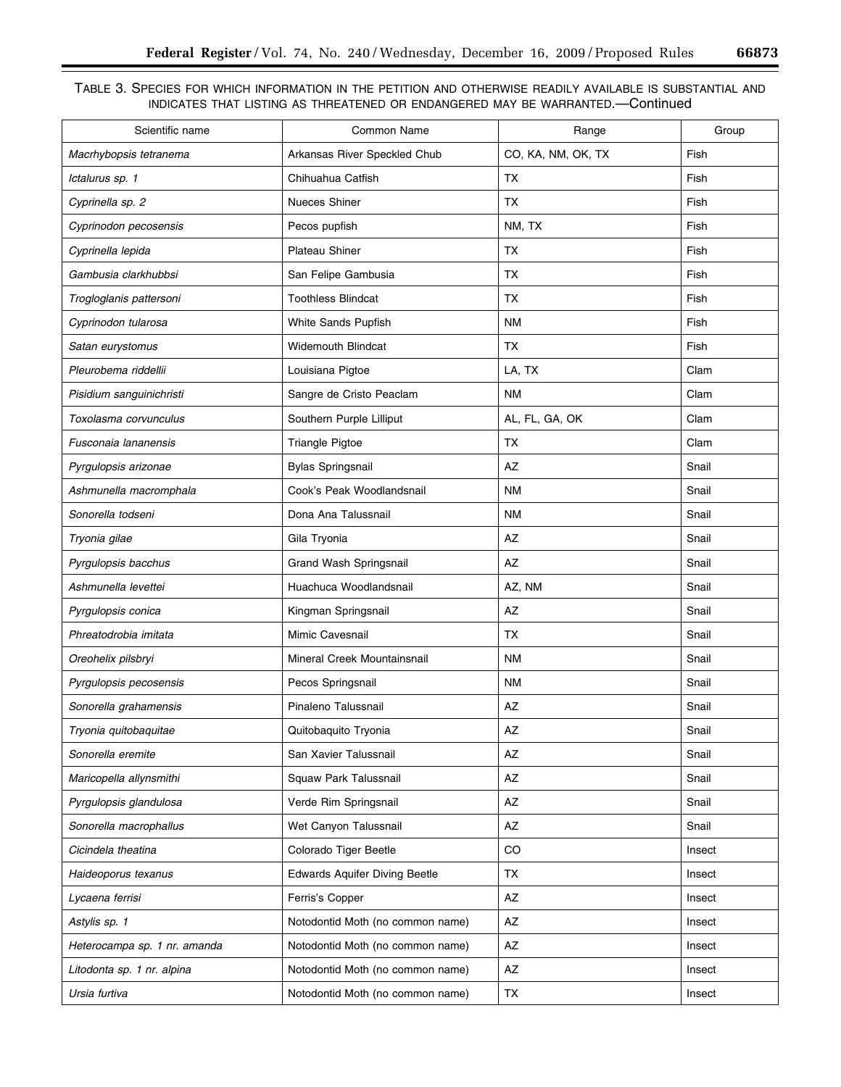# TABLE 3. SPECIES FOR WHICH INFORMATION IN THE PETITION AND OTHERWISE READILY AVAILABLE IS SUBSTANTIAL AND INDICATES THAT LISTING AS THREATENED OR ENDANGERED MAY BE WARRANTED.—Continued

| Scientific name              | <b>Common Name</b>                   | Range              | Group  |
|------------------------------|--------------------------------------|--------------------|--------|
| Macrhybopsis tetranema       | Arkansas River Speckled Chub         | CO, KA, NM, OK, TX | Fish   |
| Ictalurus sp. 1              | Chihuahua Catfish                    | <b>TX</b>          | Fish   |
| Cyprinella sp. 2             | Nueces Shiner                        | <b>TX</b>          | Fish   |
| Cyprinodon pecosensis        | Pecos pupfish                        | NM, TX             | Fish   |
| Cyprinella lepida            | Plateau Shiner                       | TX                 | Fish   |
| Gambusia clarkhubbsi         | San Felipe Gambusia                  | ТX                 | Fish   |
| Trogloglanis pattersoni      | <b>Toothless Blindcat</b>            | <b>TX</b>          | Fish   |
| Cyprinodon tularosa          | White Sands Pupfish                  | <b>NM</b>          | Fish   |
| Satan eurystomus             | <b>Widemouth Blindcat</b>            | <b>TX</b>          | Fish   |
| Pleurobema riddellii         | Louisiana Pigtoe                     | LA, TX             | Clam   |
| Pisidium sanguinichristi     | Sangre de Cristo Peaclam             | <b>NM</b>          | Clam   |
| Toxolasma corvunculus        | Southern Purple Lilliput             | AL, FL, GA, OK     | Clam   |
| Fusconaia lananensis         | <b>Triangle Pigtoe</b>               | <b>TX</b>          | Clam   |
| Pyrgulopsis arizonae         | <b>Bylas Springsnail</b>             | AZ                 | Snail  |
| Ashmunella macromphala       | Cook's Peak Woodlandsnail            | <b>NM</b>          | Snail  |
| Sonorella todseni            | Dona Ana Talussnail                  | <b>NM</b>          | Snail  |
| Tryonia gilae                | Gila Tryonia                         | AZ                 | Snail  |
| Pyrgulopsis bacchus          | Grand Wash Springsnail               | AZ                 | Snail  |
| Ashmunella levettei          | Huachuca Woodlandsnail               | AZ, NM             | Snail  |
| Pyrgulopsis conica           | Kingman Springsnail                  | AZ                 | Snail  |
| Phreatodrobia imitata        | Mimic Cavesnail                      | <b>TX</b>          | Snail  |
| Oreohelix pilsbryi           | Mineral Creek Mountainsnail          | <b>NM</b>          | Snail  |
| Pyrgulopsis pecosensis       | Pecos Springsnail                    | <b>NM</b>          | Snail  |
| Sonorella grahamensis        | Pinaleno Talussnail                  | AZ                 | Snail  |
| Tryonia quitobaquitae        | Quitobaquito Tryonia                 | AZ                 | Snail  |
| Sonorella eremite            | San Xavier Talussnail                | AZ                 | Snail  |
| Maricopella allynsmithi      | Squaw Park Talussnail                | AZ                 | Snail  |
| Pyrgulopsis glandulosa       | Verde Rim Springsnail                | AZ                 | Snail  |
| Sonorella macrophallus       | Wet Canyon Talussnail                | AZ                 | Snail  |
| Cicindela theatina           | Colorado Tiger Beetle                | CO                 | Insect |
| Haideoporus texanus          | <b>Edwards Aquifer Diving Beetle</b> | TX                 | Insect |
| Lycaena ferrisi              | Ferris's Copper                      | AZ                 | Insect |
| Astylis sp. 1                | Notodontid Moth (no common name)     | AZ                 | Insect |
| Heterocampa sp. 1 nr. amanda | Notodontid Moth (no common name)     | AZ                 | Insect |
| Litodonta sp. 1 nr. alpina   | Notodontid Moth (no common name)     | AZ                 | Insect |
| Ursia furtiva                | Notodontid Moth (no common name)     | TX                 | Insect |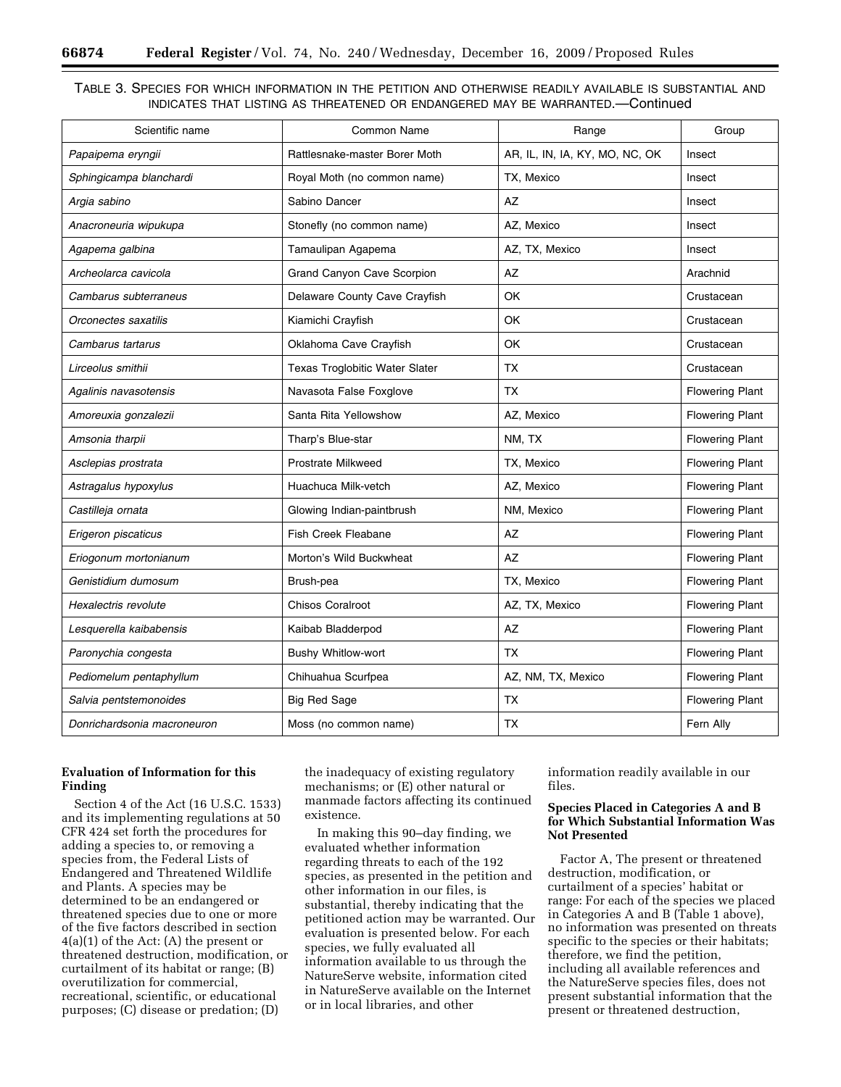# TABLE 3. SPECIES FOR WHICH INFORMATION IN THE PETITION AND OTHERWISE READILY AVAILABLE IS SUBSTANTIAL AND INDICATES THAT LISTING AS THREATENED OR ENDANGERED MAY BE WARRANTED.—Continued

| Scientific name             | Common Name                    | Range                          | Group                  |
|-----------------------------|--------------------------------|--------------------------------|------------------------|
| Papaipema eryngii           | Rattlesnake-master Borer Moth  | AR, IL, IN, IA, KY, MO, NC, OK | Insect                 |
| Sphingicampa blanchardi     | Royal Moth (no common name)    | TX, Mexico                     | Insect                 |
| Argia sabino                | Sabino Dancer                  | AZ                             | Insect                 |
| Anacroneuria wipukupa       | Stonefly (no common name)      | AZ, Mexico                     | Insect                 |
| Agapema galbina             | Tamaulipan Agapema             | AZ, TX, Mexico                 | Insect                 |
| Archeolarca cavicola        | Grand Canyon Cave Scorpion     | AZ                             | Arachnid               |
| Cambarus subterraneus       | Delaware County Cave Crayfish  | OK                             | Crustacean             |
| Orconectes saxatilis        | Kiamichi Crayfish              | OK                             | Crustacean             |
| Cambarus tartarus           | Oklahoma Cave Crayfish         | 0K                             | Crustacean             |
| Lirceolus smithii           | Texas Troglobitic Water Slater | <b>TX</b>                      | Crustacean             |
| Agalinis navasotensis       | Navasota False Foxglove        | <b>TX</b>                      | <b>Flowering Plant</b> |
| Amoreuxia gonzalezii        | Santa Rita Yellowshow          | AZ, Mexico                     | <b>Flowering Plant</b> |
| Amsonia tharpii             | Tharp's Blue-star              | NM, TX                         | <b>Flowering Plant</b> |
| Asclepias prostrata         | <b>Prostrate Milkweed</b>      | TX, Mexico                     | <b>Flowering Plant</b> |
| Astragalus hypoxylus        | Huachuca Milk-vetch            | AZ, Mexico                     | <b>Flowering Plant</b> |
| Castilleja ornata           | Glowing Indian-paintbrush      | NM, Mexico                     | <b>Flowering Plant</b> |
| Erigeron piscaticus         | Fish Creek Fleabane            | AZ                             | <b>Flowering Plant</b> |
| Eriogonum mortonianum       | Morton's Wild Buckwheat        | AZ                             | <b>Flowering Plant</b> |
| Genistidium dumosum         | Brush-pea                      | TX, Mexico                     | <b>Flowering Plant</b> |
| Hexalectris revolute        | <b>Chisos Coralroot</b>        | AZ, TX, Mexico                 | <b>Flowering Plant</b> |
| Lesquerella kaibabensis     | Kaibab Bladderpod              | AZ                             | <b>Flowering Plant</b> |
| Paronychia congesta         | Bushy Whitlow-wort             | <b>TX</b>                      | <b>Flowering Plant</b> |
| Pediomelum pentaphyllum     | Chihuahua Scurfpea             | AZ, NM, TX, Mexico             | <b>Flowering Plant</b> |
| Salvia pentstemonoides      | <b>Big Red Sage</b>            | <b>TX</b>                      | <b>Flowering Plant</b> |
| Donrichardsonia macroneuron | Moss (no common name)          | <b>TX</b>                      | Fern Ally              |

# **Evaluation of Information for this Finding**

Section 4 of the Act (16 U.S.C. 1533) and its implementing regulations at 50 CFR 424 set forth the procedures for adding a species to, or removing a species from, the Federal Lists of Endangered and Threatened Wildlife and Plants. A species may be determined to be an endangered or threatened species due to one or more of the five factors described in section 4(a)(1) of the Act: (A) the present or threatened destruction, modification, or curtailment of its habitat or range; (B) overutilization for commercial, recreational, scientific, or educational purposes; (C) disease or predation; (D)

the inadequacy of existing regulatory mechanisms; or (E) other natural or manmade factors affecting its continued existence.

In making this 90–day finding, we evaluated whether information regarding threats to each of the 192 species, as presented in the petition and other information in our files, is substantial, thereby indicating that the petitioned action may be warranted. Our evaluation is presented below. For each species, we fully evaluated all information available to us through the NatureServe website, information cited in NatureServe available on the Internet or in local libraries, and other

information readily available in our files.

# **Species Placed in Categories A and B for Which Substantial Information Was Not Presented**

Factor A, The present or threatened destruction, modification, or curtailment of a species' habitat or range: For each of the species we placed in Categories A and B (Table 1 above), no information was presented on threats specific to the species or their habitats; therefore, we find the petition, including all available references and the NatureServe species files, does not present substantial information that the present or threatened destruction,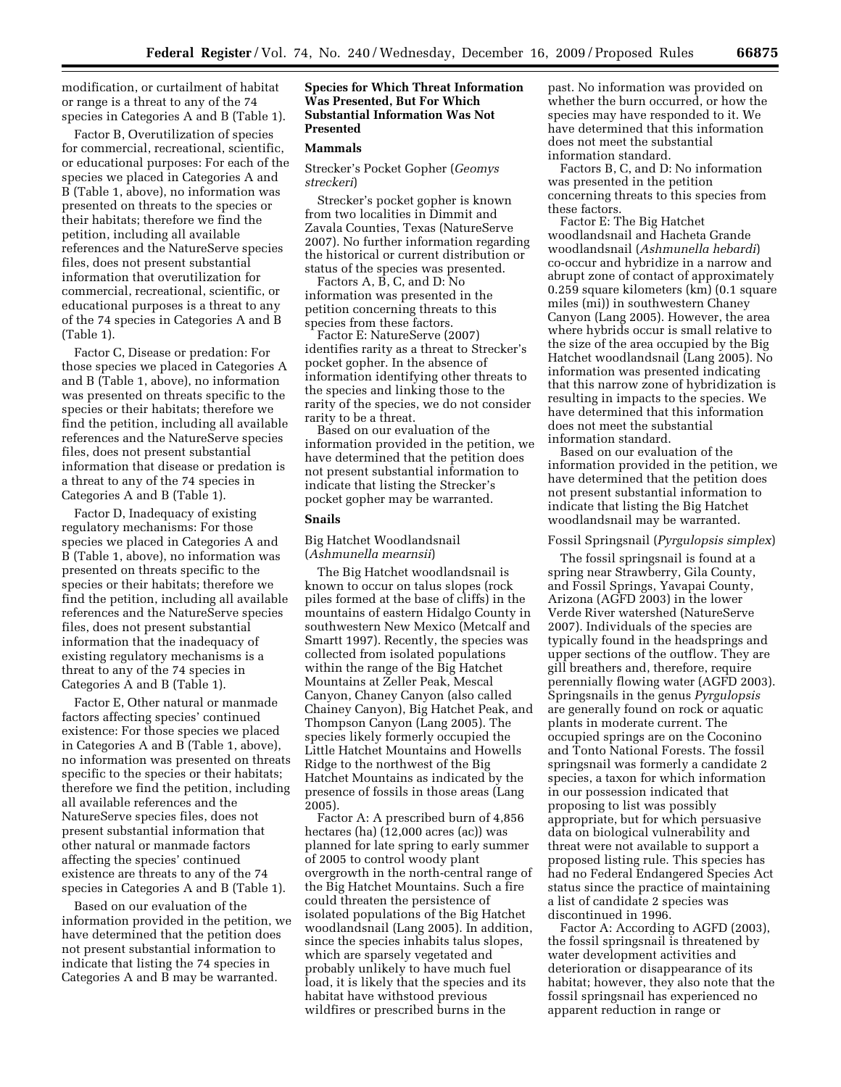modification, or curtailment of habitat or range is a threat to any of the 74 species in Categories A and B (Table 1).

Factor B, Overutilization of species for commercial, recreational, scientific, or educational purposes: For each of the species we placed in Categories A and B (Table 1, above), no information was presented on threats to the species or their habitats; therefore we find the petition, including all available references and the NatureServe species files, does not present substantial information that overutilization for commercial, recreational, scientific, or educational purposes is a threat to any of the 74 species in Categories A and B (Table 1).

Factor C, Disease or predation: For those species we placed in Categories A and B (Table 1, above), no information was presented on threats specific to the species or their habitats; therefore we find the petition, including all available references and the NatureServe species files, does not present substantial information that disease or predation is a threat to any of the 74 species in Categories A and B (Table 1).

Factor D, Inadequacy of existing regulatory mechanisms: For those species we placed in Categories A and B (Table 1, above), no information was presented on threats specific to the species or their habitats; therefore we find the petition, including all available references and the NatureServe species files, does not present substantial information that the inadequacy of existing regulatory mechanisms is a threat to any of the 74 species in Categories A and B (Table 1).

Factor E, Other natural or manmade factors affecting species' continued existence: For those species we placed in Categories A and B (Table 1, above), no information was presented on threats specific to the species or their habitats; therefore we find the petition, including all available references and the NatureServe species files, does not present substantial information that other natural or manmade factors affecting the species' continued existence are threats to any of the 74 species in Categories A and B (Table 1).

Based on our evaluation of the information provided in the petition, we have determined that the petition does not present substantial information to indicate that listing the 74 species in Categories A and B may be warranted.

# **Species for Which Threat Information Was Presented, But For Which Substantial Information Was Not Presented**

#### **Mammals**

Strecker's Pocket Gopher (*Geomys streckeri*)

Strecker's pocket gopher is known from two localities in Dimmit and Zavala Counties, Texas (NatureServe 2007). No further information regarding the historical or current distribution or status of the species was presented.

Factors A, B, C, and D: No information was presented in the petition concerning threats to this species from these factors.

Factor E: NatureServe (2007) identifies rarity as a threat to Strecker's pocket gopher. In the absence of information identifying other threats to the species and linking those to the rarity of the species, we do not consider rarity to be a threat.

Based on our evaluation of the information provided in the petition, we have determined that the petition does not present substantial information to indicate that listing the Strecker's pocket gopher may be warranted.

# **Snails**

#### Big Hatchet Woodlandsnail (*Ashmunella mearnsii*)

The Big Hatchet woodlandsnail is known to occur on talus slopes (rock piles formed at the base of cliffs) in the mountains of eastern Hidalgo County in southwestern New Mexico (Metcalf and Smartt 1997). Recently, the species was collected from isolated populations within the range of the Big Hatchet Mountains at Zeller Peak, Mescal Canyon, Chaney Canyon (also called Chainey Canyon), Big Hatchet Peak, and Thompson Canyon (Lang 2005). The species likely formerly occupied the Little Hatchet Mountains and Howells Ridge to the northwest of the Big Hatchet Mountains as indicated by the presence of fossils in those areas (Lang 2005).

Factor A: A prescribed burn of 4,856 hectares (ha) (12,000 acres (ac)) was planned for late spring to early summer of 2005 to control woody plant overgrowth in the north-central range of the Big Hatchet Mountains. Such a fire could threaten the persistence of isolated populations of the Big Hatchet woodlandsnail (Lang 2005). In addition, since the species inhabits talus slopes, which are sparsely vegetated and probably unlikely to have much fuel load, it is likely that the species and its habitat have withstood previous wildfires or prescribed burns in the

past. No information was provided on whether the burn occurred, or how the species may have responded to it. We have determined that this information does not meet the substantial information standard.

Factors B, C, and D: No information was presented in the petition concerning threats to this species from these factors.

Factor E: The Big Hatchet woodlandsnail and Hacheta Grande woodlandsnail (*Ashmunella hebardi*) co-occur and hybridize in a narrow and abrupt zone of contact of approximately 0.259 square kilometers (km) (0.1 square miles (mi)) in southwestern Chaney Canyon (Lang 2005). However, the area where hybrids occur is small relative to the size of the area occupied by the Big Hatchet woodlandsnail (Lang 2005). No information was presented indicating that this narrow zone of hybridization is resulting in impacts to the species. We have determined that this information does not meet the substantial information standard.

Based on our evaluation of the information provided in the petition, we have determined that the petition does not present substantial information to indicate that listing the Big Hatchet woodlandsnail may be warranted.

# Fossil Springsnail (*Pyrgulopsis simplex*)

The fossil springsnail is found at a spring near Strawberry, Gila County, and Fossil Springs, Yavapai County, Arizona (AGFD 2003) in the lower Verde River watershed (NatureServe 2007). Individuals of the species are typically found in the headsprings and upper sections of the outflow. They are gill breathers and, therefore, require perennially flowing water (AGFD 2003). Springsnails in the genus *Pyrgulopsis*  are generally found on rock or aquatic plants in moderate current. The occupied springs are on the Coconino and Tonto National Forests. The fossil springsnail was formerly a candidate 2 species, a taxon for which information in our possession indicated that proposing to list was possibly appropriate, but for which persuasive data on biological vulnerability and threat were not available to support a proposed listing rule. This species has had no Federal Endangered Species Act status since the practice of maintaining a list of candidate 2 species was discontinued in 1996.

Factor A: According to AGFD (2003), the fossil springsnail is threatened by water development activities and deterioration or disappearance of its habitat; however, they also note that the fossil springsnail has experienced no apparent reduction in range or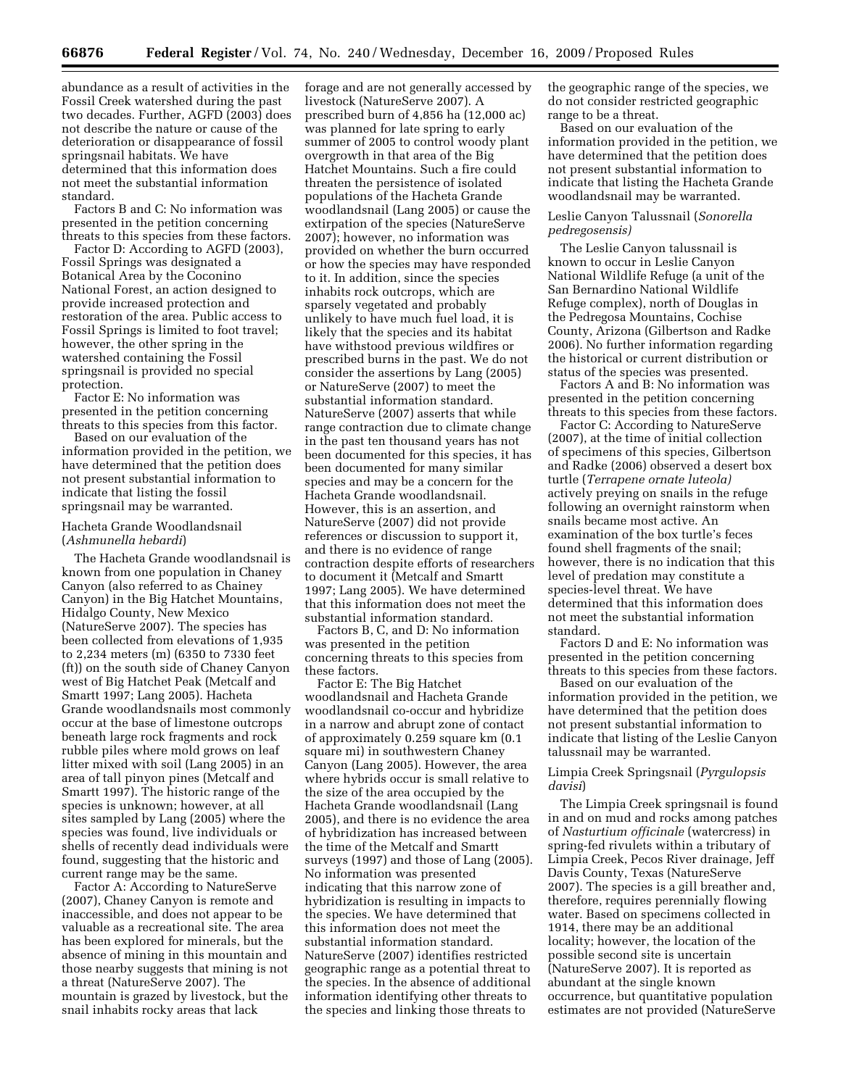abundance as a result of activities in the Fossil Creek watershed during the past two decades. Further, AGFD (2003) does not describe the nature or cause of the deterioration or disappearance of fossil springsnail habitats. We have determined that this information does not meet the substantial information standard.

Factors B and C: No information was presented in the petition concerning threats to this species from these factors.

Factor D: According to AGFD (2003), Fossil Springs was designated a Botanical Area by the Coconino National Forest, an action designed to provide increased protection and restoration of the area. Public access to Fossil Springs is limited to foot travel; however, the other spring in the watershed containing the Fossil springsnail is provided no special protection.

Factor E: No information was presented in the petition concerning threats to this species from this factor.

Based on our evaluation of the information provided in the petition, we have determined that the petition does not present substantial information to indicate that listing the fossil springsnail may be warranted.

# Hacheta Grande Woodlandsnail (*Ashmunella hebardi*)

The Hacheta Grande woodlandsnail is known from one population in Chaney Canyon (also referred to as Chainey Canyon) in the Big Hatchet Mountains, Hidalgo County, New Mexico (NatureServe 2007). The species has been collected from elevations of 1,935 to 2,234 meters (m) (6350 to 7330 feet (ft)) on the south side of Chaney Canyon west of Big Hatchet Peak (Metcalf and Smartt 1997; Lang 2005). Hacheta Grande woodlandsnails most commonly occur at the base of limestone outcrops beneath large rock fragments and rock rubble piles where mold grows on leaf litter mixed with soil (Lang 2005) in an area of tall pinyon pines (Metcalf and Smartt 1997). The historic range of the species is unknown; however, at all sites sampled by Lang (2005) where the species was found, live individuals or shells of recently dead individuals were found, suggesting that the historic and current range may be the same.

Factor A: According to NatureServe (2007), Chaney Canyon is remote and inaccessible, and does not appear to be valuable as a recreational site. The area has been explored for minerals, but the absence of mining in this mountain and those nearby suggests that mining is not a threat (NatureServe 2007). The mountain is grazed by livestock, but the snail inhabits rocky areas that lack

forage and are not generally accessed by livestock (NatureServe 2007). A prescribed burn of 4,856 ha (12,000 ac) was planned for late spring to early summer of 2005 to control woody plant overgrowth in that area of the Big Hatchet Mountains. Such a fire could threaten the persistence of isolated populations of the Hacheta Grande woodlandsnail (Lang 2005) or cause the extirpation of the species (NatureServe 2007); however, no information was provided on whether the burn occurred or how the species may have responded to it. In addition, since the species inhabits rock outcrops, which are sparsely vegetated and probably unlikely to have much fuel load, it is likely that the species and its habitat have withstood previous wildfires or prescribed burns in the past. We do not consider the assertions by Lang (2005) or NatureServe (2007) to meet the substantial information standard. NatureServe (2007) asserts that while range contraction due to climate change in the past ten thousand years has not been documented for this species, it has been documented for many similar species and may be a concern for the Hacheta Grande woodlandsnail. However, this is an assertion, and NatureServe (2007) did not provide references or discussion to support it, and there is no evidence of range contraction despite efforts of researchers to document it (Metcalf and Smartt 1997; Lang 2005). We have determined that this information does not meet the substantial information standard.

Factors B, C, and D: No information was presented in the petition concerning threats to this species from these factors.

Factor E: The Big Hatchet woodlandsnail and Hacheta Grande woodlandsnail co-occur and hybridize in a narrow and abrupt zone of contact of approximately 0.259 square km (0.1 square mi) in southwestern Chaney Canyon (Lang 2005). However, the area where hybrids occur is small relative to the size of the area occupied by the Hacheta Grande woodlandsnail (Lang 2005), and there is no evidence the area of hybridization has increased between the time of the Metcalf and Smartt surveys (1997) and those of Lang (2005). No information was presented indicating that this narrow zone of hybridization is resulting in impacts to the species. We have determined that this information does not meet the substantial information standard. NatureServe (2007) identifies restricted geographic range as a potential threat to the species. In the absence of additional information identifying other threats to the species and linking those threats to

the geographic range of the species, we do not consider restricted geographic range to be a threat.

Based on our evaluation of the information provided in the petition, we have determined that the petition does not present substantial information to indicate that listing the Hacheta Grande woodlandsnail may be warranted.

# Leslie Canyon Talussnail (*Sonorella pedregosensis)*

The Leslie Canyon talussnail is known to occur in Leslie Canyon National Wildlife Refuge (a unit of the San Bernardino National Wildlife Refuge complex), north of Douglas in the Pedregosa Mountains, Cochise County, Arizona (Gilbertson and Radke 2006). No further information regarding the historical or current distribution or status of the species was presented.

Factors A and B: No information was presented in the petition concerning threats to this species from these factors.

Factor C: According to NatureServe (2007), at the time of initial collection of specimens of this species, Gilbertson and Radke (2006) observed a desert box turtle (*Terrapene ornate luteola)*  actively preying on snails in the refuge following an overnight rainstorm when snails became most active. An examination of the box turtle's feces found shell fragments of the snail; however, there is no indication that this level of predation may constitute a species-level threat. We have determined that this information does not meet the substantial information standard.

Factors D and E: No information was presented in the petition concerning threats to this species from these factors.

Based on our evaluation of the information provided in the petition, we have determined that the petition does not present substantial information to indicate that listing of the Leslie Canyon talussnail may be warranted.

# Limpia Creek Springsnail (*Pyrgulopsis davisi*)

The Limpia Creek springsnail is found in and on mud and rocks among patches of *Nasturtium officinale* (watercress) in spring-fed rivulets within a tributary of Limpia Creek, Pecos River drainage, Jeff Davis County, Texas (NatureServe 2007). The species is a gill breather and, therefore, requires perennially flowing water. Based on specimens collected in 1914, there may be an additional locality; however, the location of the possible second site is uncertain (NatureServe 2007). It is reported as abundant at the single known occurrence, but quantitative population estimates are not provided (NatureServe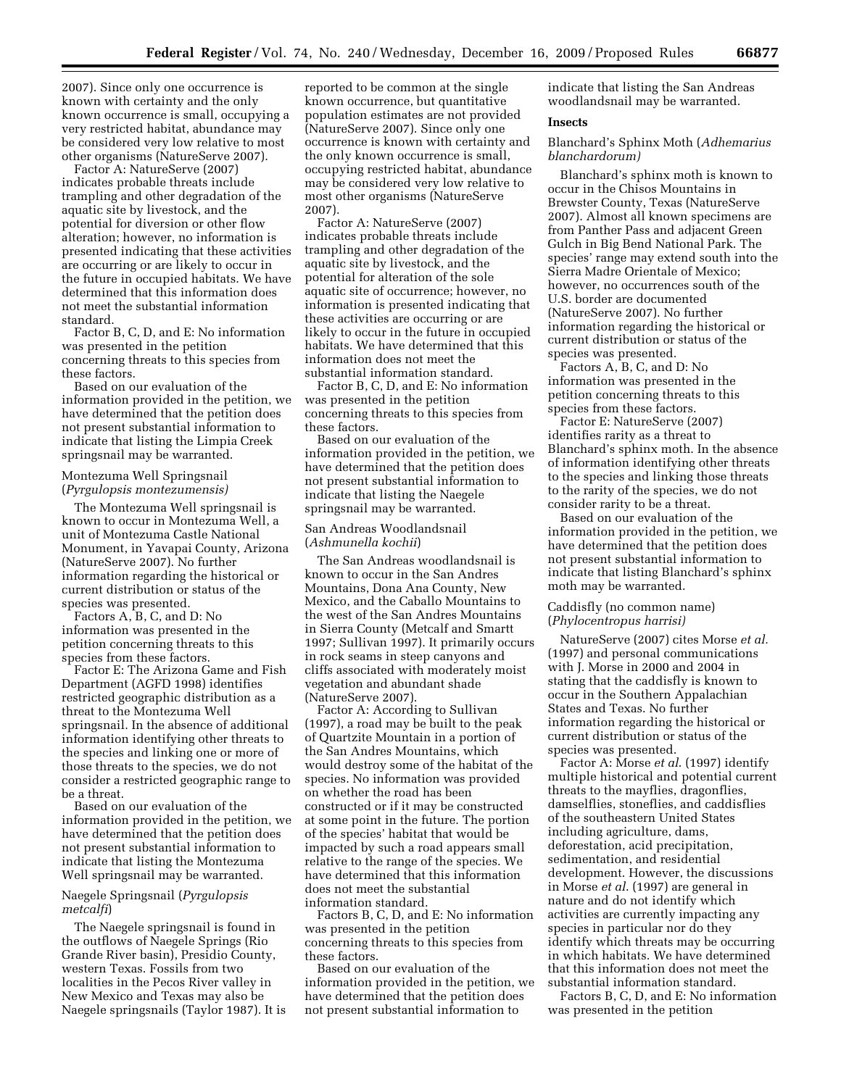2007). Since only one occurrence is known with certainty and the only known occurrence is small, occupying a very restricted habitat, abundance may be considered very low relative to most other organisms (NatureServe 2007).

Factor A: NatureServe (2007) indicates probable threats include trampling and other degradation of the aquatic site by livestock, and the potential for diversion or other flow alteration; however, no information is presented indicating that these activities are occurring or are likely to occur in the future in occupied habitats. We have determined that this information does not meet the substantial information standard.

Factor B, C, D, and E: No information was presented in the petition concerning threats to this species from these factors.

Based on our evaluation of the information provided in the petition, we have determined that the petition does not present substantial information to indicate that listing the Limpia Creek springsnail may be warranted.

# Montezuma Well Springsnail (*Pyrgulopsis montezumensis)*

The Montezuma Well springsnail is known to occur in Montezuma Well, a unit of Montezuma Castle National Monument, in Yavapai County, Arizona (NatureServe 2007). No further information regarding the historical or current distribution or status of the species was presented.

Factors A, B, C, and D: No information was presented in the petition concerning threats to this species from these factors.

Factor E: The Arizona Game and Fish Department (AGFD 1998) identifies restricted geographic distribution as a threat to the Montezuma Well springsnail. In the absence of additional information identifying other threats to the species and linking one or more of those threats to the species, we do not consider a restricted geographic range to be a threat.

Based on our evaluation of the information provided in the petition, we have determined that the petition does not present substantial information to indicate that listing the Montezuma Well springsnail may be warranted.

# Naegele Springsnail (*Pyrgulopsis metcalfi*)

The Naegele springsnail is found in the outflows of Naegele Springs (Rio Grande River basin), Presidio County, western Texas. Fossils from two localities in the Pecos River valley in New Mexico and Texas may also be Naegele springsnails (Taylor 1987). It is reported to be common at the single known occurrence, but quantitative population estimates are not provided (NatureServe 2007). Since only one occurrence is known with certainty and the only known occurrence is small, occupying restricted habitat, abundance may be considered very low relative to most other organisms (NatureServe 2007).

Factor A: NatureServe (2007) indicates probable threats include trampling and other degradation of the aquatic site by livestock, and the potential for alteration of the sole aquatic site of occurrence; however, no information is presented indicating that these activities are occurring or are likely to occur in the future in occupied habitats. We have determined that this information does not meet the substantial information standard.

Factor B, C, D, and E: No information was presented in the petition concerning threats to this species from these factors.

Based on our evaluation of the information provided in the petition, we have determined that the petition does not present substantial information to indicate that listing the Naegele springsnail may be warranted.

# San Andreas Woodlandsnail (*Ashmunella kochii*)

The San Andreas woodlandsnail is known to occur in the San Andres Mountains, Dona Ana County, New Mexico, and the Caballo Mountains to the west of the San Andres Mountains in Sierra County (Metcalf and Smartt 1997; Sullivan 1997). It primarily occurs in rock seams in steep canyons and cliffs associated with moderately moist vegetation and abundant shade (NatureServe 2007).

Factor A: According to Sullivan (1997), a road may be built to the peak of Quartzite Mountain in a portion of the San Andres Mountains, which would destroy some of the habitat of the species. No information was provided on whether the road has been constructed or if it may be constructed at some point in the future. The portion of the species' habitat that would be impacted by such a road appears small relative to the range of the species. We have determined that this information does not meet the substantial information standard.

Factors B, C, D, and E: No information was presented in the petition concerning threats to this species from these factors.

Based on our evaluation of the information provided in the petition, we have determined that the petition does not present substantial information to

indicate that listing the San Andreas woodlandsnail may be warranted.

# **Insects**

Blanchard's Sphinx Moth (*Adhemarius blanchardorum)* 

Blanchard's sphinx moth is known to occur in the Chisos Mountains in Brewster County, Texas (NatureServe 2007). Almost all known specimens are from Panther Pass and adjacent Green Gulch in Big Bend National Park. The species' range may extend south into the Sierra Madre Orientale of Mexico; however, no occurrences south of the U.S. border are documented (NatureServe 2007). No further information regarding the historical or current distribution or status of the species was presented.

Factors A, B, C, and D: No information was presented in the petition concerning threats to this species from these factors.

Factor E: NatureServe (2007) identifies rarity as a threat to Blanchard's sphinx moth. In the absence of information identifying other threats to the species and linking those threats to the rarity of the species, we do not consider rarity to be a threat.

Based on our evaluation of the information provided in the petition, we have determined that the petition does not present substantial information to indicate that listing Blanchard's sphinx moth may be warranted.

#### Caddisfly (no common name) (*Phylocentropus harrisi)*

NatureServe (2007) cites Morse *et al.*  (1997) and personal communications with J. Morse in 2000 and 2004 in stating that the caddisfly is known to occur in the Southern Appalachian States and Texas. No further information regarding the historical or current distribution or status of the species was presented.

Factor A: Morse *et al*. (1997) identify multiple historical and potential current threats to the mayflies, dragonflies, damselflies, stoneflies, and caddisflies of the southeastern United States including agriculture, dams, deforestation, acid precipitation, sedimentation, and residential development. However, the discussions in Morse *et al*. (1997) are general in nature and do not identify which activities are currently impacting any species in particular nor do they identify which threats may be occurring in which habitats. We have determined that this information does not meet the substantial information standard.

Factors B, C, D, and E: No information was presented in the petition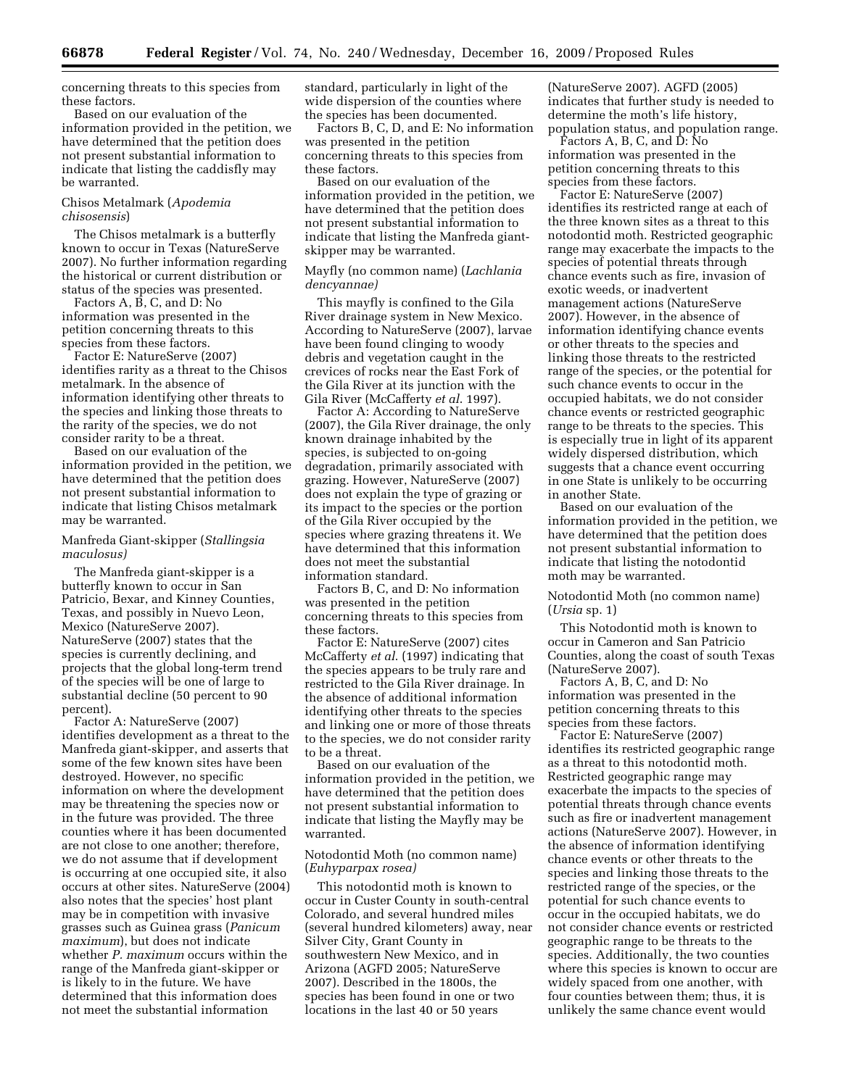concerning threats to this species from these factors.

Based on our evaluation of the information provided in the petition, we have determined that the petition does not present substantial information to indicate that listing the caddisfly may be warranted.

# Chisos Metalmark (*Apodemia chisosensis*)

The Chisos metalmark is a butterfly known to occur in Texas (NatureServe 2007). No further information regarding the historical or current distribution or status of the species was presented.

Factors A, B, C, and D: No information was presented in the petition concerning threats to this species from these factors.

Factor E: NatureServe (2007) identifies rarity as a threat to the Chisos metalmark. In the absence of information identifying other threats to the species and linking those threats to the rarity of the species, we do not consider rarity to be a threat.

Based on our evaluation of the information provided in the petition, we have determined that the petition does not present substantial information to indicate that listing Chisos metalmark may be warranted.

# Manfreda Giant-skipper (*Stallingsia maculosus)*

The Manfreda giant-skipper is a butterfly known to occur in San Patricio, Bexar, and Kinney Counties, Texas, and possibly in Nuevo Leon, Mexico (NatureServe 2007). NatureServe (2007) states that the species is currently declining, and projects that the global long-term trend of the species will be one of large to substantial decline (50 percent to 90 percent).

Factor A: NatureServe (2007) identifies development as a threat to the Manfreda giant-skipper, and asserts that some of the few known sites have been destroyed. However, no specific information on where the development may be threatening the species now or in the future was provided. The three counties where it has been documented are not close to one another; therefore, we do not assume that if development is occurring at one occupied site, it also occurs at other sites. NatureServe (2004) also notes that the species' host plant may be in competition with invasive grasses such as Guinea grass (*Panicum maximum*), but does not indicate whether *P. maximum* occurs within the range of the Manfreda giant-skipper or is likely to in the future. We have determined that this information does not meet the substantial information

standard, particularly in light of the wide dispersion of the counties where the species has been documented.

Factors B, C, D, and E: No information was presented in the petition concerning threats to this species from these factors.

Based on our evaluation of the information provided in the petition, we have determined that the petition does not present substantial information to indicate that listing the Manfreda giantskipper may be warranted.

# Mayfly (no common name) (*Lachlania dencyannae)*

This mayfly is confined to the Gila River drainage system in New Mexico. According to NatureServe (2007), larvae have been found clinging to woody debris and vegetation caught in the crevices of rocks near the East Fork of the Gila River at its junction with the Gila River (McCafferty *et al*. 1997).

Factor A: According to NatureServe (2007), the Gila River drainage, the only known drainage inhabited by the species, is subjected to on-going degradation, primarily associated with grazing. However, NatureServe (2007) does not explain the type of grazing or its impact to the species or the portion of the Gila River occupied by the species where grazing threatens it. We have determined that this information does not meet the substantial information standard.

Factors B, C, and D: No information was presented in the petition concerning threats to this species from these factors.

Factor E: NatureServe (2007) cites McCafferty *et al*. (1997) indicating that the species appears to be truly rare and restricted to the Gila River drainage. In the absence of additional information identifying other threats to the species and linking one or more of those threats to the species, we do not consider rarity to be a threat.

Based on our evaluation of the information provided in the petition, we have determined that the petition does not present substantial information to indicate that listing the Mayfly may be warranted.

# Notodontid Moth (no common name) (*Euhyparpax rosea)*

This notodontid moth is known to occur in Custer County in south-central Colorado, and several hundred miles (several hundred kilometers) away, near Silver City, Grant County in southwestern New Mexico, and in Arizona (AGFD 2005; NatureServe 2007). Described in the 1800s, the species has been found in one or two locations in the last 40 or 50 years

(NatureServe 2007). AGFD (2005) indicates that further study is needed to determine the moth's life history, population status, and population range.

Factors A, B, C, and D: No information was presented in the petition concerning threats to this species from these factors.

Factor E: NatureServe (2007) identifies its restricted range at each of the three known sites as a threat to this notodontid moth. Restricted geographic range may exacerbate the impacts to the species of potential threats through chance events such as fire, invasion of exotic weeds, or inadvertent management actions (NatureServe 2007). However, in the absence of information identifying chance events or other threats to the species and linking those threats to the restricted range of the species, or the potential for such chance events to occur in the occupied habitats, we do not consider chance events or restricted geographic range to be threats to the species. This is especially true in light of its apparent widely dispersed distribution, which suggests that a chance event occurring in one State is unlikely to be occurring in another State.

Based on our evaluation of the information provided in the petition, we have determined that the petition does not present substantial information to indicate that listing the notodontid moth may be warranted.

Notodontid Moth (no common name) (*Ursia* sp. 1)

This Notodontid moth is known to occur in Cameron and San Patricio Counties, along the coast of south Texas (NatureServe 2007).

Factors A, B, C, and D: No information was presented in the petition concerning threats to this species from these factors.

Factor E: NatureServe (2007) identifies its restricted geographic range as a threat to this notodontid moth. Restricted geographic range may exacerbate the impacts to the species of potential threats through chance events such as fire or inadvertent management actions (NatureServe 2007). However, in the absence of information identifying chance events or other threats to the species and linking those threats to the restricted range of the species, or the potential for such chance events to occur in the occupied habitats, we do not consider chance events or restricted geographic range to be threats to the species. Additionally, the two counties where this species is known to occur are widely spaced from one another, with four counties between them; thus, it is unlikely the same chance event would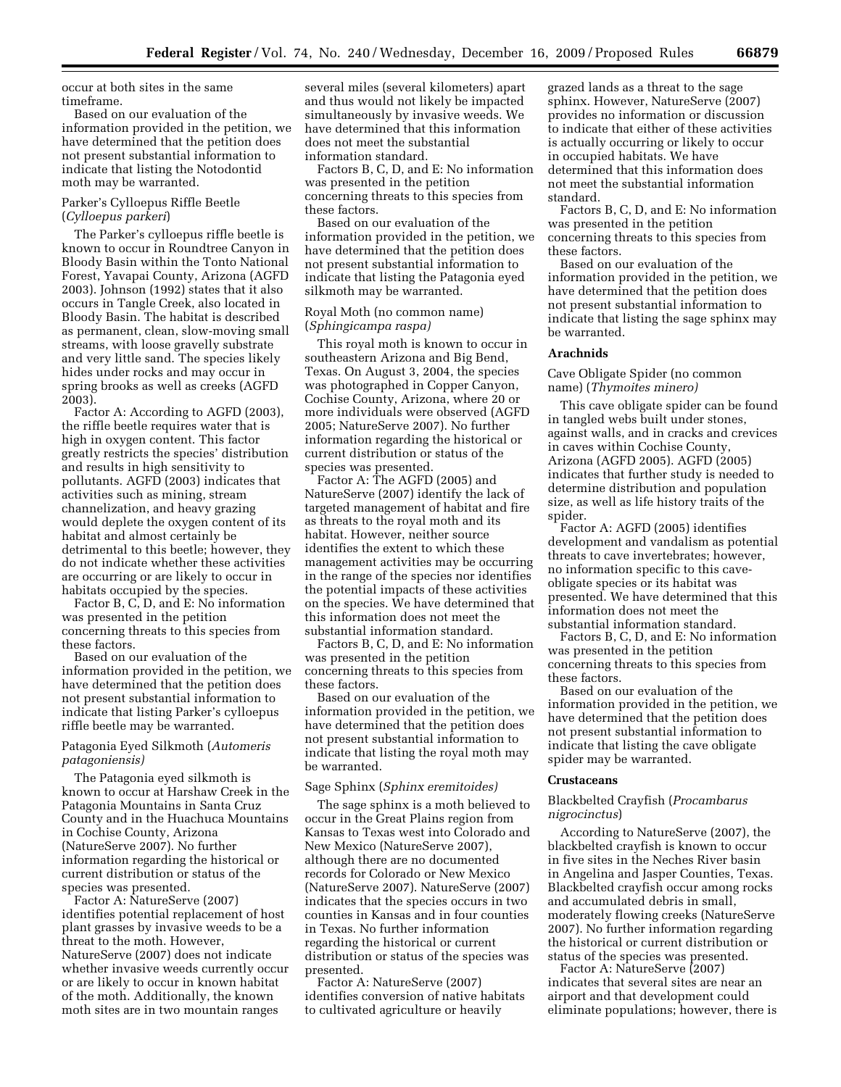occur at both sites in the same timeframe.

Based on our evaluation of the information provided in the petition, we have determined that the petition does not present substantial information to indicate that listing the Notodontid moth may be warranted.

# Parker's Cylloepus Riffle Beetle (*Cylloepus parkeri*)

The Parker's cylloepus riffle beetle is known to occur in Roundtree Canyon in Bloody Basin within the Tonto National Forest, Yavapai County, Arizona (AGFD 2003). Johnson (1992) states that it also occurs in Tangle Creek, also located in Bloody Basin. The habitat is described as permanent, clean, slow-moving small streams, with loose gravelly substrate and very little sand. The species likely hides under rocks and may occur in spring brooks as well as creeks (AGFD 2003).

Factor A: According to AGFD (2003), the riffle beetle requires water that is high in oxygen content. This factor greatly restricts the species' distribution and results in high sensitivity to pollutants. AGFD (2003) indicates that activities such as mining, stream channelization, and heavy grazing would deplete the oxygen content of its habitat and almost certainly be detrimental to this beetle; however, they do not indicate whether these activities are occurring or are likely to occur in habitats occupied by the species.

Factor B, C, D, and E: No information was presented in the petition concerning threats to this species from these factors.

Based on our evaluation of the information provided in the petition, we have determined that the petition does not present substantial information to indicate that listing Parker's cylloepus riffle beetle may be warranted.

# Patagonia Eyed Silkmoth (*Automeris patagoniensis)*

The Patagonia eyed silkmoth is known to occur at Harshaw Creek in the Patagonia Mountains in Santa Cruz County and in the Huachuca Mountains in Cochise County, Arizona (NatureServe 2007). No further information regarding the historical or current distribution or status of the species was presented.

Factor A: NatureServe (2007) identifies potential replacement of host plant grasses by invasive weeds to be a threat to the moth. However, NatureServe (2007) does not indicate whether invasive weeds currently occur or are likely to occur in known habitat of the moth. Additionally, the known moth sites are in two mountain ranges

several miles (several kilometers) apart and thus would not likely be impacted simultaneously by invasive weeds. We have determined that this information does not meet the substantial information standard.

Factors B, C, D, and E: No information was presented in the petition concerning threats to this species from these factors.

Based on our evaluation of the information provided in the petition, we have determined that the petition does not present substantial information to indicate that listing the Patagonia eyed silkmoth may be warranted.

# Royal Moth (no common name) (*Sphingicampa raspa)*

This royal moth is known to occur in southeastern Arizona and Big Bend, Texas. On August 3, 2004, the species was photographed in Copper Canyon, Cochise County, Arizona, where 20 or more individuals were observed (AGFD 2005; NatureServe 2007). No further information regarding the historical or current distribution or status of the species was presented.

Factor A: The AGFD (2005) and NatureServe (2007) identify the lack of targeted management of habitat and fire as threats to the royal moth and its habitat. However, neither source identifies the extent to which these management activities may be occurring in the range of the species nor identifies the potential impacts of these activities on the species. We have determined that this information does not meet the substantial information standard.

Factors B, C, D, and E: No information was presented in the petition concerning threats to this species from these factors.

Based on our evaluation of the information provided in the petition, we have determined that the petition does not present substantial information to indicate that listing the royal moth may be warranted.

#### Sage Sphinx (*Sphinx eremitoides)*

The sage sphinx is a moth believed to occur in the Great Plains region from Kansas to Texas west into Colorado and New Mexico (NatureServe 2007), although there are no documented records for Colorado or New Mexico (NatureServe 2007). NatureServe (2007) indicates that the species occurs in two counties in Kansas and in four counties in Texas. No further information regarding the historical or current distribution or status of the species was presented.

Factor A: NatureServe (2007) identifies conversion of native habitats to cultivated agriculture or heavily

grazed lands as a threat to the sage sphinx. However, NatureServe (2007) provides no information or discussion to indicate that either of these activities is actually occurring or likely to occur in occupied habitats. We have determined that this information does not meet the substantial information standard.

Factors B, C, D, and E: No information was presented in the petition concerning threats to this species from these factors.

Based on our evaluation of the information provided in the petition, we have determined that the petition does not present substantial information to indicate that listing the sage sphinx may be warranted.

### **Arachnids**

Cave Obligate Spider (no common name) (*Thymoites minero)* 

This cave obligate spider can be found in tangled webs built under stones, against walls, and in cracks and crevices in caves within Cochise County, Arizona (AGFD 2005). AGFD (2005) indicates that further study is needed to determine distribution and population size, as well as life history traits of the spider.

Factor A: AGFD (2005) identifies development and vandalism as potential threats to cave invertebrates; however, no information specific to this caveobligate species or its habitat was presented. We have determined that this information does not meet the substantial information standard.

Factors B, C, D, and E: No information was presented in the petition concerning threats to this species from these factors.

Based on our evaluation of the information provided in the petition, we have determined that the petition does not present substantial information to indicate that listing the cave obligate spider may be warranted.

#### **Crustaceans**

# Blackbelted Crayfish (*Procambarus nigrocinctus*)

According to NatureServe (2007), the blackbelted crayfish is known to occur in five sites in the Neches River basin in Angelina and Jasper Counties, Texas. Blackbelted crayfish occur among rocks and accumulated debris in small, moderately flowing creeks (NatureServe 2007). No further information regarding the historical or current distribution or status of the species was presented.

Factor A: NatureServe (2007) indicates that several sites are near an airport and that development could eliminate populations; however, there is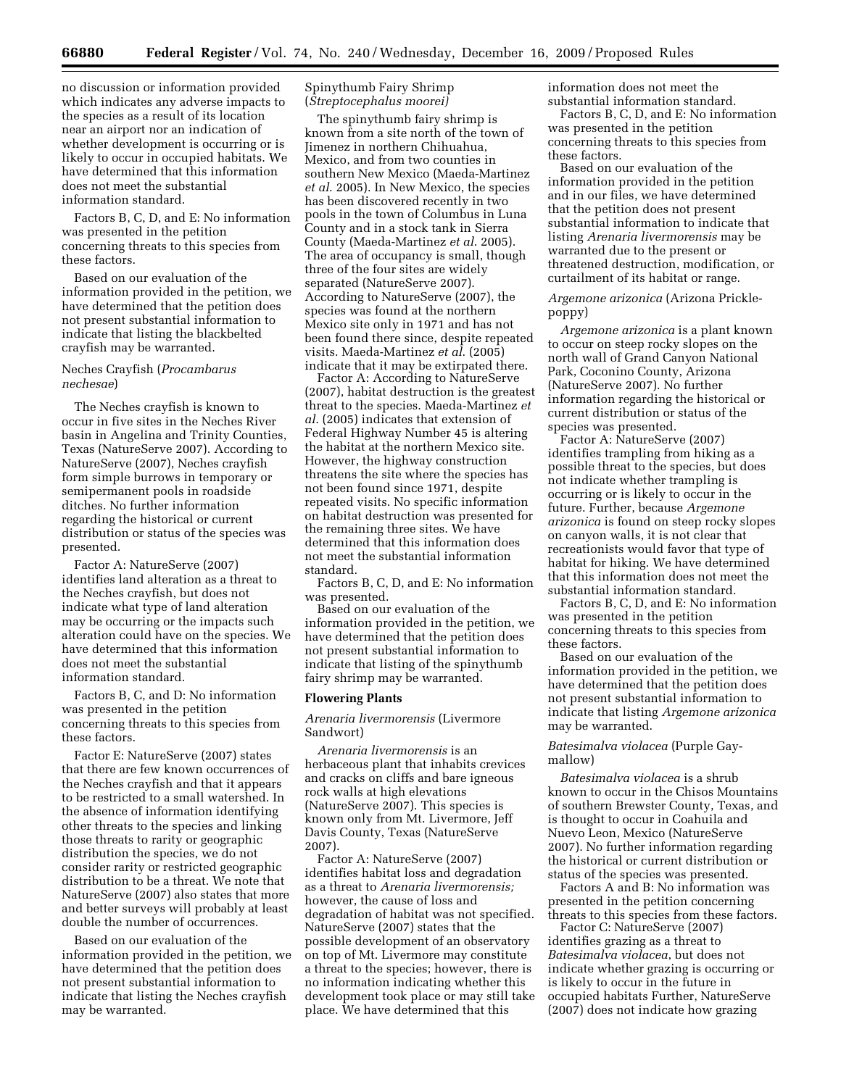no discussion or information provided which indicates any adverse impacts to the species as a result of its location near an airport nor an indication of whether development is occurring or is likely to occur in occupied habitats. We have determined that this information does not meet the substantial information standard.

Factors B, C, D, and E: No information was presented in the petition concerning threats to this species from these factors.

Based on our evaluation of the information provided in the petition, we have determined that the petition does not present substantial information to indicate that listing the blackbelted crayfish may be warranted.

# Neches Crayfish (*Procambarus nechesae*)

The Neches crayfish is known to occur in five sites in the Neches River basin in Angelina and Trinity Counties, Texas (NatureServe 2007). According to NatureServe (2007), Neches crayfish form simple burrows in temporary or semipermanent pools in roadside ditches. No further information regarding the historical or current distribution or status of the species was presented.

Factor A: NatureServe (2007) identifies land alteration as a threat to the Neches crayfish, but does not indicate what type of land alteration may be occurring or the impacts such alteration could have on the species. We have determined that this information does not meet the substantial information standard.

Factors B, C, and D: No information was presented in the petition concerning threats to this species from these factors.

Factor E: NatureServe (2007) states that there are few known occurrences of the Neches crayfish and that it appears to be restricted to a small watershed. In the absence of information identifying other threats to the species and linking those threats to rarity or geographic distribution the species, we do not consider rarity or restricted geographic distribution to be a threat. We note that NatureServe (2007) also states that more and better surveys will probably at least double the number of occurrences.

Based on our evaluation of the information provided in the petition, we have determined that the petition does not present substantial information to indicate that listing the Neches crayfish may be warranted.

# Spinythumb Fairy Shrimp (*Streptocephalus moorei)*

The spinythumb fairy shrimp is known from a site north of the town of Jimenez in northern Chihuahua, Mexico, and from two counties in southern New Mexico (Maeda-Martinez *et al*. 2005). In New Mexico, the species has been discovered recently in two pools in the town of Columbus in Luna County and in a stock tank in Sierra County (Maeda-Martinez *et al*. 2005). The area of occupancy is small, though three of the four sites are widely separated (NatureServe 2007). According to NatureServe (2007), the species was found at the northern Mexico site only in 1971 and has not been found there since, despite repeated visits. Maeda-Martinez *et al*. (2005) indicate that it may be extirpated there.

Factor A: According to NatureServe (2007), habitat destruction is the greatest threat to the species. Maeda-Martinez *et al*. (2005) indicates that extension of Federal Highway Number 45 is altering the habitat at the northern Mexico site. However, the highway construction threatens the site where the species has not been found since 1971, despite repeated visits. No specific information on habitat destruction was presented for the remaining three sites. We have determined that this information does not meet the substantial information standard.

Factors B, C, D, and E: No information was presented.

Based on our evaluation of the information provided in the petition, we have determined that the petition does not present substantial information to indicate that listing of the spinythumb fairy shrimp may be warranted.

#### **Flowering Plants**

*Arenaria livermorensis* (Livermore Sandwort)

*Arenaria livermorensis* is an herbaceous plant that inhabits crevices and cracks on cliffs and bare igneous rock walls at high elevations (NatureServe 2007). This species is known only from Mt. Livermore, Jeff Davis County, Texas (NatureServe 2007).

Factor A: NatureServe (2007) identifies habitat loss and degradation as a threat to *Arenaria livermorensis;*  however, the cause of loss and degradation of habitat was not specified. NatureServe (2007) states that the possible development of an observatory on top of Mt. Livermore may constitute a threat to the species; however, there is no information indicating whether this development took place or may still take place. We have determined that this

information does not meet the substantial information standard.

Factors B, C, D, and E: No information was presented in the petition concerning threats to this species from these factors.

Based on our evaluation of the information provided in the petition and in our files, we have determined that the petition does not present substantial information to indicate that listing *Arenaria livermorensis* may be warranted due to the present or threatened destruction, modification, or curtailment of its habitat or range.

*Argemone arizonica* (Arizona Pricklepoppy)

*Argemone arizonica* is a plant known to occur on steep rocky slopes on the north wall of Grand Canyon National Park, Coconino County, Arizona (NatureServe 2007). No further information regarding the historical or current distribution or status of the species was presented.

Factor A: NatureServe (2007) identifies trampling from hiking as a possible threat to the species, but does not indicate whether trampling is occurring or is likely to occur in the future. Further, because *Argemone arizonica* is found on steep rocky slopes on canyon walls, it is not clear that recreationists would favor that type of habitat for hiking. We have determined that this information does not meet the substantial information standard.

Factors B, C, D, and E: No information was presented in the petition concerning threats to this species from these factors.

Based on our evaluation of the information provided in the petition, we have determined that the petition does not present substantial information to indicate that listing *Argemone arizonica*  may be warranted.

*Batesimalva violacea* (Purple Gaymallow)

*Batesimalva violacea* is a shrub known to occur in the Chisos Mountains of southern Brewster County, Texas, and is thought to occur in Coahuila and Nuevo Leon, Mexico (NatureServe 2007). No further information regarding the historical or current distribution or status of the species was presented.

Factors A and B: No information was presented in the petition concerning threats to this species from these factors.

Factor C: NatureServe (2007) identifies grazing as a threat to *Batesimalva violacea*, but does not indicate whether grazing is occurring or is likely to occur in the future in occupied habitats Further, NatureServe (2007) does not indicate how grazing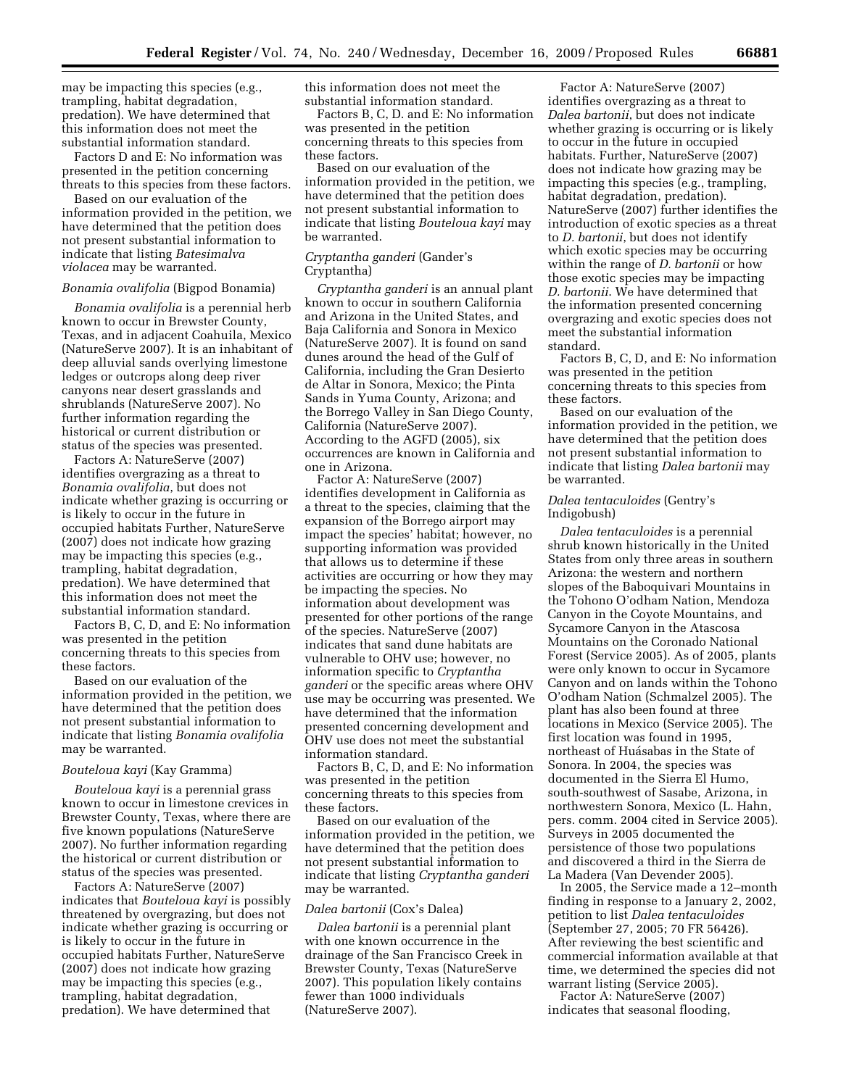may be impacting this species (e.g., trampling, habitat degradation, predation). We have determined that this information does not meet the substantial information standard.

Factors D and E: No information was presented in the petition concerning threats to this species from these factors.

Based on our evaluation of the information provided in the petition, we have determined that the petition does not present substantial information to indicate that listing *Batesimalva violacea* may be warranted.

#### *Bonamia ovalifolia* (Bigpod Bonamia)

*Bonamia ovalifolia* is a perennial herb known to occur in Brewster County, Texas, and in adjacent Coahuila, Mexico (NatureServe 2007). It is an inhabitant of deep alluvial sands overlying limestone ledges or outcrops along deep river canyons near desert grasslands and shrublands (NatureServe 2007). No further information regarding the historical or current distribution or status of the species was presented.

Factors A: NatureServe (2007) identifies overgrazing as a threat to *Bonamia ovalifolia*, but does not indicate whether grazing is occurring or is likely to occur in the future in occupied habitats Further, NatureServe (2007) does not indicate how grazing may be impacting this species (e.g., trampling, habitat degradation, predation). We have determined that this information does not meet the substantial information standard.

Factors B, C, D, and E: No information was presented in the petition concerning threats to this species from these factors.

Based on our evaluation of the information provided in the petition, we have determined that the petition does not present substantial information to indicate that listing *Bonamia ovalifolia*  may be warranted.

#### *Bouteloua kayi* (Kay Gramma)

*Bouteloua kayi* is a perennial grass known to occur in limestone crevices in Brewster County, Texas, where there are five known populations (NatureServe 2007). No further information regarding the historical or current distribution or status of the species was presented.

Factors A: NatureServe (2007) indicates that *Bouteloua kayi* is possibly threatened by overgrazing, but does not indicate whether grazing is occurring or is likely to occur in the future in occupied habitats Further, NatureServe (2007) does not indicate how grazing may be impacting this species (e.g., trampling, habitat degradation, predation). We have determined that

this information does not meet the substantial information standard.

Factors B, C, D. and E: No information was presented in the petition concerning threats to this species from these factors.

Based on our evaluation of the information provided in the petition, we have determined that the petition does not present substantial information to indicate that listing *Bouteloua kayi* may be warranted.

# *Cryptantha ganderi* (Gander's Cryptantha)

*Cryptantha ganderi* is an annual plant known to occur in southern California and Arizona in the United States, and Baja California and Sonora in Mexico (NatureServe 2007). It is found on sand dunes around the head of the Gulf of California, including the Gran Desierto de Altar in Sonora, Mexico; the Pinta Sands in Yuma County, Arizona; and the Borrego Valley in San Diego County, California (NatureServe 2007). According to the AGFD (2005), six occurrences are known in California and one in Arizona.

Factor A: NatureServe (2007) identifies development in California as a threat to the species, claiming that the expansion of the Borrego airport may impact the species' habitat; however, no supporting information was provided that allows us to determine if these activities are occurring or how they may be impacting the species. No information about development was presented for other portions of the range of the species. NatureServe (2007) indicates that sand dune habitats are vulnerable to OHV use; however, no information specific to *Cryptantha ganderi* or the specific areas where OHV use may be occurring was presented. We have determined that the information presented concerning development and OHV use does not meet the substantial information standard.

Factors B, C, D, and E: No information was presented in the petition concerning threats to this species from these factors.

Based on our evaluation of the information provided in the petition, we have determined that the petition does not present substantial information to indicate that listing *Cryptantha ganderi*  may be warranted.

#### *Dalea bartonii* (Cox's Dalea)

*Dalea bartonii* is a perennial plant with one known occurrence in the drainage of the San Francisco Creek in Brewster County, Texas (NatureServe 2007). This population likely contains fewer than 1000 individuals (NatureServe 2007).

Factor A: NatureServe (2007) identifies overgrazing as a threat to *Dalea bartonii*, but does not indicate whether grazing is occurring or is likely to occur in the future in occupied habitats. Further, NatureServe (2007) does not indicate how grazing may be impacting this species (e.g., trampling, habitat degradation, predation). NatureServe (2007) further identifies the introduction of exotic species as a threat to *D. bartonii*, but does not identify which exotic species may be occurring within the range of *D. bartonii* or how those exotic species may be impacting *D. bartonii*. We have determined that the information presented concerning overgrazing and exotic species does not meet the substantial information standard.

Factors B, C, D, and E: No information was presented in the petition concerning threats to this species from these factors.

Based on our evaluation of the information provided in the petition, we have determined that the petition does not present substantial information to indicate that listing *Dalea bartonii* may be warranted.

## *Dalea tentaculoides* (Gentry's Indigobush)

*Dalea tentaculoides* is a perennial shrub known historically in the United States from only three areas in southern Arizona: the western and northern slopes of the Baboquivari Mountains in the Tohono O'odham Nation, Mendoza Canyon in the Coyote Mountains, and Sycamore Canyon in the Atascosa Mountains on the Coronado National Forest (Service 2005). As of 2005, plants were only known to occur in Sycamore Canyon and on lands within the Tohono O'odham Nation (Schmalzel 2005). The plant has also been found at three locations in Mexico (Service 2005). The first location was found in 1995, northeast of Huásabas in the State of Sonora. In 2004, the species was documented in the Sierra El Humo, south-southwest of Sasabe, Arizona, in northwestern Sonora, Mexico (L. Hahn, pers. comm. 2004 cited in Service 2005). Surveys in 2005 documented the persistence of those two populations and discovered a third in the Sierra de La Madera (Van Devender 2005).

In 2005, the Service made a 12–month finding in response to a January 2, 2002, petition to list *Dalea tentaculoides*  (September 27, 2005; 70 FR 56426). After reviewing the best scientific and commercial information available at that time, we determined the species did not warrant listing (Service 2005).

Factor A: NatureServe (2007) indicates that seasonal flooding,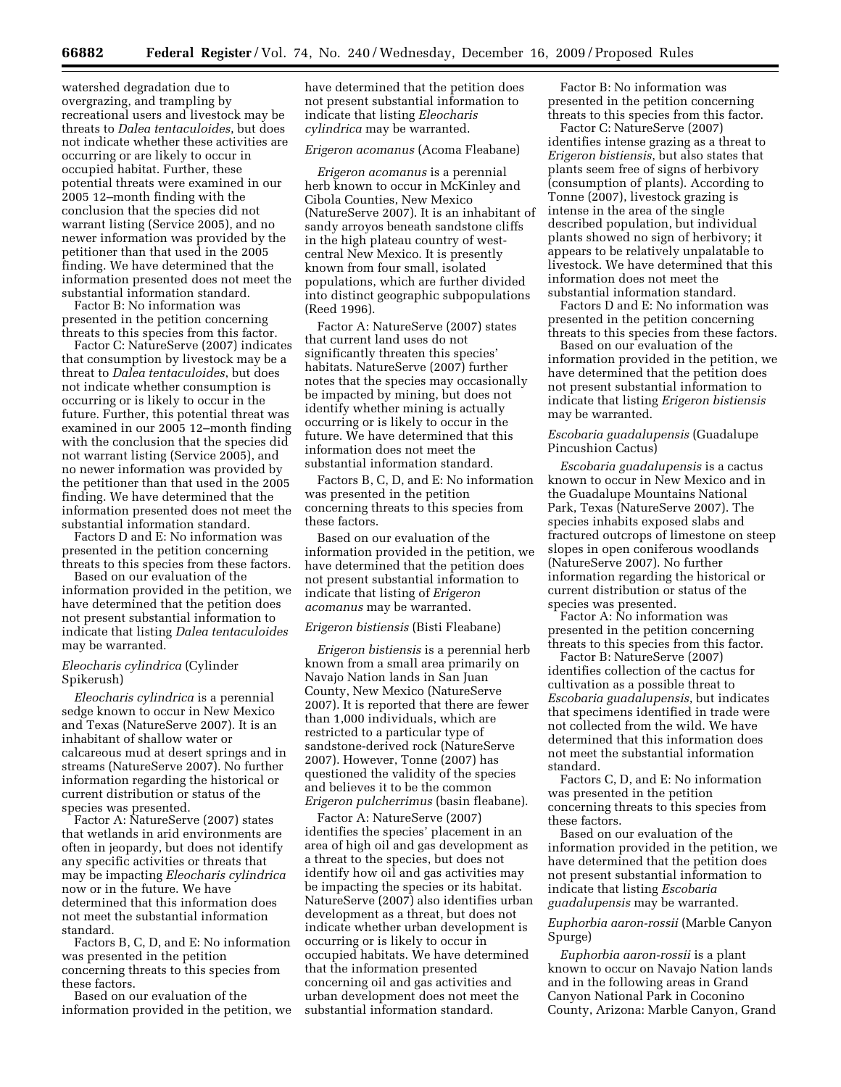watershed degradation due to overgrazing, and trampling by recreational users and livestock may be threats to *Dalea tentaculoides*, but does not indicate whether these activities are occurring or are likely to occur in occupied habitat. Further, these potential threats were examined in our 2005 12–month finding with the conclusion that the species did not warrant listing (Service 2005), and no newer information was provided by the petitioner than that used in the 2005 finding. We have determined that the information presented does not meet the substantial information standard.

Factor B: No information was presented in the petition concerning threats to this species from this factor.

Factor C: NatureServe (2007) indicates that consumption by livestock may be a threat to *Dalea tentaculoides*, but does not indicate whether consumption is occurring or is likely to occur in the future. Further, this potential threat was examined in our 2005 12–month finding with the conclusion that the species did not warrant listing (Service 2005), and no newer information was provided by the petitioner than that used in the 2005 finding. We have determined that the information presented does not meet the substantial information standard.

Factors D and E: No information was presented in the petition concerning threats to this species from these factors.

Based on our evaluation of the information provided in the petition, we have determined that the petition does not present substantial information to indicate that listing *Dalea tentaculoides*  may be warranted.

# *Eleocharis cylindrica* (Cylinder Spikerush)

*Eleocharis cylindrica* is a perennial sedge known to occur in New Mexico and Texas (NatureServe 2007). It is an inhabitant of shallow water or calcareous mud at desert springs and in streams (NatureServe 2007). No further information regarding the historical or current distribution or status of the species was presented.

Factor A: NatureServe (2007) states that wetlands in arid environments are often in jeopardy, but does not identify any specific activities or threats that may be impacting *Eleocharis cylindrica*  now or in the future. We have determined that this information does not meet the substantial information standard.

Factors B, C, D, and E: No information was presented in the petition concerning threats to this species from these factors.

Based on our evaluation of the information provided in the petition, we have determined that the petition does not present substantial information to indicate that listing *Eleocharis cylindrica* may be warranted.

#### *Erigeron acomanus* (Acoma Fleabane)

*Erigeron acomanus* is a perennial herb known to occur in McKinley and Cibola Counties, New Mexico (NatureServe 2007). It is an inhabitant of sandy arroyos beneath sandstone cliffs in the high plateau country of westcentral New Mexico. It is presently known from four small, isolated populations, which are further divided into distinct geographic subpopulations (Reed 1996).

Factor A: NatureServe (2007) states that current land uses do not significantly threaten this species' habitats. NatureServe (2007) further notes that the species may occasionally be impacted by mining, but does not identify whether mining is actually occurring or is likely to occur in the future. We have determined that this information does not meet the substantial information standard.

Factors B, C, D, and E: No information was presented in the petition concerning threats to this species from these factors.

Based on our evaluation of the information provided in the petition, we have determined that the petition does not present substantial information to indicate that listing of *Erigeron acomanus* may be warranted.

#### *Erigeron bistiensis* (Bisti Fleabane)

*Erigeron bistiensis* is a perennial herb known from a small area primarily on Navajo Nation lands in San Juan County, New Mexico (NatureServe 2007). It is reported that there are fewer than 1,000 individuals, which are restricted to a particular type of sandstone-derived rock (NatureServe 2007). However, Tonne (2007) has questioned the validity of the species and believes it to be the common *Erigeron pulcherrimus* (basin fleabane).

Factor A: NatureServe (2007) identifies the species' placement in an area of high oil and gas development as a threat to the species, but does not identify how oil and gas activities may be impacting the species or its habitat. NatureServe (2007) also identifies urban development as a threat, but does not indicate whether urban development is occurring or is likely to occur in occupied habitats. We have determined that the information presented concerning oil and gas activities and urban development does not meet the substantial information standard.

Factor B: No information was presented in the petition concerning threats to this species from this factor.

Factor C: NatureServe (2007) identifies intense grazing as a threat to *Erigeron bistiensis*, but also states that plants seem free of signs of herbivory (consumption of plants). According to Tonne (2007), livestock grazing is intense in the area of the single described population, but individual plants showed no sign of herbivory; it appears to be relatively unpalatable to livestock. We have determined that this information does not meet the substantial information standard.

Factors D and E: No information was presented in the petition concerning threats to this species from these factors.

Based on our evaluation of the information provided in the petition, we have determined that the petition does not present substantial information to indicate that listing *Erigeron bistiensis*  may be warranted.

# *Escobaria guadalupensis* (Guadalupe Pincushion Cactus)

*Escobaria guadalupensis* is a cactus known to occur in New Mexico and in the Guadalupe Mountains National Park, Texas (NatureServe 2007). The species inhabits exposed slabs and fractured outcrops of limestone on steep slopes in open coniferous woodlands (NatureServe 2007). No further information regarding the historical or current distribution or status of the species was presented.

Factor A: No information was presented in the petition concerning threats to this species from this factor.

Factor B: NatureServe (2007) identifies collection of the cactus for cultivation as a possible threat to *Escobaria guadalupensis*, but indicates that specimens identified in trade were not collected from the wild. We have determined that this information does not meet the substantial information standard.

Factors C, D, and E: No information was presented in the petition concerning threats to this species from these factors.

Based on our evaluation of the information provided in the petition, we have determined that the petition does not present substantial information to indicate that listing *Escobaria guadalupensis* may be warranted.

# *Euphorbia aaron-rossii* (Marble Canyon Spurge)

*Euphorbia aaron-rossii* is a plant known to occur on Navajo Nation lands and in the following areas in Grand Canyon National Park in Coconino County, Arizona: Marble Canyon, Grand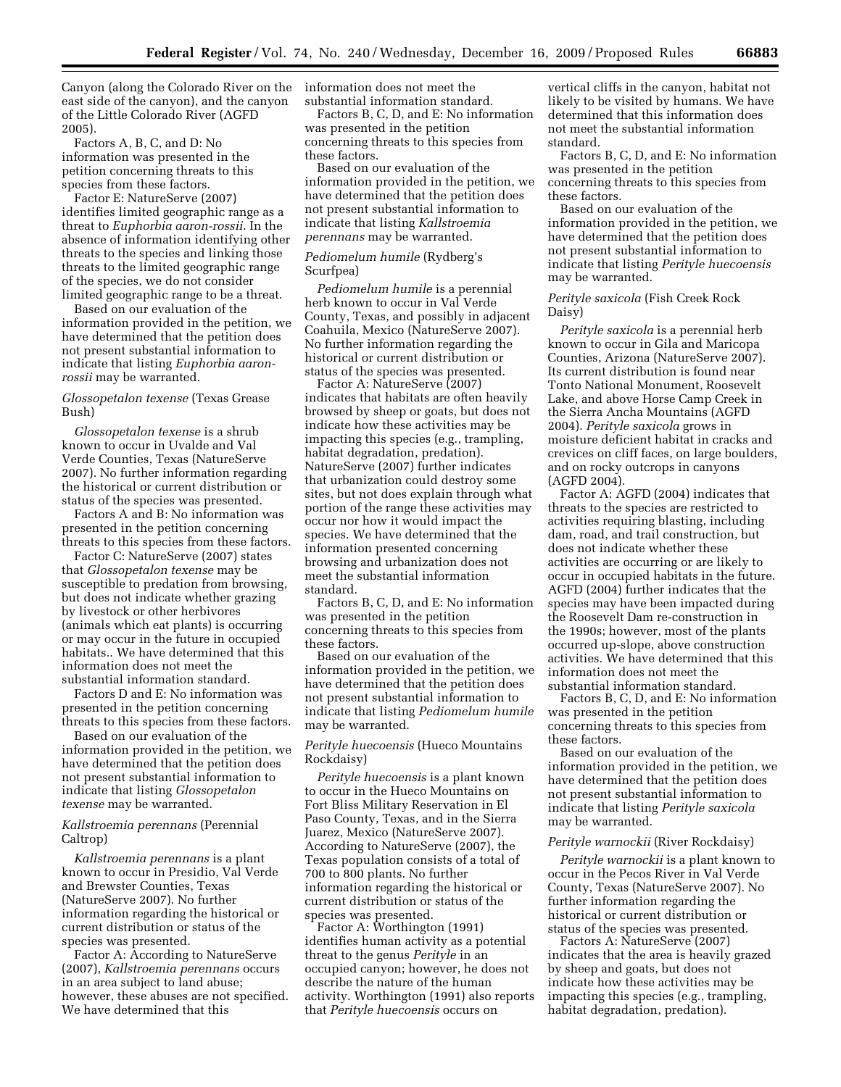Canyon (along the Colorado River on the information does not meet the east side of the canyon), and the canyon of the Little Colorado River (AGFD 2005).

Factors A, B, C, and D: No information was presented in the petition concerning threats to this species from these factors.

Factor E: NatureServe (2007) identifies limited geographic range as a threat to *Euphorbia aaron-rossii*. In the absence of information identifying other threats to the species and linking those threats to the limited geographic range of the species, we do not consider limited geographic range to be a threat.

Based on our evaluation of the information provided in the petition, we have determined that the petition does not present substantial information to indicate that listing *Euphorbia aaronrossii* may be warranted.

# *Glossopetalon texense* (Texas Grease Bush)

*Glossopetalon texense* is a shrub known to occur in Uvalde and Val Verde Counties, Texas (NatureServe 2007). No further information regarding the historical or current distribution or status of the species was presented.

Factors A and B: No information was presented in the petition concerning threats to this species from these factors.

Factor C: NatureServe (2007) states that *Glossopetalon texense* may be susceptible to predation from browsing, but does not indicate whether grazing by livestock or other herbivores (animals which eat plants) is occurring or may occur in the future in occupied habitats.. We have determined that this information does not meet the substantial information standard.

Factors D and E: No information was presented in the petition concerning threats to this species from these factors.

Based on our evaluation of the information provided in the petition, we have determined that the petition does not present substantial information to indicate that listing *Glossopetalon texense* may be warranted.

### *Kallstroemia perennans* (Perennial Caltrop)

*Kallstroemia perennans* is a plant known to occur in Presidio, Val Verde and Brewster Counties, Texas (NatureServe 2007). No further information regarding the historical or current distribution or status of the species was presented.

Factor A: According to NatureServe (2007), *Kallstroemia perennans* occurs in an area subject to land abuse; however, these abuses are not specified. We have determined that this

substantial information standard.

Factors B, C, D, and E: No information was presented in the petition concerning threats to this species from these factors.

Based on our evaluation of the information provided in the petition, we have determined that the petition does not present substantial information to indicate that listing *Kallstroemia perennans* may be warranted.

# *Pediomelum humile* (Rydberg's Scurfpea)

*Pediomelum humile* is a perennial herb known to occur in Val Verde County, Texas, and possibly in adjacent Coahuila, Mexico (NatureServe 2007). No further information regarding the historical or current distribution or status of the species was presented.

Factor A: NatureServe (2007) indicates that habitats are often heavily browsed by sheep or goats, but does not indicate how these activities may be impacting this species (e.g., trampling, habitat degradation, predation). NatureServe (2007) further indicates that urbanization could destroy some sites, but not does explain through what portion of the range these activities may occur nor how it would impact the species. We have determined that the information presented concerning browsing and urbanization does not meet the substantial information standard.

Factors B, C, D, and E: No information was presented in the petition concerning threats to this species from these factors.

Based on our evaluation of the information provided in the petition, we have determined that the petition does not present substantial information to indicate that listing *Pediomelum humile*  may be warranted.

*Perityle huecoensis* (Hueco Mountains Rockdaisy)

*Perityle huecoensis* is a plant known to occur in the Hueco Mountains on Fort Bliss Military Reservation in El Paso County, Texas, and in the Sierra Juarez, Mexico (NatureServe 2007). According to NatureServe (2007), the Texas population consists of a total of 700 to 800 plants. No further information regarding the historical or current distribution or status of the species was presented.

Factor A: Worthington (1991) identifies human activity as a potential threat to the genus *Perityle* in an occupied canyon; however, he does not describe the nature of the human activity. Worthington (1991) also reports that *Perityle huecoensis* occurs on

vertical cliffs in the canyon, habitat not likely to be visited by humans. We have determined that this information does not meet the substantial information standard.

Factors B, C, D, and E: No information was presented in the petition concerning threats to this species from these factors.

Based on our evaluation of the information provided in the petition, we have determined that the petition does not present substantial information to indicate that listing *Perityle huecoensis*  may be warranted.

*Perityle saxicola* (Fish Creek Rock Daisy)

*Perityle saxicola* is a perennial herb known to occur in Gila and Maricopa Counties, Arizona (NatureServe 2007). Its current distribution is found near Tonto National Monument, Roosevelt Lake, and above Horse Camp Creek in the Sierra Ancha Mountains (AGFD 2004). *Perityle saxicola* grows in moisture deficient habitat in cracks and crevices on cliff faces, on large boulders, and on rocky outcrops in canyons (AGFD 2004).

Factor A: AGFD (2004) indicates that threats to the species are restricted to activities requiring blasting, including dam, road, and trail construction, but does not indicate whether these activities are occurring or are likely to occur in occupied habitats in the future. AGFD (2004) further indicates that the species may have been impacted during the Roosevelt Dam re-construction in the 1990s; however, most of the plants occurred up-slope, above construction activities. We have determined that this information does not meet the substantial information standard.

Factors B, C, D, and E: No information was presented in the petition concerning threats to this species from these factors.

Based on our evaluation of the information provided in the petition, we have determined that the petition does not present substantial information to indicate that listing *Perityle saxicola*  may be warranted.

#### *Perityle warnockii* (River Rockdaisy)

*Perityle warnockii* is a plant known to occur in the Pecos River in Val Verde County, Texas (NatureServe 2007). No further information regarding the historical or current distribution or status of the species was presented.

Factors A: NatureServe (2007) indicates that the area is heavily grazed by sheep and goats, but does not indicate how these activities may be impacting this species (e.g., trampling, habitat degradation, predation).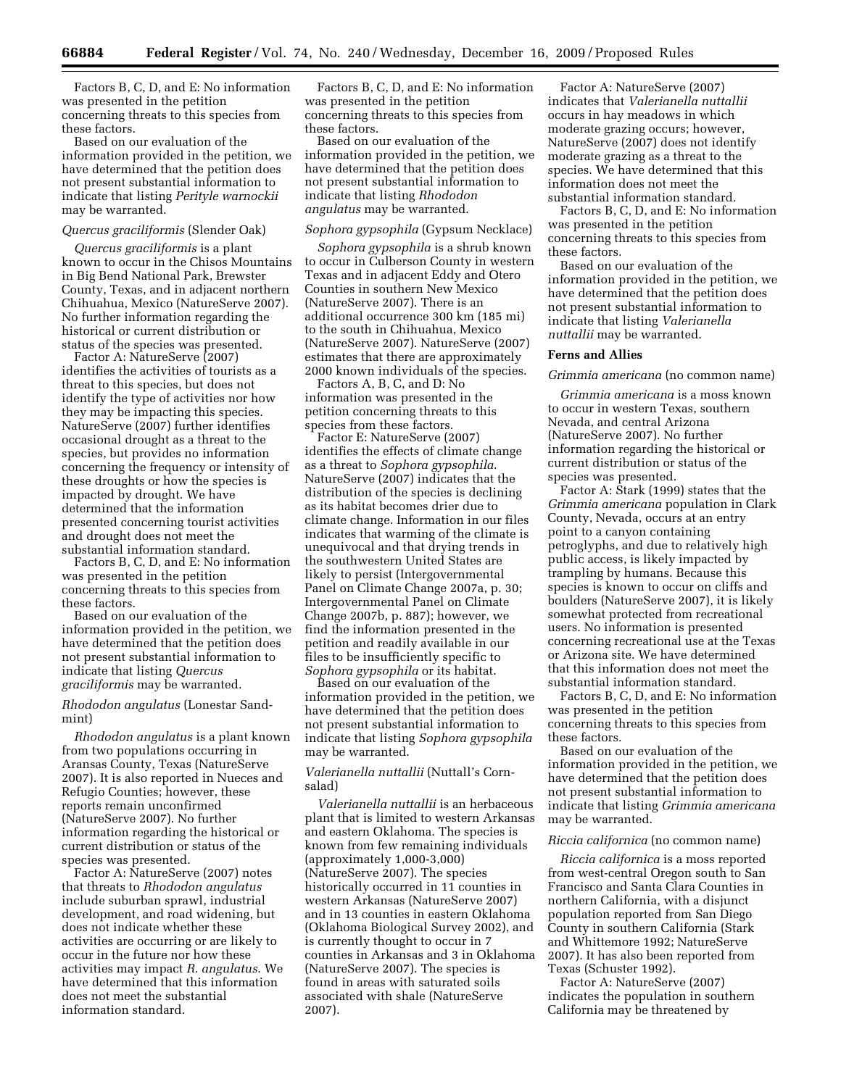Factors B, C, D, and E: No information was presented in the petition concerning threats to this species from these factors.

Based on our evaluation of the information provided in the petition, we have determined that the petition does not present substantial information to indicate that listing *Perityle warnockii*  may be warranted.

#### *Quercus graciliformis* (Slender Oak)

*Quercus graciliformis* is a plant known to occur in the Chisos Mountains in Big Bend National Park, Brewster County, Texas, and in adjacent northern Chihuahua, Mexico (NatureServe 2007). No further information regarding the historical or current distribution or status of the species was presented.

Factor A: NatureServe (2007) identifies the activities of tourists as a threat to this species, but does not identify the type of activities nor how they may be impacting this species. NatureServe (2007) further identifies occasional drought as a threat to the species, but provides no information concerning the frequency or intensity of these droughts or how the species is impacted by drought. We have determined that the information presented concerning tourist activities and drought does not meet the substantial information standard.

Factors B, C, D, and E: No information was presented in the petition concerning threats to this species from these factors.

Based on our evaluation of the information provided in the petition, we have determined that the petition does not present substantial information to indicate that listing *Quercus graciliformis* may be warranted.

*Rhododon angulatus* (Lonestar Sandmint)

*Rhododon angulatus* is a plant known from two populations occurring in Aransas County, Texas (NatureServe 2007). It is also reported in Nueces and Refugio Counties; however, these reports remain unconfirmed (NatureServe 2007). No further information regarding the historical or current distribution or status of the species was presented.

Factor A: NatureServe (2007) notes that threats to *Rhododon angulatus*  include suburban sprawl, industrial development, and road widening, but does not indicate whether these activities are occurring or are likely to occur in the future nor how these activities may impact *R. angulatus*. We have determined that this information does not meet the substantial information standard.

Factors B, C, D, and E: No information was presented in the petition concerning threats to this species from these factors.

Based on our evaluation of the information provided in the petition, we have determined that the petition does not present substantial information to indicate that listing *Rhododon angulatus* may be warranted.

#### *Sophora gypsophila* (Gypsum Necklace)

*Sophora gypsophila* is a shrub known to occur in Culberson County in western Texas and in adjacent Eddy and Otero Counties in southern New Mexico (NatureServe 2007). There is an additional occurrence 300 km (185 mi) to the south in Chihuahua, Mexico (NatureServe 2007). NatureServe (2007) estimates that there are approximately 2000 known individuals of the species.

Factors A, B, C, and D: No information was presented in the petition concerning threats to this species from these factors.

Factor E: NatureServe (2007) identifies the effects of climate change as a threat to *Sophora gypsophila*. NatureServe (2007) indicates that the distribution of the species is declining as its habitat becomes drier due to climate change. Information in our files indicates that warming of the climate is unequivocal and that drying trends in the southwestern United States are likely to persist (Intergovernmental Panel on Climate Change 2007a, p. 30; Intergovernmental Panel on Climate Change 2007b, p. 887); however, we find the information presented in the petition and readily available in our files to be insufficiently specific to *Sophora gypsophila* or its habitat.

Based on our evaluation of the information provided in the petition, we have determined that the petition does not present substantial information to indicate that listing *Sophora gypsophila*  may be warranted.

# *Valerianella nuttallii* (Nuttall's Cornsalad)

*Valerianella nuttallii* is an herbaceous plant that is limited to western Arkansas and eastern Oklahoma. The species is known from few remaining individuals (approximately 1,000-3,000) (NatureServe 2007). The species historically occurred in 11 counties in western Arkansas (NatureServe 2007) and in 13 counties in eastern Oklahoma (Oklahoma Biological Survey 2002), and is currently thought to occur in 7 counties in Arkansas and 3 in Oklahoma (NatureServe 2007). The species is found in areas with saturated soils associated with shale (NatureServe 2007).

Factor A: NatureServe (2007) indicates that *Valerianella nuttallii*  occurs in hay meadows in which moderate grazing occurs; however, NatureServe (2007) does not identify moderate grazing as a threat to the species. We have determined that this information does not meet the substantial information standard.

Factors B, C, D, and E: No information was presented in the petition concerning threats to this species from these factors.

Based on our evaluation of the information provided in the petition, we have determined that the petition does not present substantial information to indicate that listing *Valerianella nuttallii* may be warranted.

# **Ferns and Allies**

*Grimmia americana* (no common name)

*Grimmia americana* is a moss known to occur in western Texas, southern Nevada, and central Arizona (NatureServe 2007). No further information regarding the historical or current distribution or status of the species was presented.

Factor A: Stark (1999) states that the *Grimmia americana* population in Clark County, Nevada, occurs at an entry point to a canyon containing petroglyphs, and due to relatively high public access, is likely impacted by trampling by humans. Because this species is known to occur on cliffs and boulders (NatureServe 2007), it is likely somewhat protected from recreational users. No information is presented concerning recreational use at the Texas or Arizona site. We have determined that this information does not meet the substantial information standard.

Factors B, C, D, and E: No information was presented in the petition concerning threats to this species from these factors.

Based on our evaluation of the information provided in the petition, we have determined that the petition does not present substantial information to indicate that listing *Grimmia americana*  may be warranted.

### *Riccia californica* (no common name)

*Riccia californica* is a moss reported from west-central Oregon south to San Francisco and Santa Clara Counties in northern California, with a disjunct population reported from San Diego County in southern California (Stark and Whittemore 1992; NatureServe 2007). It has also been reported from Texas (Schuster 1992).

Factor A: NatureServe (2007) indicates the population in southern California may be threatened by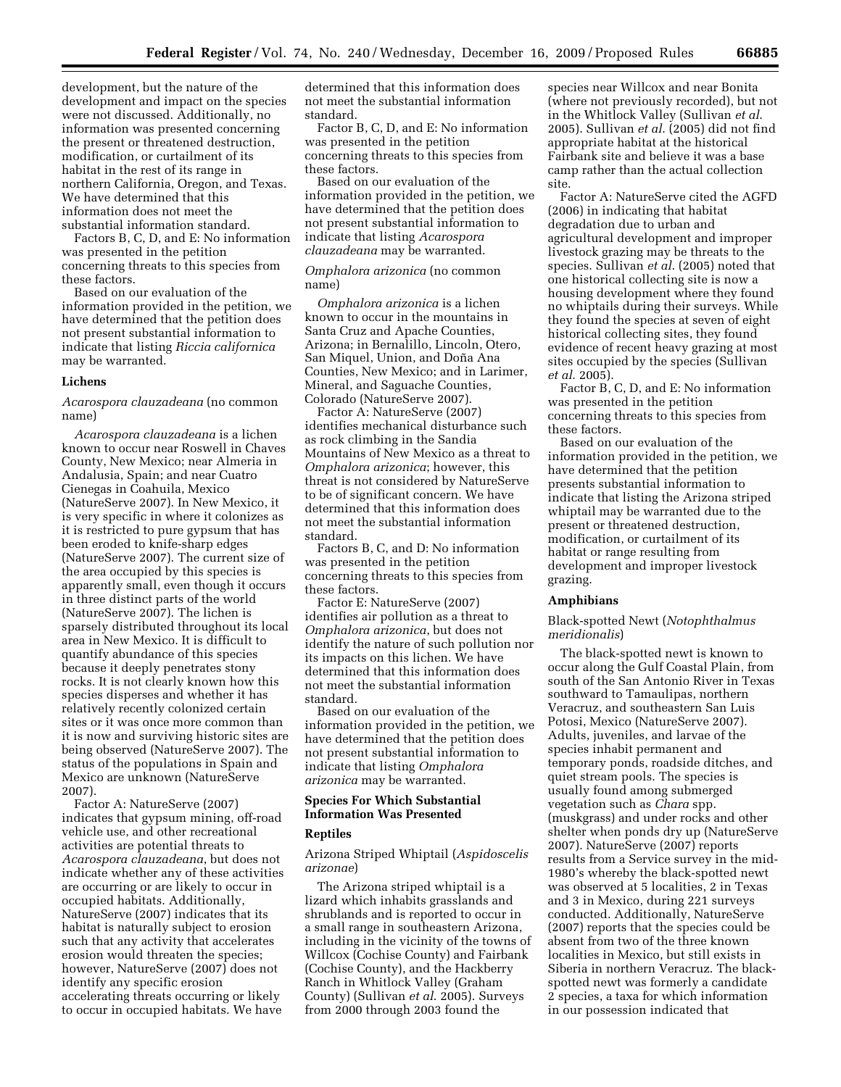development, but the nature of the development and impact on the species were not discussed. Additionally, no information was presented concerning the present or threatened destruction, modification, or curtailment of its habitat in the rest of its range in northern California, Oregon, and Texas. We have determined that this information does not meet the substantial information standard.

Factors B, C, D, and E: No information was presented in the petition concerning threats to this species from these factors.

Based on our evaluation of the information provided in the petition, we have determined that the petition does not present substantial information to indicate that listing *Riccia californica*  may be warranted.

### **Lichens**

*Acarospora clauzadeana* (no common name)

*Acarospora clauzadeana* is a lichen known to occur near Roswell in Chaves County, New Mexico; near Almeria in Andalusia, Spain; and near Cuatro Cienegas in Coahuila, Mexico (NatureServe 2007). In New Mexico, it is very specific in where it colonizes as it is restricted to pure gypsum that has been eroded to knife-sharp edges (NatureServe 2007). The current size of the area occupied by this species is apparently small, even though it occurs in three distinct parts of the world (NatureServe 2007). The lichen is sparsely distributed throughout its local area in New Mexico. It is difficult to quantify abundance of this species because it deeply penetrates stony rocks. It is not clearly known how this species disperses and whether it has relatively recently colonized certain sites or it was once more common than it is now and surviving historic sites are being observed (NatureServe 2007). The status of the populations in Spain and Mexico are unknown (NatureServe 2007).

Factor A: NatureServe (2007) indicates that gypsum mining, off-road vehicle use, and other recreational activities are potential threats to *Acarospora clauzadeana*, but does not indicate whether any of these activities are occurring or are likely to occur in occupied habitats. Additionally, NatureServe (2007) indicates that its habitat is naturally subject to erosion such that any activity that accelerates erosion would threaten the species; however, NatureServe (2007) does not identify any specific erosion accelerating threats occurring or likely to occur in occupied habitats. We have

determined that this information does not meet the substantial information standard.

Factor B, C, D, and E: No information was presented in the petition concerning threats to this species from these factors.

Based on our evaluation of the information provided in the petition, we have determined that the petition does not present substantial information to indicate that listing *Acarospora clauzadeana* may be warranted.

# *Omphalora arizonica* (no common name)

*Omphalora arizonica* is a lichen known to occur in the mountains in Santa Cruz and Apache Counties, Arizona; in Bernalillo, Lincoln, Otero, San Miquel, Union, and Doña Ana Counties, New Mexico; and in Larimer, Mineral, and Saguache Counties, Colorado (NatureServe 2007).

Factor A: NatureServe (2007) identifies mechanical disturbance such as rock climbing in the Sandia Mountains of New Mexico as a threat to *Omphalora arizonica*; however, this threat is not considered by NatureServe to be of significant concern. We have determined that this information does not meet the substantial information standard.

Factors B, C, and D: No information was presented in the petition concerning threats to this species from these factors.

Factor E: NatureServe (2007) identifies air pollution as a threat to *Omphalora arizonica*, but does not identify the nature of such pollution nor its impacts on this lichen. We have determined that this information does not meet the substantial information standard.

Based on our evaluation of the information provided in the petition, we have determined that the petition does not present substantial information to indicate that listing *Omphalora arizonica* may be warranted.

# **Species For Which Substantial Information Was Presented**

# **Reptiles**

Arizona Striped Whiptail (*Aspidoscelis arizonae*)

The Arizona striped whiptail is a lizard which inhabits grasslands and shrublands and is reported to occur in a small range in southeastern Arizona, including in the vicinity of the towns of Willcox (Cochise County) and Fairbank (Cochise County), and the Hackberry Ranch in Whitlock Valley (Graham County) (Sullivan *et al*. 2005). Surveys from 2000 through 2003 found the

species near Willcox and near Bonita (where not previously recorded), but not in the Whitlock Valley (Sullivan *et al*. 2005). Sullivan *et al*. (2005) did not find appropriate habitat at the historical Fairbank site and believe it was a base camp rather than the actual collection site.

Factor A: NatureServe cited the AGFD (2006) in indicating that habitat degradation due to urban and agricultural development and improper livestock grazing may be threats to the species. Sullivan *et al*. (2005) noted that one historical collecting site is now a housing development where they found no whiptails during their surveys. While they found the species at seven of eight historical collecting sites, they found evidence of recent heavy grazing at most sites occupied by the species (Sullivan *et al*. 2005).

Factor B, C, D, and E: No information was presented in the petition concerning threats to this species from these factors.

Based on our evaluation of the information provided in the petition, we have determined that the petition presents substantial information to indicate that listing the Arizona striped whiptail may be warranted due to the present or threatened destruction, modification, or curtailment of its habitat or range resulting from development and improper livestock grazing.

#### **Amphibians**

# Black-spotted Newt (*Notophthalmus meridionalis*)

The black-spotted newt is known to occur along the Gulf Coastal Plain, from south of the San Antonio River in Texas southward to Tamaulipas, northern Veracruz, and southeastern San Luis Potosi, Mexico (NatureServe 2007). Adults, juveniles, and larvae of the species inhabit permanent and temporary ponds, roadside ditches, and quiet stream pools. The species is usually found among submerged vegetation such as *Chara* spp. (muskgrass) and under rocks and other shelter when ponds dry up (NatureServe 2007). NatureServe (2007) reports results from a Service survey in the mid-1980's whereby the black-spotted newt was observed at 5 localities, 2 in Texas and 3 in Mexico, during 221 surveys conducted. Additionally, NatureServe (2007) reports that the species could be absent from two of the three known localities in Mexico, but still exists in Siberia in northern Veracruz. The blackspotted newt was formerly a candidate 2 species, a taxa for which information in our possession indicated that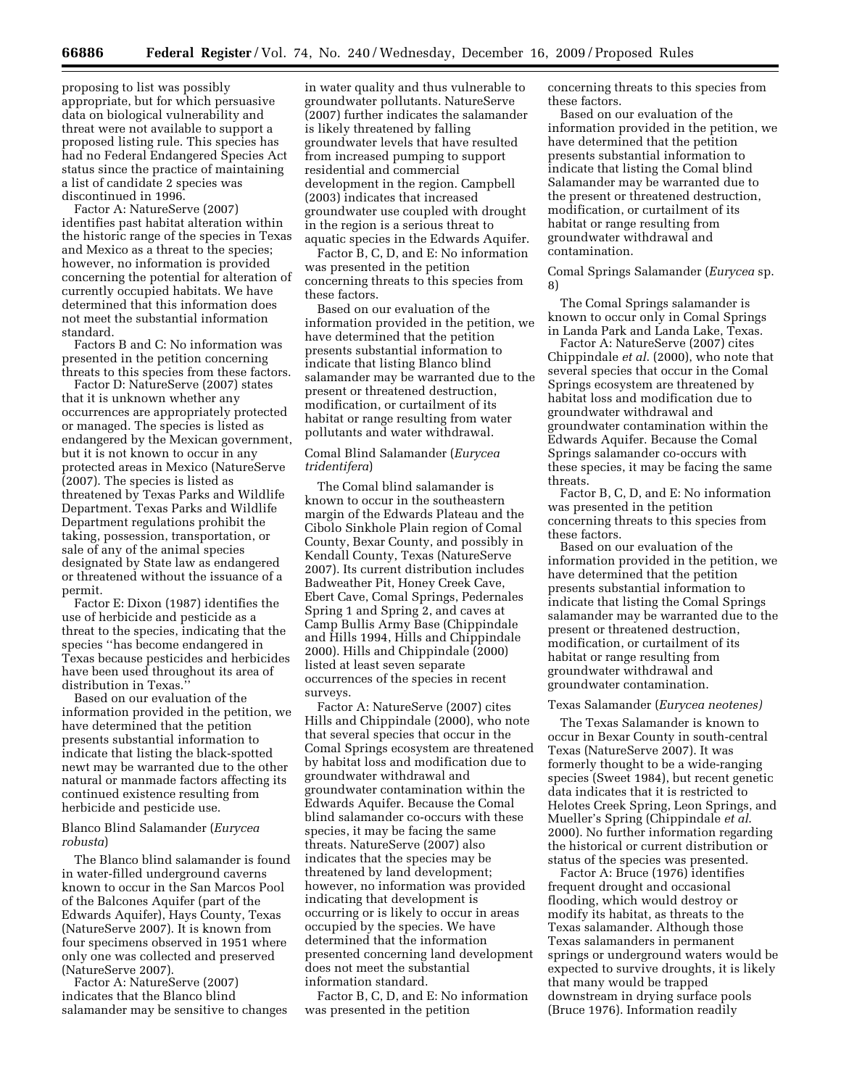proposing to list was possibly appropriate, but for which persuasive data on biological vulnerability and threat were not available to support a proposed listing rule. This species has had no Federal Endangered Species Act status since the practice of maintaining a list of candidate 2 species was discontinued in 1996.

Factor A: NatureServe (2007) identifies past habitat alteration within the historic range of the species in Texas and Mexico as a threat to the species; however, no information is provided concerning the potential for alteration of currently occupied habitats. We have determined that this information does not meet the substantial information standard.

Factors B and C: No information was presented in the petition concerning threats to this species from these factors.

Factor D: NatureServe (2007) states that it is unknown whether any occurrences are appropriately protected or managed. The species is listed as endangered by the Mexican government, but it is not known to occur in any protected areas in Mexico (NatureServe (2007). The species is listed as threatened by Texas Parks and Wildlife Department. Texas Parks and Wildlife Department regulations prohibit the taking, possession, transportation, or sale of any of the animal species designated by State law as endangered or threatened without the issuance of a permit.

Factor E: Dixon (1987) identifies the use of herbicide and pesticide as a threat to the species, indicating that the species ''has become endangered in Texas because pesticides and herbicides have been used throughout its area of distribution in Texas.''

Based on our evaluation of the information provided in the petition, we have determined that the petition presents substantial information to indicate that listing the black-spotted newt may be warranted due to the other natural or manmade factors affecting its continued existence resulting from herbicide and pesticide use.

# Blanco Blind Salamander (*Eurycea robusta*)

The Blanco blind salamander is found in water-filled underground caverns known to occur in the San Marcos Pool of the Balcones Aquifer (part of the Edwards Aquifer), Hays County, Texas (NatureServe 2007). It is known from four specimens observed in 1951 where only one was collected and preserved (NatureServe 2007).

Factor A: NatureServe (2007) indicates that the Blanco blind salamander may be sensitive to changes

in water quality and thus vulnerable to groundwater pollutants. NatureServe (2007) further indicates the salamander is likely threatened by falling groundwater levels that have resulted from increased pumping to support residential and commercial development in the region. Campbell (2003) indicates that increased groundwater use coupled with drought in the region is a serious threat to aquatic species in the Edwards Aquifer.

Factor B, C, D, and E: No information was presented in the petition concerning threats to this species from these factors.

Based on our evaluation of the information provided in the petition, we have determined that the petition presents substantial information to indicate that listing Blanco blind salamander may be warranted due to the present or threatened destruction, modification, or curtailment of its habitat or range resulting from water pollutants and water withdrawal.

# Comal Blind Salamander (*Eurycea tridentifera*)

The Comal blind salamander is known to occur in the southeastern margin of the Edwards Plateau and the Cibolo Sinkhole Plain region of Comal County, Bexar County, and possibly in Kendall County, Texas (NatureServe 2007). Its current distribution includes Badweather Pit, Honey Creek Cave, Ebert Cave, Comal Springs, Pedernales Spring 1 and Spring 2, and caves at Camp Bullis Army Base (Chippindale and Hills 1994, Hills and Chippindale 2000). Hills and Chippindale (2000) listed at least seven separate occurrences of the species in recent surveys.

Factor A: NatureServe (2007) cites Hills and Chippindale (2000), who note that several species that occur in the Comal Springs ecosystem are threatened by habitat loss and modification due to groundwater withdrawal and groundwater contamination within the Edwards Aquifer. Because the Comal blind salamander co-occurs with these species, it may be facing the same threats. NatureServe (2007) also indicates that the species may be threatened by land development; however, no information was provided indicating that development is occurring or is likely to occur in areas occupied by the species. We have determined that the information presented concerning land development does not meet the substantial information standard.

Factor B, C, D, and E: No information was presented in the petition

concerning threats to this species from these factors.

Based on our evaluation of the information provided in the petition, we have determined that the petition presents substantial information to indicate that listing the Comal blind Salamander may be warranted due to the present or threatened destruction, modification, or curtailment of its habitat or range resulting from groundwater withdrawal and contamination.

Comal Springs Salamander (*Eurycea* sp. 8)

The Comal Springs salamander is known to occur only in Comal Springs in Landa Park and Landa Lake, Texas.

Factor A: NatureServe (2007) cites Chippindale *et al*. (2000), who note that several species that occur in the Comal Springs ecosystem are threatened by habitat loss and modification due to groundwater withdrawal and groundwater contamination within the Edwards Aquifer. Because the Comal Springs salamander co-occurs with these species, it may be facing the same threats.

Factor B, C, D, and E: No information was presented in the petition concerning threats to this species from these factors.

Based on our evaluation of the information provided in the petition, we have determined that the petition presents substantial information to indicate that listing the Comal Springs salamander may be warranted due to the present or threatened destruction, modification, or curtailment of its habitat or range resulting from groundwater withdrawal and groundwater contamination.

#### Texas Salamander (*Eurycea neotenes)*

The Texas Salamander is known to occur in Bexar County in south-central Texas (NatureServe 2007). It was formerly thought to be a wide-ranging species (Sweet 1984), but recent genetic data indicates that it is restricted to Helotes Creek Spring, Leon Springs, and Mueller's Spring (Chippindale *et al*. 2000). No further information regarding the historical or current distribution or status of the species was presented.

Factor A: Bruce (1976) identifies frequent drought and occasional flooding, which would destroy or modify its habitat, as threats to the Texas salamander. Although those Texas salamanders in permanent springs or underground waters would be expected to survive droughts, it is likely that many would be trapped downstream in drying surface pools (Bruce 1976). Information readily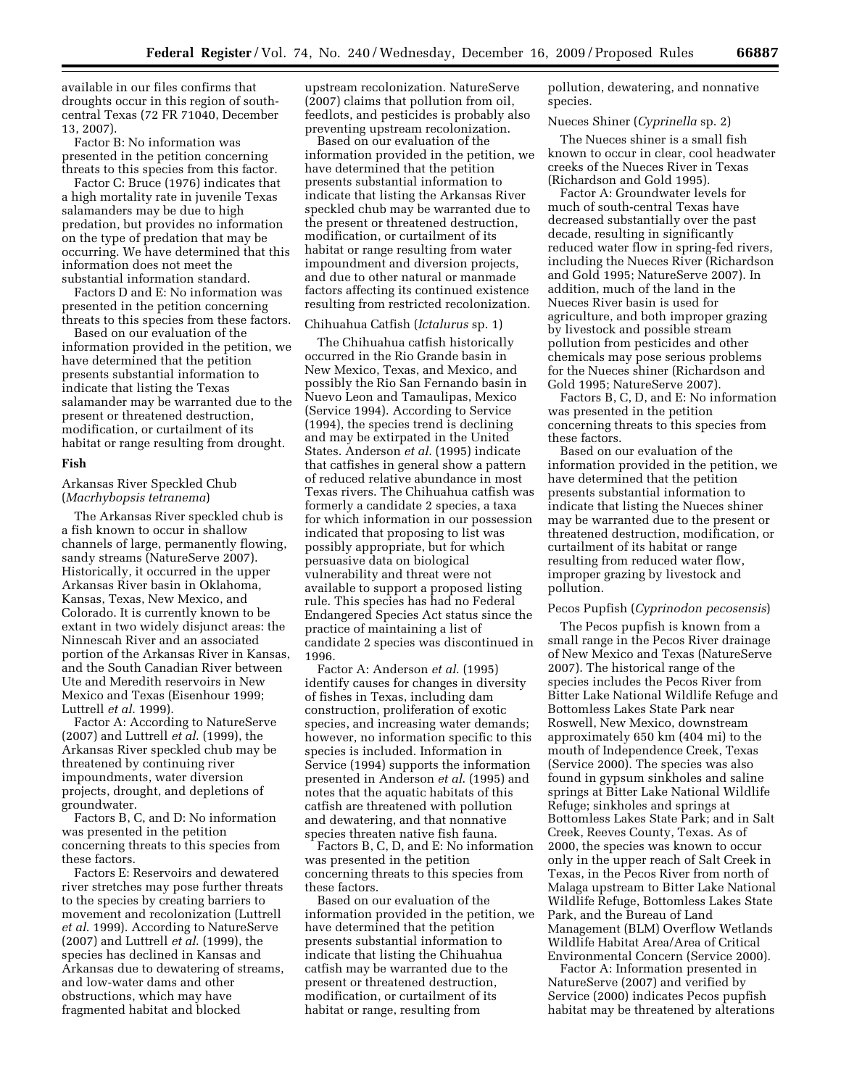available in our files confirms that droughts occur in this region of southcentral Texas (72 FR 71040, December 13, 2007).

Factor B: No information was presented in the petition concerning threats to this species from this factor.

Factor C: Bruce (1976) indicates that a high mortality rate in juvenile Texas salamanders may be due to high predation, but provides no information on the type of predation that may be occurring. We have determined that this information does not meet the substantial information standard.

Factors D and E: No information was presented in the petition concerning threats to this species from these factors.

Based on our evaluation of the information provided in the petition, we have determined that the petition presents substantial information to indicate that listing the Texas salamander may be warranted due to the present or threatened destruction, modification, or curtailment of its habitat or range resulting from drought.

#### **Fish**

Arkansas River Speckled Chub (*Macrhybopsis tetranema*)

The Arkansas River speckled chub is a fish known to occur in shallow channels of large, permanently flowing, sandy streams (NatureServe 2007). Historically, it occurred in the upper Arkansas River basin in Oklahoma, Kansas, Texas, New Mexico, and Colorado. It is currently known to be extant in two widely disjunct areas: the Ninnescah River and an associated portion of the Arkansas River in Kansas, and the South Canadian River between Ute and Meredith reservoirs in New Mexico and Texas (Eisenhour 1999; Luttrell *et al*. 1999).

Factor A: According to NatureServe (2007) and Luttrell *et al*. (1999), the Arkansas River speckled chub may be threatened by continuing river impoundments, water diversion projects, drought, and depletions of groundwater.

Factors B, C, and D: No information was presented in the petition concerning threats to this species from these factors.

Factors E: Reservoirs and dewatered river stretches may pose further threats to the species by creating barriers to movement and recolonization (Luttrell *et al*. 1999). According to NatureServe (2007) and Luttrell *et al*. (1999), the species has declined in Kansas and Arkansas due to dewatering of streams, and low-water dams and other obstructions, which may have fragmented habitat and blocked

upstream recolonization. NatureServe (2007) claims that pollution from oil, feedlots, and pesticides is probably also preventing upstream recolonization.

Based on our evaluation of the information provided in the petition, we have determined that the petition presents substantial information to indicate that listing the Arkansas River speckled chub may be warranted due to the present or threatened destruction, modification, or curtailment of its habitat or range resulting from water impoundment and diversion projects, and due to other natural or manmade factors affecting its continued existence resulting from restricted recolonization.

# Chihuahua Catfish (*Ictalurus* sp. 1)

The Chihuahua catfish historically occurred in the Rio Grande basin in New Mexico, Texas, and Mexico, and possibly the Rio San Fernando basin in Nuevo Leon and Tamaulipas, Mexico (Service 1994). According to Service (1994), the species trend is declining and may be extirpated in the United States. Anderson *et al*. (1995) indicate that catfishes in general show a pattern of reduced relative abundance in most Texas rivers. The Chihuahua catfish was formerly a candidate 2 species, a taxa for which information in our possession indicated that proposing to list was possibly appropriate, but for which persuasive data on biological vulnerability and threat were not available to support a proposed listing rule. This species has had no Federal Endangered Species Act status since the practice of maintaining a list of candidate 2 species was discontinued in 1996.

Factor A: Anderson *et al*. (1995) identify causes for changes in diversity of fishes in Texas, including dam construction, proliferation of exotic species, and increasing water demands; however, no information specific to this species is included. Information in Service (1994) supports the information presented in Anderson *et al*. (1995) and notes that the aquatic habitats of this catfish are threatened with pollution and dewatering, and that nonnative species threaten native fish fauna.

Factors B, C, D, and E: No information was presented in the petition concerning threats to this species from these factors.

Based on our evaluation of the information provided in the petition, we have determined that the petition presents substantial information to indicate that listing the Chihuahua catfish may be warranted due to the present or threatened destruction, modification, or curtailment of its habitat or range, resulting from

pollution, dewatering, and nonnative species.

# Nueces Shiner (*Cyprinella* sp. 2)

The Nueces shiner is a small fish known to occur in clear, cool headwater creeks of the Nueces River in Texas (Richardson and Gold 1995).

Factor A: Groundwater levels for much of south-central Texas have decreased substantially over the past decade, resulting in significantly reduced water flow in spring-fed rivers, including the Nueces River (Richardson and Gold 1995; NatureServe 2007). In addition, much of the land in the Nueces River basin is used for agriculture, and both improper grazing by livestock and possible stream pollution from pesticides and other chemicals may pose serious problems for the Nueces shiner (Richardson and Gold 1995; NatureServe 2007).

Factors B, C, D, and E: No information was presented in the petition concerning threats to this species from these factors.

Based on our evaluation of the information provided in the petition, we have determined that the petition presents substantial information to indicate that listing the Nueces shiner may be warranted due to the present or threatened destruction, modification, or curtailment of its habitat or range resulting from reduced water flow, improper grazing by livestock and pollution.

# Pecos Pupfish (*Cyprinodon pecosensis*)

The Pecos pupfish is known from a small range in the Pecos River drainage of New Mexico and Texas (NatureServe 2007). The historical range of the species includes the Pecos River from Bitter Lake National Wildlife Refuge and Bottomless Lakes State Park near Roswell, New Mexico, downstream approximately 650 km (404 mi) to the mouth of Independence Creek, Texas (Service 2000). The species was also found in gypsum sinkholes and saline springs at Bitter Lake National Wildlife Refuge; sinkholes and springs at Bottomless Lakes State Park; and in Salt Creek, Reeves County, Texas. As of 2000, the species was known to occur only in the upper reach of Salt Creek in Texas, in the Pecos River from north of Malaga upstream to Bitter Lake National Wildlife Refuge, Bottomless Lakes State Park, and the Bureau of Land Management (BLM) Overflow Wetlands Wildlife Habitat Area/Area of Critical Environmental Concern (Service 2000).

Factor A: Information presented in NatureServe (2007) and verified by Service (2000) indicates Pecos pupfish habitat may be threatened by alterations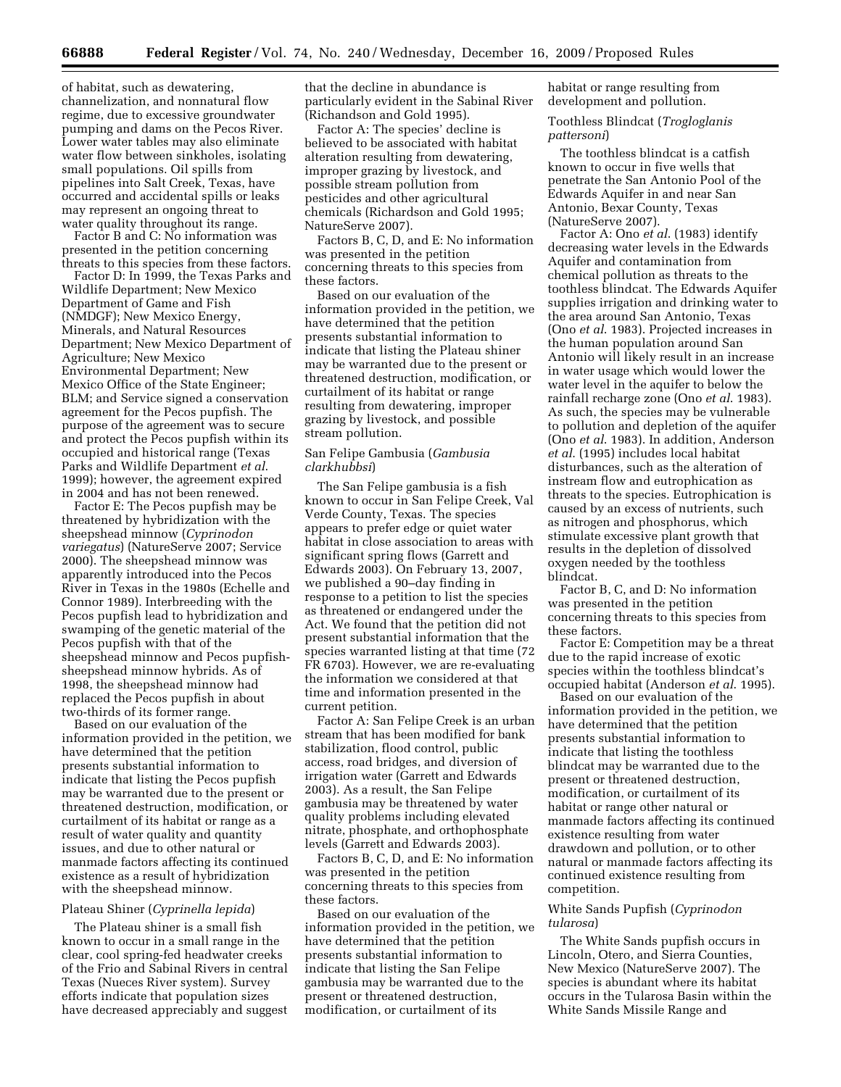of habitat, such as dewatering, channelization, and nonnatural flow regime, due to excessive groundwater pumping and dams on the Pecos River. Lower water tables may also eliminate water flow between sinkholes, isolating small populations. Oil spills from pipelines into Salt Creek, Texas, have occurred and accidental spills or leaks may represent an ongoing threat to water quality throughout its range.

Factor B and C: No information was presented in the petition concerning threats to this species from these factors.

Factor D: In 1999, the Texas Parks and Wildlife Department; New Mexico Department of Game and Fish (NMDGF); New Mexico Energy, Minerals, and Natural Resources Department; New Mexico Department of Agriculture; New Mexico Environmental Department; New Mexico Office of the State Engineer; BLM; and Service signed a conservation agreement for the Pecos pupfish. The purpose of the agreement was to secure and protect the Pecos pupfish within its occupied and historical range (Texas Parks and Wildlife Department *et al*. 1999); however, the agreement expired in 2004 and has not been renewed.

Factor E: The Pecos pupfish may be threatened by hybridization with the sheepshead minnow (*Cyprinodon variegatus*) (NatureServe 2007; Service 2000). The sheepshead minnow was apparently introduced into the Pecos River in Texas in the 1980s (Echelle and Connor 1989). Interbreeding with the Pecos pupfish lead to hybridization and swamping of the genetic material of the Pecos pupfish with that of the sheepshead minnow and Pecos pupfishsheepshead minnow hybrids. As of 1998, the sheepshead minnow had replaced the Pecos pupfish in about two-thirds of its former range.

Based on our evaluation of the information provided in the petition, we have determined that the petition presents substantial information to indicate that listing the Pecos pupfish may be warranted due to the present or threatened destruction, modification, or curtailment of its habitat or range as a result of water quality and quantity issues, and due to other natural or manmade factors affecting its continued existence as a result of hybridization with the sheepshead minnow.

#### Plateau Shiner (*Cyprinella lepida*)

The Plateau shiner is a small fish known to occur in a small range in the clear, cool spring-fed headwater creeks of the Frio and Sabinal Rivers in central Texas (Nueces River system). Survey efforts indicate that population sizes have decreased appreciably and suggest that the decline in abundance is particularly evident in the Sabinal River (Richandson and Gold 1995).

Factor A: The species' decline is believed to be associated with habitat alteration resulting from dewatering, improper grazing by livestock, and possible stream pollution from pesticides and other agricultural chemicals (Richardson and Gold 1995; NatureServe 2007).

Factors B, C, D, and E: No information was presented in the petition concerning threats to this species from these factors.

Based on our evaluation of the information provided in the petition, we have determined that the petition presents substantial information to indicate that listing the Plateau shiner may be warranted due to the present or threatened destruction, modification, or curtailment of its habitat or range resulting from dewatering, improper grazing by livestock, and possible stream pollution.

# San Felipe Gambusia (*Gambusia clarkhubbsi*)

The San Felipe gambusia is a fish known to occur in San Felipe Creek, Val Verde County, Texas. The species appears to prefer edge or quiet water habitat in close association to areas with significant spring flows (Garrett and Edwards 2003). On February 13, 2007, we published a 90–day finding in response to a petition to list the species as threatened or endangered under the Act. We found that the petition did not present substantial information that the species warranted listing at that time (72 FR 6703). However, we are re-evaluating the information we considered at that time and information presented in the current petition.

Factor A: San Felipe Creek is an urban stream that has been modified for bank stabilization, flood control, public access, road bridges, and diversion of irrigation water (Garrett and Edwards 2003). As a result, the San Felipe gambusia may be threatened by water quality problems including elevated nitrate, phosphate, and orthophosphate levels (Garrett and Edwards 2003).

Factors B, C, D, and E: No information was presented in the petition concerning threats to this species from these factors.

Based on our evaluation of the information provided in the petition, we have determined that the petition presents substantial information to indicate that listing the San Felipe gambusia may be warranted due to the present or threatened destruction, modification, or curtailment of its

habitat or range resulting from development and pollution.

Toothless Blindcat (*Trogloglanis pattersoni*)

The toothless blindcat is a catfish known to occur in five wells that penetrate the San Antonio Pool of the Edwards Aquifer in and near San Antonio, Bexar County, Texas (NatureServe 2007).

Factor A: Ono *et al*. (1983) identify decreasing water levels in the Edwards Aquifer and contamination from chemical pollution as threats to the toothless blindcat. The Edwards Aquifer supplies irrigation and drinking water to the area around San Antonio, Texas (Ono *et al*. 1983). Projected increases in the human population around San Antonio will likely result in an increase in water usage which would lower the water level in the aquifer to below the rainfall recharge zone (Ono *et al*. 1983). As such, the species may be vulnerable to pollution and depletion of the aquifer (Ono *et al*. 1983). In addition, Anderson *et al*. (1995) includes local habitat disturbances, such as the alteration of instream flow and eutrophication as threats to the species. Eutrophication is caused by an excess of nutrients, such as nitrogen and phosphorus, which stimulate excessive plant growth that results in the depletion of dissolved oxygen needed by the toothless blindcat.

Factor B, C, and D: No information was presented in the petition concerning threats to this species from these factors.

Factor E: Competition may be a threat due to the rapid increase of exotic species within the toothless blindcat's occupied habitat (Anderson *et al*. 1995).

Based on our evaluation of the information provided in the petition, we have determined that the petition presents substantial information to indicate that listing the toothless blindcat may be warranted due to the present or threatened destruction, modification, or curtailment of its habitat or range other natural or manmade factors affecting its continued existence resulting from water drawdown and pollution, or to other natural or manmade factors affecting its continued existence resulting from competition.

# White Sands Pupfish (*Cyprinodon tularosa*)

The White Sands pupfish occurs in Lincoln, Otero, and Sierra Counties, New Mexico (NatureServe 2007). The species is abundant where its habitat occurs in the Tularosa Basin within the White Sands Missile Range and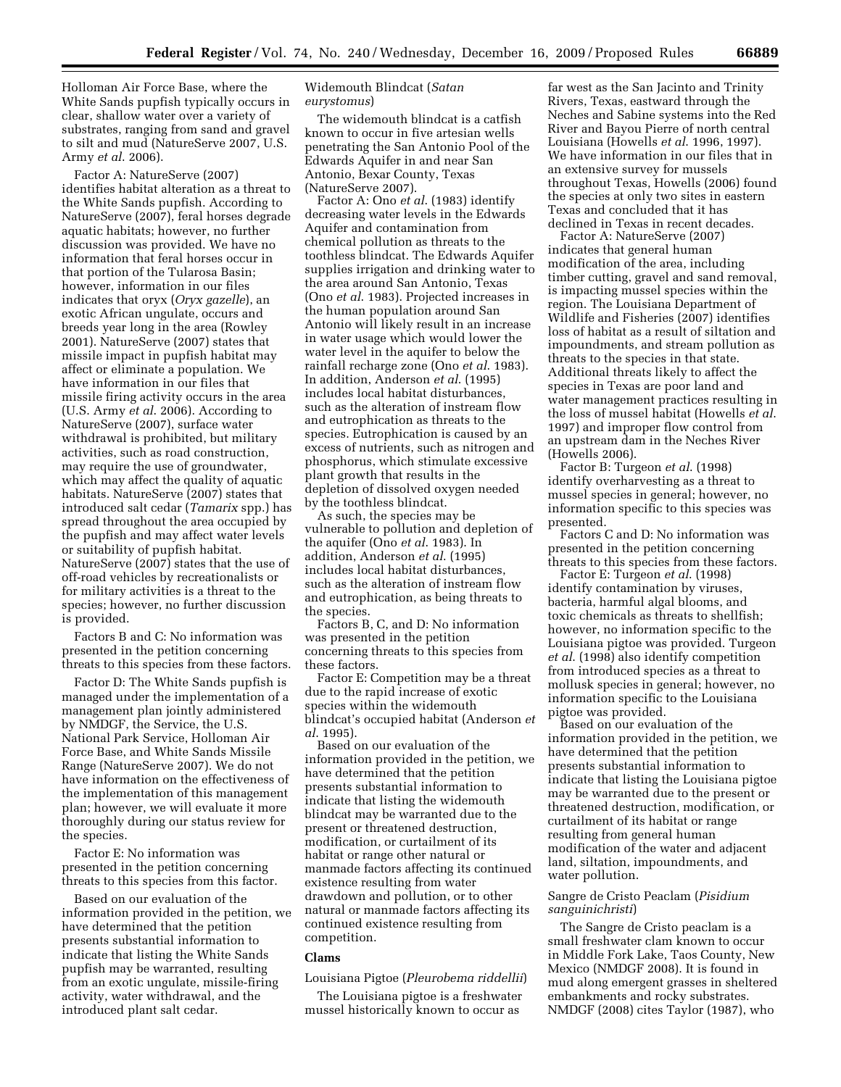Holloman Air Force Base, where the White Sands pupfish typically occurs in clear, shallow water over a variety of substrates, ranging from sand and gravel to silt and mud (NatureServe 2007, U.S. Army *et al*. 2006).

Factor A: NatureServe (2007) identifies habitat alteration as a threat to the White Sands pupfish. According to NatureServe (2007), feral horses degrade aquatic habitats; however, no further discussion was provided. We have no information that feral horses occur in that portion of the Tularosa Basin; however, information in our files indicates that oryx (*Oryx gazelle*), an exotic African ungulate, occurs and breeds year long in the area (Rowley 2001). NatureServe (2007) states that missile impact in pupfish habitat may affect or eliminate a population. We have information in our files that missile firing activity occurs in the area (U.S. Army *et al*. 2006). According to NatureServe (2007), surface water withdrawal is prohibited, but military activities, such as road construction, may require the use of groundwater, which may affect the quality of aquatic habitats. NatureServe (2007) states that introduced salt cedar (*Tamarix* spp.) has spread throughout the area occupied by the pupfish and may affect water levels or suitability of pupfish habitat. NatureServe (2007) states that the use of off-road vehicles by recreationalists or for military activities is a threat to the species; however, no further discussion is provided.

Factors B and C: No information was presented in the petition concerning threats to this species from these factors.

Factor D: The White Sands pupfish is managed under the implementation of a management plan jointly administered by NMDGF, the Service, the U.S. National Park Service, Holloman Air Force Base, and White Sands Missile Range (NatureServe 2007). We do not have information on the effectiveness of the implementation of this management plan; however, we will evaluate it more thoroughly during our status review for the species.

Factor E: No information was presented in the petition concerning threats to this species from this factor.

Based on our evaluation of the information provided in the petition, we have determined that the petition presents substantial information to indicate that listing the White Sands pupfish may be warranted, resulting from an exotic ungulate, missile-firing activity, water withdrawal, and the introduced plant salt cedar.

# Widemouth Blindcat (*Satan eurystomus*)

The widemouth blindcat is a catfish known to occur in five artesian wells penetrating the San Antonio Pool of the Edwards Aquifer in and near San Antonio, Bexar County, Texas (NatureServe 2007).

Factor A: Ono *et al*. (1983) identify decreasing water levels in the Edwards Aquifer and contamination from chemical pollution as threats to the toothless blindcat. The Edwards Aquifer supplies irrigation and drinking water to the area around San Antonio, Texas (Ono *et al*. 1983). Projected increases in the human population around San Antonio will likely result in an increase in water usage which would lower the water level in the aquifer to below the rainfall recharge zone (Ono *et al*. 1983). In addition, Anderson *et al*. (1995) includes local habitat disturbances, such as the alteration of instream flow and eutrophication as threats to the species. Eutrophication is caused by an excess of nutrients, such as nitrogen and phosphorus, which stimulate excessive plant growth that results in the depletion of dissolved oxygen needed by the toothless blindcat.

As such, the species may be vulnerable to pollution and depletion of the aquifer (Ono *et al*. 1983). In addition, Anderson *et al*. (1995) includes local habitat disturbances, such as the alteration of instream flow and eutrophication, as being threats to the species.

Factors B, C, and D: No information was presented in the petition concerning threats to this species from these factors.

Factor E: Competition may be a threat due to the rapid increase of exotic species within the widemouth blindcat's occupied habitat (Anderson *et al*. 1995).

Based on our evaluation of the information provided in the petition, we have determined that the petition presents substantial information to indicate that listing the widemouth blindcat may be warranted due to the present or threatened destruction, modification, or curtailment of its habitat or range other natural or manmade factors affecting its continued existence resulting from water drawdown and pollution, or to other natural or manmade factors affecting its continued existence resulting from competition.

#### **Clams**

# Louisiana Pigtoe (*Pleurobema riddellii*)

The Louisiana pigtoe is a freshwater mussel historically known to occur as

far west as the San Jacinto and Trinity Rivers, Texas, eastward through the Neches and Sabine systems into the Red River and Bayou Pierre of north central Louisiana (Howells *et al*. 1996, 1997). We have information in our files that in an extensive survey for mussels throughout Texas, Howells (2006) found the species at only two sites in eastern Texas and concluded that it has declined in Texas in recent decades.

Factor A: NatureServe (2007) indicates that general human modification of the area, including timber cutting, gravel and sand removal, is impacting mussel species within the region. The Louisiana Department of Wildlife and Fisheries (2007) identifies loss of habitat as a result of siltation and impoundments, and stream pollution as threats to the species in that state. Additional threats likely to affect the species in Texas are poor land and water management practices resulting in the loss of mussel habitat (Howells *et al*. 1997) and improper flow control from an upstream dam in the Neches River (Howells 2006).

Factor B: Turgeon *et al*. (1998) identify overharvesting as a threat to mussel species in general; however, no information specific to this species was presented.

Factors C and D: No information was presented in the petition concerning threats to this species from these factors.

Factor E: Turgeon *et al*. (1998) identify contamination by viruses, bacteria, harmful algal blooms, and toxic chemicals as threats to shellfish; however, no information specific to the Louisiana pigtoe was provided. Turgeon *et al*. (1998) also identify competition from introduced species as a threat to mollusk species in general; however, no information specific to the Louisiana pigtoe was provided.

Based on our evaluation of the information provided in the petition, we have determined that the petition presents substantial information to indicate that listing the Louisiana pigtoe may be warranted due to the present or threatened destruction, modification, or curtailment of its habitat or range resulting from general human modification of the water and adjacent land, siltation, impoundments, and water pollution.

# Sangre de Cristo Peaclam (*Pisidium sanguinichristi*)

The Sangre de Cristo peaclam is a small freshwater clam known to occur in Middle Fork Lake, Taos County, New Mexico (NMDGF 2008). It is found in mud along emergent grasses in sheltered embankments and rocky substrates. NMDGF (2008) cites Taylor (1987), who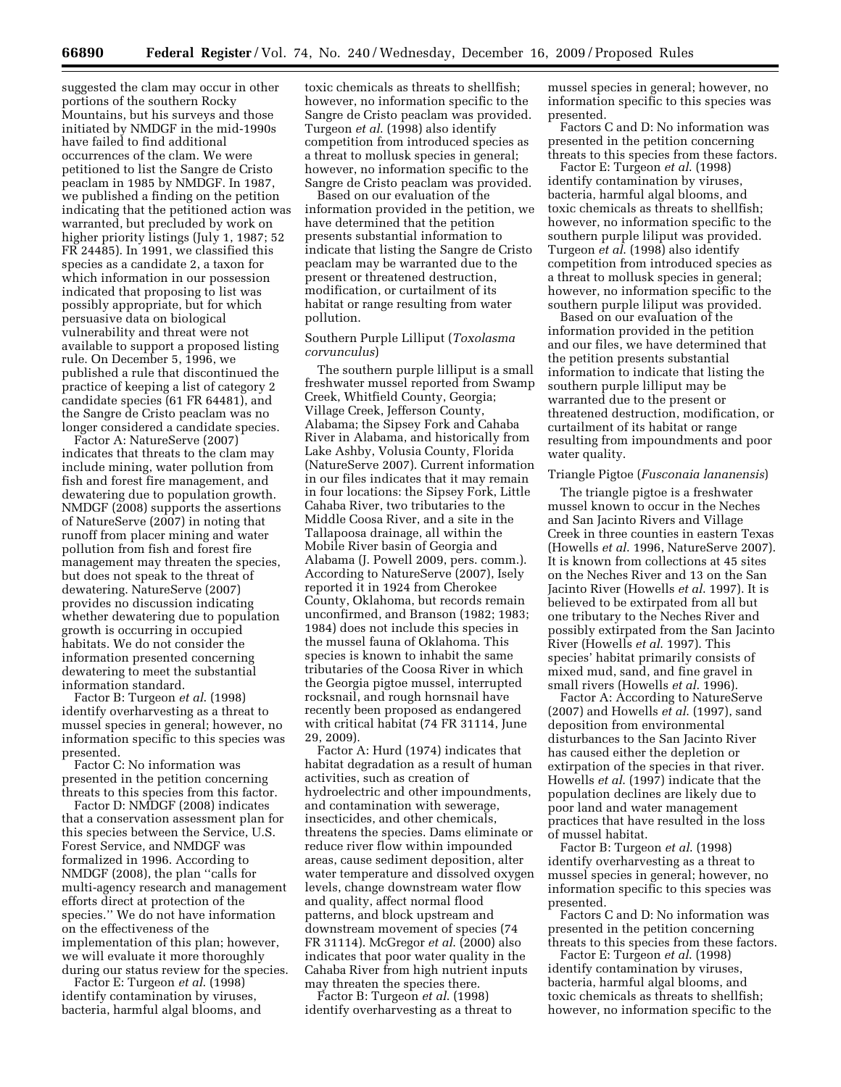suggested the clam may occur in other portions of the southern Rocky Mountains, but his surveys and those initiated by NMDGF in the mid-1990s have failed to find additional occurrences of the clam. We were petitioned to list the Sangre de Cristo peaclam in 1985 by NMDGF. In 1987, we published a finding on the petition indicating that the petitioned action was warranted, but precluded by work on higher priority listings (July 1, 1987; 52 FR 24485). In 1991, we classified this species as a candidate 2, a taxon for which information in our possession indicated that proposing to list was possibly appropriate, but for which persuasive data on biological vulnerability and threat were not available to support a proposed listing rule. On December 5, 1996, we published a rule that discontinued the practice of keeping a list of category 2 candidate species (61 FR 64481), and the Sangre de Cristo peaclam was no longer considered a candidate species.

Factor A: NatureServe (2007) indicates that threats to the clam may include mining, water pollution from fish and forest fire management, and dewatering due to population growth. NMDGF (2008) supports the assertions of NatureServe (2007) in noting that runoff from placer mining and water pollution from fish and forest fire management may threaten the species, but does not speak to the threat of dewatering. NatureServe (2007) provides no discussion indicating whether dewatering due to population growth is occurring in occupied habitats. We do not consider the information presented concerning dewatering to meet the substantial information standard.

Factor B: Turgeon *et al*. (1998) identify overharvesting as a threat to mussel species in general; however, no information specific to this species was presented.

Factor C: No information was presented in the petition concerning threats to this species from this factor.

Factor D: NMDGF (2008) indicates that a conservation assessment plan for this species between the Service, U.S. Forest Service, and NMDGF was formalized in 1996. According to NMDGF (2008), the plan ''calls for multi-agency research and management efforts direct at protection of the species.'' We do not have information on the effectiveness of the implementation of this plan; however, we will evaluate it more thoroughly during our status review for the species.

Factor E: Turgeon *et al*. (1998) identify contamination by viruses, bacteria, harmful algal blooms, and toxic chemicals as threats to shellfish; however, no information specific to the Sangre de Cristo peaclam was provided. Turgeon *et al*. (1998) also identify competition from introduced species as a threat to mollusk species in general; however, no information specific to the Sangre de Cristo peaclam was provided.

Based on our evaluation of the information provided in the petition, we have determined that the petition presents substantial information to indicate that listing the Sangre de Cristo peaclam may be warranted due to the present or threatened destruction, modification, or curtailment of its habitat or range resulting from water pollution.

# Southern Purple Lilliput (*Toxolasma corvunculus*)

The southern purple lilliput is a small freshwater mussel reported from Swamp Creek, Whitfield County, Georgia; Village Creek, Jefferson County, Alabama; the Sipsey Fork and Cahaba River in Alabama, and historically from Lake Ashby, Volusia County, Florida (NatureServe 2007). Current information in our files indicates that it may remain in four locations: the Sipsey Fork, Little Cahaba River, two tributaries to the Middle Coosa River, and a site in the Tallapoosa drainage, all within the Mobile River basin of Georgia and Alabama (J. Powell 2009, pers. comm.). According to NatureServe (2007), Isely reported it in 1924 from Cherokee County, Oklahoma, but records remain unconfirmed, and Branson (1982; 1983; 1984) does not include this species in the mussel fauna of Oklahoma. This species is known to inhabit the same tributaries of the Coosa River in which the Georgia pigtoe mussel, interrupted rocksnail, and rough hornsnail have recently been proposed as endangered with critical habitat (74 FR 31114, June 29, 2009).

Factor A: Hurd (1974) indicates that habitat degradation as a result of human activities, such as creation of hydroelectric and other impoundments, and contamination with sewerage, insecticides, and other chemicals, threatens the species. Dams eliminate or reduce river flow within impounded areas, cause sediment deposition, alter water temperature and dissolved oxygen levels, change downstream water flow and quality, affect normal flood patterns, and block upstream and downstream movement of species (74 FR 31114). McGregor *et al*. (2000) also indicates that poor water quality in the Cahaba River from high nutrient inputs may threaten the species there.

Factor B: Turgeon *et al*. (1998) identify overharvesting as a threat to mussel species in general; however, no information specific to this species was presented.

Factors C and D: No information was presented in the petition concerning threats to this species from these factors.

Factor E: Turgeon *et al*. (1998) identify contamination by viruses, bacteria, harmful algal blooms, and toxic chemicals as threats to shellfish; however, no information specific to the southern purple liliput was provided. Turgeon *et al*. (1998) also identify competition from introduced species as a threat to mollusk species in general; however, no information specific to the southern purple liliput was provided.

Based on our evaluation of the information provided in the petition and our files, we have determined that the petition presents substantial information to indicate that listing the southern purple lilliput may be warranted due to the present or threatened destruction, modification, or curtailment of its habitat or range resulting from impoundments and poor water quality.

# Triangle Pigtoe (*Fusconaia lananensis*)

The triangle pigtoe is a freshwater mussel known to occur in the Neches and San Jacinto Rivers and Village Creek in three counties in eastern Texas (Howells *et al*. 1996, NatureServe 2007). It is known from collections at 45 sites on the Neches River and 13 on the San Jacinto River (Howells *et al*. 1997). It is believed to be extirpated from all but one tributary to the Neches River and possibly extirpated from the San Jacinto River (Howells *et al*. 1997). This species' habitat primarily consists of mixed mud, sand, and fine gravel in small rivers (Howells *et al*. 1996).

Factor A: According to NatureServe (2007) and Howells *et al*. (1997), sand deposition from environmental disturbances to the San Jacinto River has caused either the depletion or extirpation of the species in that river. Howells *et al*. (1997) indicate that the population declines are likely due to poor land and water management practices that have resulted in the loss of mussel habitat.

Factor B: Turgeon *et al*. (1998) identify overharvesting as a threat to mussel species in general; however, no information specific to this species was presented.

Factors C and D: No information was presented in the petition concerning threats to this species from these factors.

Factor E: Turgeon *et al*. (1998) identify contamination by viruses, bacteria, harmful algal blooms, and toxic chemicals as threats to shellfish; however, no information specific to the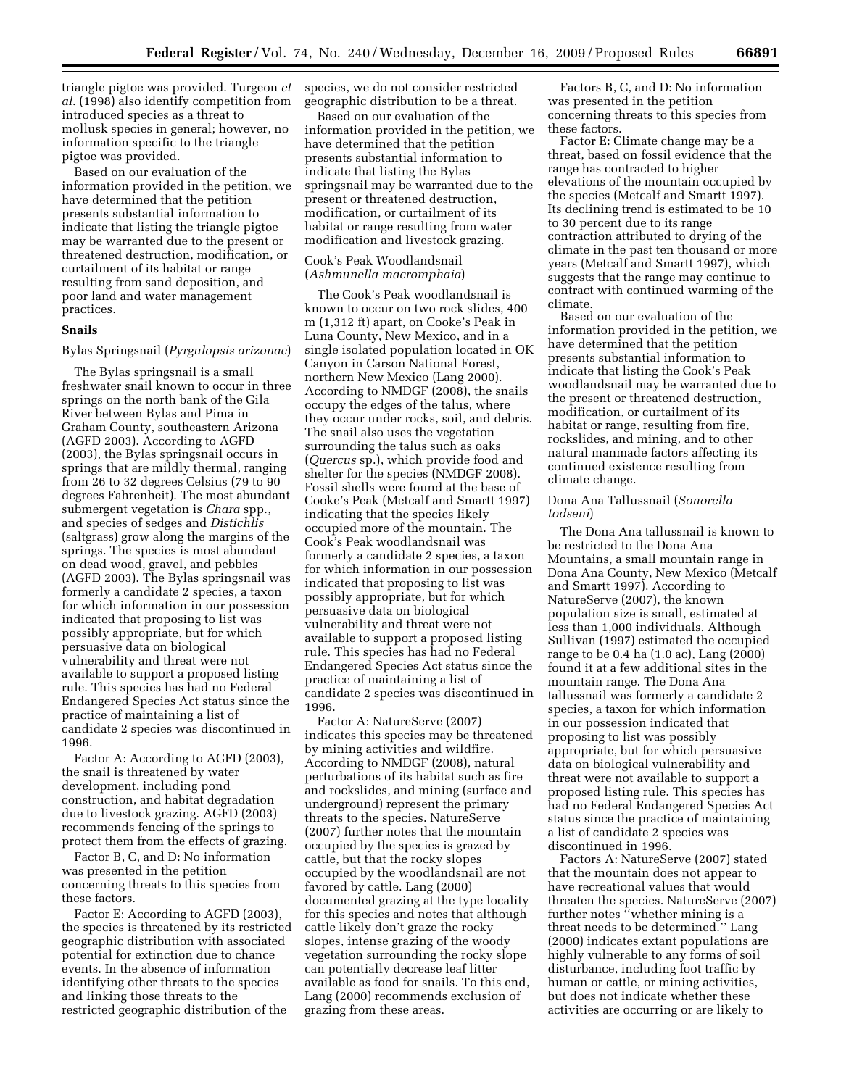triangle pigtoe was provided. Turgeon *et al*. (1998) also identify competition from introduced species as a threat to mollusk species in general; however, no information specific to the triangle pigtoe was provided.

Based on our evaluation of the information provided in the petition, we have determined that the petition presents substantial information to indicate that listing the triangle pigtoe may be warranted due to the present or threatened destruction, modification, or curtailment of its habitat or range resulting from sand deposition, and poor land and water management practices.

# **Snails**

#### Bylas Springsnail (*Pyrgulopsis arizonae*)

The Bylas springsnail is a small freshwater snail known to occur in three springs on the north bank of the Gila River between Bylas and Pima in Graham County, southeastern Arizona (AGFD 2003). According to AGFD (2003), the Bylas springsnail occurs in springs that are mildly thermal, ranging from 26 to 32 degrees Celsius (79 to 90 degrees Fahrenheit). The most abundant submergent vegetation is *Chara* spp., and species of sedges and *Distichlis*  (saltgrass) grow along the margins of the springs. The species is most abundant on dead wood, gravel, and pebbles (AGFD 2003). The Bylas springsnail was formerly a candidate 2 species, a taxon for which information in our possession indicated that proposing to list was possibly appropriate, but for which persuasive data on biological vulnerability and threat were not available to support a proposed listing rule. This species has had no Federal Endangered Species Act status since the practice of maintaining a list of candidate 2 species was discontinued in 1996.

Factor A: According to AGFD (2003), the snail is threatened by water development, including pond construction, and habitat degradation due to livestock grazing. AGFD (2003) recommends fencing of the springs to protect them from the effects of grazing.

Factor B, C, and D: No information was presented in the petition concerning threats to this species from these factors.

Factor E: According to AGFD (2003), the species is threatened by its restricted geographic distribution with associated potential for extinction due to chance events. In the absence of information identifying other threats to the species and linking those threats to the restricted geographic distribution of the

species, we do not consider restricted geographic distribution to be a threat.

Based on our evaluation of the information provided in the petition, we have determined that the petition presents substantial information to indicate that listing the Bylas springsnail may be warranted due to the present or threatened destruction, modification, or curtailment of its habitat or range resulting from water modification and livestock grazing.

# Cook's Peak Woodlandsnail (*Ashmunella macromphaia*)

The Cook's Peak woodlandsnail is known to occur on two rock slides, 400 m (1,312 ft) apart, on Cooke's Peak in Luna County, New Mexico, and in a single isolated population located in OK Canyon in Carson National Forest, northern New Mexico (Lang 2000). According to NMDGF (2008), the snails occupy the edges of the talus, where they occur under rocks, soil, and debris. The snail also uses the vegetation surrounding the talus such as oaks (*Quercus* sp.), which provide food and shelter for the species (NMDGF 2008). Fossil shells were found at the base of Cooke's Peak (Metcalf and Smartt 1997) indicating that the species likely occupied more of the mountain. The Cook's Peak woodlandsnail was formerly a candidate 2 species, a taxon for which information in our possession indicated that proposing to list was possibly appropriate, but for which persuasive data on biological vulnerability and threat were not available to support a proposed listing rule. This species has had no Federal Endangered Species Act status since the practice of maintaining a list of candidate 2 species was discontinued in 1996.

Factor A: NatureServe (2007) indicates this species may be threatened by mining activities and wildfire. According to NMDGF (2008), natural perturbations of its habitat such as fire and rockslides, and mining (surface and underground) represent the primary threats to the species. NatureServe (2007) further notes that the mountain occupied by the species is grazed by cattle, but that the rocky slopes occupied by the woodlandsnail are not favored by cattle. Lang (2000) documented grazing at the type locality for this species and notes that although cattle likely don't graze the rocky slopes, intense grazing of the woody vegetation surrounding the rocky slope can potentially decrease leaf litter available as food for snails. To this end, Lang (2000) recommends exclusion of grazing from these areas.

Factors B, C, and D: No information was presented in the petition concerning threats to this species from these factors.

Factor E: Climate change may be a threat, based on fossil evidence that the range has contracted to higher elevations of the mountain occupied by the species (Metcalf and Smartt 1997). Its declining trend is estimated to be 10 to 30 percent due to its range contraction attributed to drying of the climate in the past ten thousand or more years (Metcalf and Smartt 1997), which suggests that the range may continue to contract with continued warming of the climate.

Based on our evaluation of the information provided in the petition, we have determined that the petition presents substantial information to indicate that listing the Cook's Peak woodlandsnail may be warranted due to the present or threatened destruction, modification, or curtailment of its habitat or range, resulting from fire, rockslides, and mining, and to other natural manmade factors affecting its continued existence resulting from climate change.

### Dona Ana Tallussnail (*Sonorella todseni*)

The Dona Ana tallussnail is known to be restricted to the Dona Ana Mountains, a small mountain range in Dona Ana County, New Mexico (Metcalf and Smartt 1997). According to NatureServe (2007), the known population size is small, estimated at less than 1,000 individuals. Although Sullivan (1997) estimated the occupied range to be 0.4 ha (1.0 ac), Lang (2000) found it at a few additional sites in the mountain range. The Dona Ana tallussnail was formerly a candidate 2 species, a taxon for which information in our possession indicated that proposing to list was possibly appropriate, but for which persuasive data on biological vulnerability and threat were not available to support a proposed listing rule. This species has had no Federal Endangered Species Act status since the practice of maintaining a list of candidate 2 species was discontinued in 1996.

Factors A: NatureServe (2007) stated that the mountain does not appear to have recreational values that would threaten the species. NatureServe (2007) further notes ''whether mining is a threat needs to be determined.'' Lang (2000) indicates extant populations are highly vulnerable to any forms of soil disturbance, including foot traffic by human or cattle, or mining activities, but does not indicate whether these activities are occurring or are likely to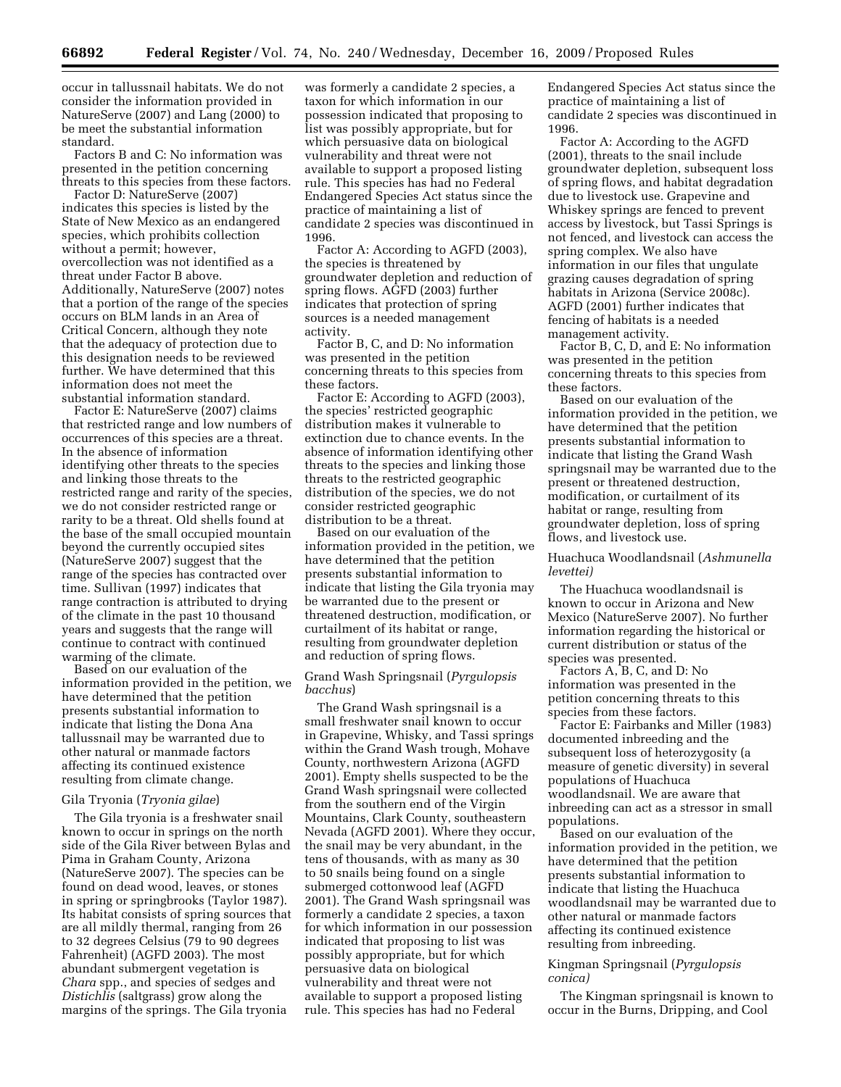occur in tallussnail habitats. We do not consider the information provided in NatureServe (2007) and Lang (2000) to be meet the substantial information standard.

Factors B and C: No information was presented in the petition concerning threats to this species from these factors.

Factor D: NatureServe (2007) indicates this species is listed by the State of New Mexico as an endangered species, which prohibits collection without a permit; however, overcollection was not identified as a threat under Factor B above. Additionally, NatureServe (2007) notes that a portion of the range of the species occurs on BLM lands in an Area of Critical Concern, although they note that the adequacy of protection due to this designation needs to be reviewed further. We have determined that this information does not meet the substantial information standard.

Factor E: NatureServe (2007) claims that restricted range and low numbers of occurrences of this species are a threat. In the absence of information identifying other threats to the species and linking those threats to the restricted range and rarity of the species, we do not consider restricted range or rarity to be a threat. Old shells found at the base of the small occupied mountain beyond the currently occupied sites (NatureServe 2007) suggest that the range of the species has contracted over time. Sullivan (1997) indicates that range contraction is attributed to drying of the climate in the past 10 thousand years and suggests that the range will continue to contract with continued warming of the climate.

Based on our evaluation of the information provided in the petition, we have determined that the petition presents substantial information to indicate that listing the Dona Ana tallussnail may be warranted due to other natural or manmade factors affecting its continued existence resulting from climate change.

# Gila Tryonia (*Tryonia gilae*)

The Gila tryonia is a freshwater snail known to occur in springs on the north side of the Gila River between Bylas and Pima in Graham County, Arizona (NatureServe 2007). The species can be found on dead wood, leaves, or stones in spring or springbrooks (Taylor 1987). Its habitat consists of spring sources that are all mildly thermal, ranging from 26 to 32 degrees Celsius (79 to 90 degrees Fahrenheit) (AGFD 2003). The most abundant submergent vegetation is *Chara* spp., and species of sedges and *Distichlis* (saltgrass) grow along the margins of the springs. The Gila tryonia

was formerly a candidate 2 species, a taxon for which information in our possession indicated that proposing to list was possibly appropriate, but for which persuasive data on biological vulnerability and threat were not available to support a proposed listing rule. This species has had no Federal Endangered Species Act status since the practice of maintaining a list of candidate 2 species was discontinued in 1996.

Factor A: According to AGFD (2003), the species is threatened by groundwater depletion and reduction of spring flows. AGFD (2003) further indicates that protection of spring sources is a needed management activity.

Factor B, C, and D: No information was presented in the petition concerning threats to this species from these factors.

Factor E: According to AGFD (2003), the species' restricted geographic distribution makes it vulnerable to extinction due to chance events. In the absence of information identifying other threats to the species and linking those threats to the restricted geographic distribution of the species, we do not consider restricted geographic distribution to be a threat.

Based on our evaluation of the information provided in the petition, we have determined that the petition presents substantial information to indicate that listing the Gila tryonia may be warranted due to the present or threatened destruction, modification, or curtailment of its habitat or range, resulting from groundwater depletion and reduction of spring flows.

# Grand Wash Springsnail (*Pyrgulopsis bacchus*)

The Grand Wash springsnail is a small freshwater snail known to occur in Grapevine, Whisky, and Tassi springs within the Grand Wash trough, Mohave County, northwestern Arizona (AGFD 2001). Empty shells suspected to be the Grand Wash springsnail were collected from the southern end of the Virgin Mountains, Clark County, southeastern Nevada (AGFD 2001). Where they occur, the snail may be very abundant, in the tens of thousands, with as many as 30 to 50 snails being found on a single submerged cottonwood leaf (AGFD 2001). The Grand Wash springsnail was formerly a candidate 2 species, a taxon for which information in our possession indicated that proposing to list was possibly appropriate, but for which persuasive data on biological vulnerability and threat were not available to support a proposed listing rule. This species has had no Federal

Endangered Species Act status since the practice of maintaining a list of candidate 2 species was discontinued in 1996.

Factor A: According to the AGFD (2001), threats to the snail include groundwater depletion, subsequent loss of spring flows, and habitat degradation due to livestock use. Grapevine and Whiskey springs are fenced to prevent access by livestock, but Tassi Springs is not fenced, and livestock can access the spring complex. We also have information in our files that ungulate grazing causes degradation of spring habitats in Arizona (Service 2008c). AGFD (2001) further indicates that fencing of habitats is a needed management activity.

Factor B, C, D, and E: No information was presented in the petition concerning threats to this species from these factors.

Based on our evaluation of the information provided in the petition, we have determined that the petition presents substantial information to indicate that listing the Grand Wash springsnail may be warranted due to the present or threatened destruction, modification, or curtailment of its habitat or range, resulting from groundwater depletion, loss of spring flows, and livestock use.

Huachuca Woodlandsnail (*Ashmunella levettei)* 

The Huachuca woodlandsnail is known to occur in Arizona and New Mexico (NatureServe 2007). No further information regarding the historical or current distribution or status of the species was presented.

Factors A, B, C, and D: No information was presented in the petition concerning threats to this species from these factors.

Factor E: Fairbanks and Miller (1983) documented inbreeding and the subsequent loss of heterozygosity (a measure of genetic diversity) in several populations of Huachuca woodlandsnail. We are aware that inbreeding can act as a stressor in small populations.

Based on our evaluation of the information provided in the petition, we have determined that the petition presents substantial information to indicate that listing the Huachuca woodlandsnail may be warranted due to other natural or manmade factors affecting its continued existence resulting from inbreeding.

# Kingman Springsnail (*Pyrgulopsis conica)*

The Kingman springsnail is known to occur in the Burns, Dripping, and Cool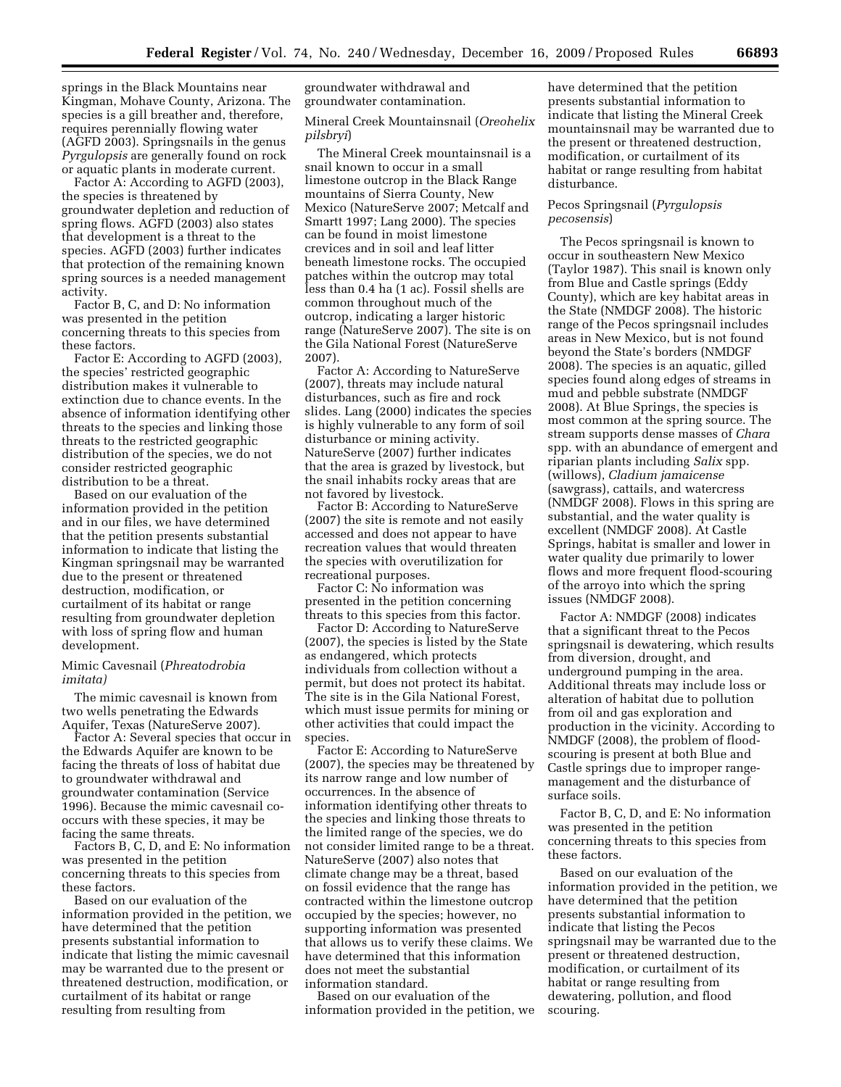springs in the Black Mountains near Kingman, Mohave County, Arizona. The species is a gill breather and, therefore, requires perennially flowing water (AGFD 2003). Springsnails in the genus *Pyrgulopsis* are generally found on rock or aquatic plants in moderate current.

Factor A: According to AGFD (2003), the species is threatened by groundwater depletion and reduction of spring flows. AGFD (2003) also states that development is a threat to the species. AGFD (2003) further indicates that protection of the remaining known spring sources is a needed management activity.

Factor B, C, and D: No information was presented in the petition concerning threats to this species from these factors.

Factor E: According to AGFD (2003), the species' restricted geographic distribution makes it vulnerable to extinction due to chance events. In the absence of information identifying other threats to the species and linking those threats to the restricted geographic distribution of the species, we do not consider restricted geographic distribution to be a threat.

Based on our evaluation of the information provided in the petition and in our files, we have determined that the petition presents substantial information to indicate that listing the Kingman springsnail may be warranted due to the present or threatened destruction, modification, or curtailment of its habitat or range resulting from groundwater depletion with loss of spring flow and human development.

Mimic Cavesnail (*Phreatodrobia imitata)* 

The mimic cavesnail is known from two wells penetrating the Edwards Aquifer, Texas (NatureServe 2007).

Factor A: Several species that occur in the Edwards Aquifer are known to be facing the threats of loss of habitat due to groundwater withdrawal and groundwater contamination (Service 1996). Because the mimic cavesnail cooccurs with these species, it may be facing the same threats.

Factors B, C, D, and E: No information was presented in the petition concerning threats to this species from these factors.

Based on our evaluation of the information provided in the petition, we have determined that the petition presents substantial information to indicate that listing the mimic cavesnail may be warranted due to the present or threatened destruction, modification, or curtailment of its habitat or range resulting from resulting from

groundwater withdrawal and groundwater contamination.

Mineral Creek Mountainsnail (*Oreohelix pilsbryi*)

The Mineral Creek mountainsnail is a snail known to occur in a small limestone outcrop in the Black Range mountains of Sierra County, New Mexico (NatureServe 2007; Metcalf and Smartt 1997; Lang 2000). The species can be found in moist limestone crevices and in soil and leaf litter beneath limestone rocks. The occupied patches within the outcrop may total less than 0.4 ha (1 ac). Fossil shells are common throughout much of the outcrop, indicating a larger historic range (NatureServe 2007). The site is on the Gila National Forest (NatureServe 2007).

Factor A: According to NatureServe (2007), threats may include natural disturbances, such as fire and rock slides. Lang (2000) indicates the species is highly vulnerable to any form of soil disturbance or mining activity. NatureServe (2007) further indicates that the area is grazed by livestock, but the snail inhabits rocky areas that are not favored by livestock.

Factor B: According to NatureServe (2007) the site is remote and not easily accessed and does not appear to have recreation values that would threaten the species with overutilization for recreational purposes.

Factor C: No information was presented in the petition concerning threats to this species from this factor.

Factor D: According to NatureServe (2007), the species is listed by the State as endangered, which protects individuals from collection without a permit, but does not protect its habitat. The site is in the Gila National Forest, which must issue permits for mining or other activities that could impact the species.

Factor E: According to NatureServe (2007), the species may be threatened by its narrow range and low number of occurrences. In the absence of information identifying other threats to the species and linking those threats to the limited range of the species, we do not consider limited range to be a threat. NatureServe (2007) also notes that climate change may be a threat, based on fossil evidence that the range has contracted within the limestone outcrop occupied by the species; however, no supporting information was presented that allows us to verify these claims. We have determined that this information does not meet the substantial information standard.

Based on our evaluation of the information provided in the petition, we have determined that the petition presents substantial information to indicate that listing the Mineral Creek mountainsnail may be warranted due to the present or threatened destruction, modification, or curtailment of its habitat or range resulting from habitat disturbance.

#### Pecos Springsnail (*Pyrgulopsis pecosensis*)

The Pecos springsnail is known to occur in southeastern New Mexico (Taylor 1987). This snail is known only from Blue and Castle springs (Eddy County), which are key habitat areas in the State (NMDGF 2008). The historic range of the Pecos springsnail includes areas in New Mexico, but is not found beyond the State's borders (NMDGF 2008). The species is an aquatic, gilled species found along edges of streams in mud and pebble substrate (NMDGF 2008). At Blue Springs, the species is most common at the spring source. The stream supports dense masses of *Chara*  spp. with an abundance of emergent and riparian plants including *Salix* spp. (willows), *Cladium jamaicense*  (sawgrass), cattails, and watercress (NMDGF 2008). Flows in this spring are substantial, and the water quality is excellent (NMDGF 2008). At Castle Springs, habitat is smaller and lower in water quality due primarily to lower flows and more frequent flood-scouring of the arroyo into which the spring issues (NMDGF 2008).

Factor A: NMDGF (2008) indicates that a significant threat to the Pecos springsnail is dewatering, which results from diversion, drought, and underground pumping in the area. Additional threats may include loss or alteration of habitat due to pollution from oil and gas exploration and production in the vicinity. According to NMDGF (2008), the problem of floodscouring is present at both Blue and Castle springs due to improper rangemanagement and the disturbance of surface soils.

Factor B, C, D, and E: No information was presented in the petition concerning threats to this species from these factors.

Based on our evaluation of the information provided in the petition, we have determined that the petition presents substantial information to indicate that listing the Pecos springsnail may be warranted due to the present or threatened destruction, modification, or curtailment of its habitat or range resulting from dewatering, pollution, and flood scouring.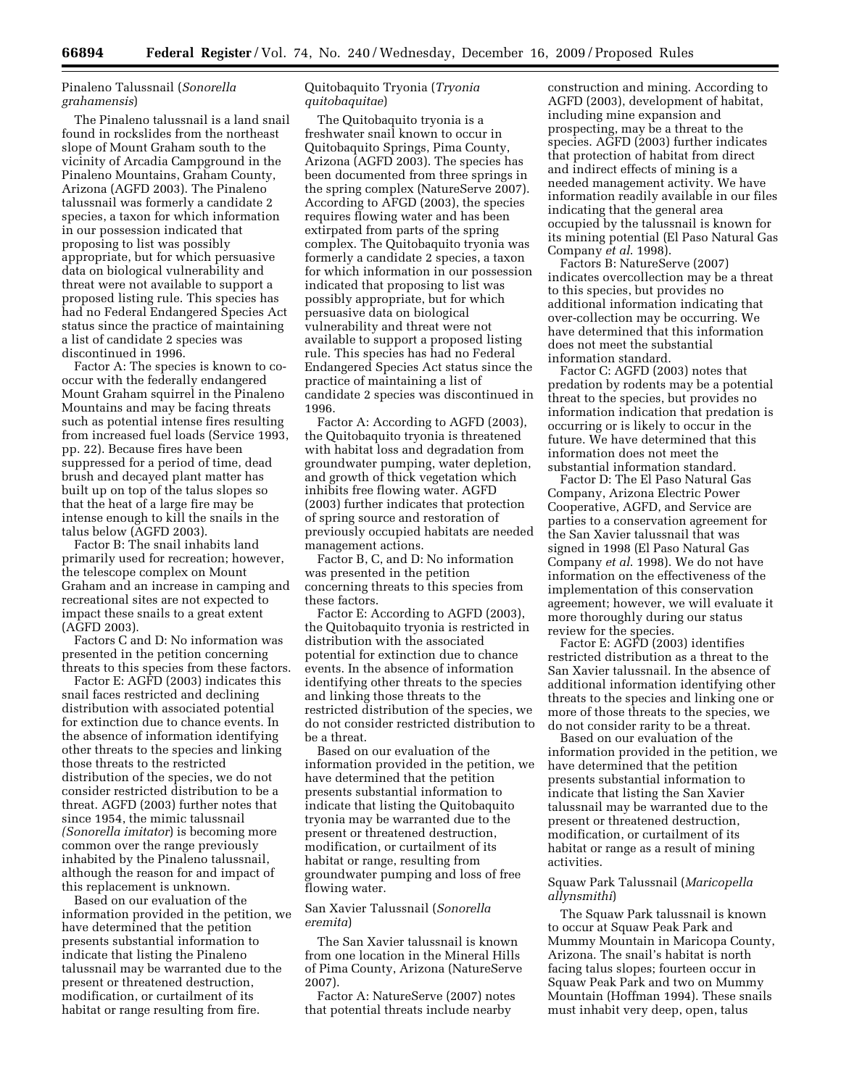Pinaleno Talussnail (*Sonorella grahamensis*)

The Pinaleno talussnail is a land snail found in rockslides from the northeast slope of Mount Graham south to the vicinity of Arcadia Campground in the Pinaleno Mountains, Graham County, Arizona (AGFD 2003). The Pinaleno talussnail was formerly a candidate 2 species, a taxon for which information in our possession indicated that proposing to list was possibly appropriate, but for which persuasive data on biological vulnerability and threat were not available to support a proposed listing rule. This species has had no Federal Endangered Species Act status since the practice of maintaining a list of candidate 2 species was discontinued in 1996.

Factor A: The species is known to cooccur with the federally endangered Mount Graham squirrel in the Pinaleno Mountains and may be facing threats such as potential intense fires resulting from increased fuel loads (Service 1993, pp. 22). Because fires have been suppressed for a period of time, dead brush and decayed plant matter has built up on top of the talus slopes so that the heat of a large fire may be intense enough to kill the snails in the talus below (AGFD 2003).

Factor B: The snail inhabits land primarily used for recreation; however, the telescope complex on Mount Graham and an increase in camping and recreational sites are not expected to impact these snails to a great extent (AGFD 2003).

Factors C and D: No information was presented in the petition concerning threats to this species from these factors.

Factor E: AGFD (2003) indicates this snail faces restricted and declining distribution with associated potential for extinction due to chance events. In the absence of information identifying other threats to the species and linking those threats to the restricted distribution of the species, we do not consider restricted distribution to be a threat. AGFD (2003) further notes that since 1954, the mimic talussnail *(Sonorella imitator*) is becoming more common over the range previously inhabited by the Pinaleno talussnail, although the reason for and impact of this replacement is unknown.

Based on our evaluation of the information provided in the petition, we have determined that the petition presents substantial information to indicate that listing the Pinaleno talussnail may be warranted due to the present or threatened destruction, modification, or curtailment of its habitat or range resulting from fire.

# Quitobaquito Tryonia (*Tryonia quitobaquitae*)

The Quitobaquito tryonia is a freshwater snail known to occur in Quitobaquito Springs, Pima County, Arizona (AGFD 2003). The species has been documented from three springs in the spring complex (NatureServe 2007). According to AFGD (2003), the species requires flowing water and has been extirpated from parts of the spring complex. The Quitobaquito tryonia was formerly a candidate 2 species, a taxon for which information in our possession indicated that proposing to list was possibly appropriate, but for which persuasive data on biological vulnerability and threat were not available to support a proposed listing rule. This species has had no Federal Endangered Species Act status since the practice of maintaining a list of candidate 2 species was discontinued in 1996.

Factor A: According to AGFD (2003), the Quitobaquito tryonia is threatened with habitat loss and degradation from groundwater pumping, water depletion, and growth of thick vegetation which inhibits free flowing water. AGFD (2003) further indicates that protection of spring source and restoration of previously occupied habitats are needed management actions.

Factor B, C, and D: No information was presented in the petition concerning threats to this species from these factors.

Factor E: According to AGFD (2003), the Quitobaquito tryonia is restricted in distribution with the associated potential for extinction due to chance events. In the absence of information identifying other threats to the species and linking those threats to the restricted distribution of the species, we do not consider restricted distribution to be a threat.

Based on our evaluation of the information provided in the petition, we have determined that the petition presents substantial information to indicate that listing the Quitobaquito tryonia may be warranted due to the present or threatened destruction, modification, or curtailment of its habitat or range, resulting from groundwater pumping and loss of free flowing water.

San Xavier Talussnail (*Sonorella eremita*)

The San Xavier talussnail is known from one location in the Mineral Hills of Pima County, Arizona (NatureServe 2007).

Factor A: NatureServe (2007) notes that potential threats include nearby

construction and mining. According to AGFD (2003), development of habitat, including mine expansion and prospecting, may be a threat to the species. AGFD (2003) further indicates that protection of habitat from direct and indirect effects of mining is a needed management activity. We have information readily available in our files indicating that the general area occupied by the talussnail is known for its mining potential (El Paso Natural Gas Company *et al*. 1998).

Factors B: NatureServe (2007) indicates overcollection may be a threat to this species, but provides no additional information indicating that over-collection may be occurring. We have determined that this information does not meet the substantial information standard.

Factor C: AGFD (2003) notes that predation by rodents may be a potential threat to the species, but provides no information indication that predation is occurring or is likely to occur in the future. We have determined that this information does not meet the substantial information standard.

Factor D: The El Paso Natural Gas Company, Arizona Electric Power Cooperative, AGFD, and Service are parties to a conservation agreement for the San Xavier talussnail that was signed in 1998 (El Paso Natural Gas Company *et al*. 1998). We do not have information on the effectiveness of the implementation of this conservation agreement; however, we will evaluate it more thoroughly during our status review for the species.

Factor E: AGFD (2003) identifies restricted distribution as a threat to the San Xavier talussnail. In the absence of additional information identifying other threats to the species and linking one or more of those threats to the species, we do not consider rarity to be a threat.

Based on our evaluation of the information provided in the petition, we have determined that the petition presents substantial information to indicate that listing the San Xavier talussnail may be warranted due to the present or threatened destruction, modification, or curtailment of its habitat or range as a result of mining activities.

# Squaw Park Talussnail (*Maricopella allynsmithi*)

The Squaw Park talussnail is known to occur at Squaw Peak Park and Mummy Mountain in Maricopa County, Arizona. The snail's habitat is north facing talus slopes; fourteen occur in Squaw Peak Park and two on Mummy Mountain (Hoffman 1994). These snails must inhabit very deep, open, talus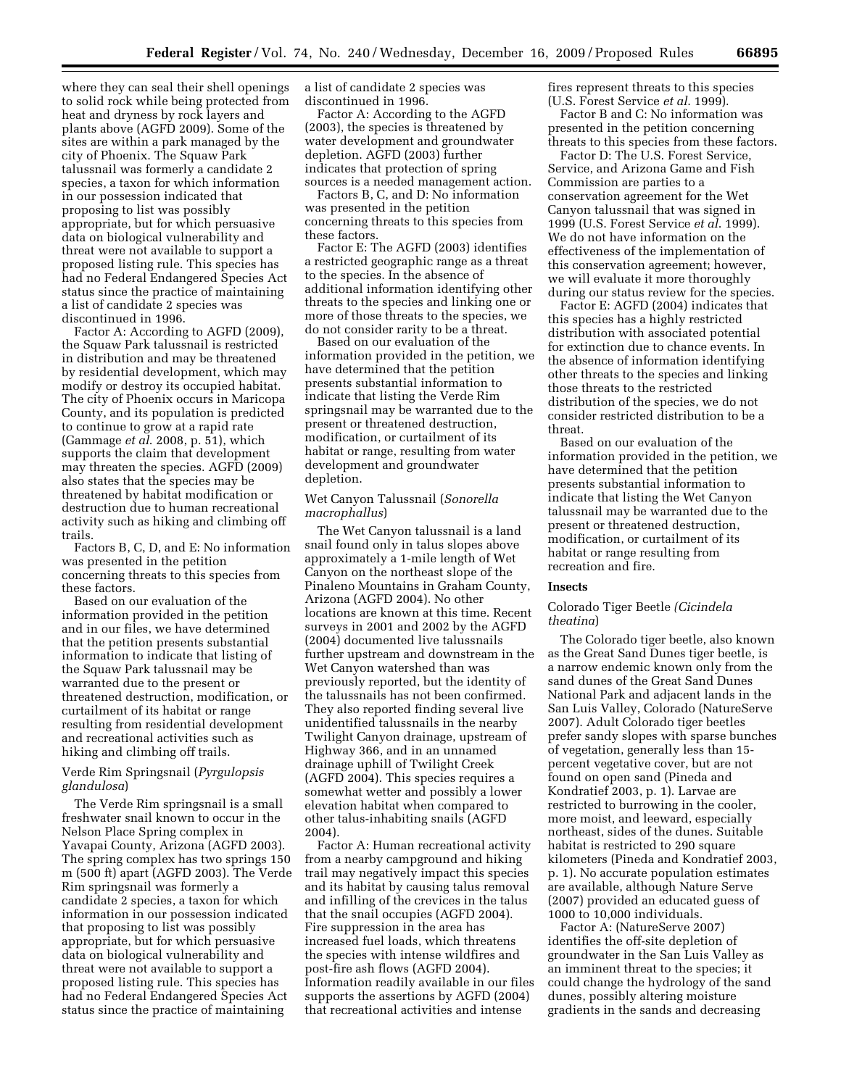where they can seal their shell openings to solid rock while being protected from heat and dryness by rock layers and plants above (AGFD 2009). Some of the sites are within a park managed by the city of Phoenix. The Squaw Park talussnail was formerly a candidate 2 species, a taxon for which information in our possession indicated that proposing to list was possibly appropriate, but for which persuasive data on biological vulnerability and threat were not available to support a proposed listing rule. This species has had no Federal Endangered Species Act status since the practice of maintaining a list of candidate 2 species was discontinued in 1996.

Factor A: According to AGFD (2009), the Squaw Park talussnail is restricted in distribution and may be threatened by residential development, which may modify or destroy its occupied habitat. The city of Phoenix occurs in Maricopa County, and its population is predicted to continue to grow at a rapid rate (Gammage *et al*. 2008, p. 51), which supports the claim that development may threaten the species. AGFD (2009) also states that the species may be threatened by habitat modification or destruction due to human recreational activity such as hiking and climbing off trails.

Factors B, C, D, and E: No information was presented in the petition concerning threats to this species from these factors.

Based on our evaluation of the information provided in the petition and in our files, we have determined that the petition presents substantial information to indicate that listing of the Squaw Park talussnail may be warranted due to the present or threatened destruction, modification, or curtailment of its habitat or range resulting from residential development and recreational activities such as hiking and climbing off trails.

# Verde Rim Springsnail (*Pyrgulopsis glandulosa*)

The Verde Rim springsnail is a small freshwater snail known to occur in the Nelson Place Spring complex in Yavapai County, Arizona (AGFD 2003). The spring complex has two springs 150 m (500 ft) apart (AGFD 2003). The Verde Rim springsnail was formerly a candidate 2 species, a taxon for which information in our possession indicated that proposing to list was possibly appropriate, but for which persuasive data on biological vulnerability and threat were not available to support a proposed listing rule. This species has had no Federal Endangered Species Act status since the practice of maintaining

a list of candidate 2 species was discontinued in 1996.

Factor A: According to the AGFD (2003), the species is threatened by water development and groundwater depletion. AGFD (2003) further indicates that protection of spring sources is a needed management action.

Factors B, C, and D: No information was presented in the petition concerning threats to this species from these factors.

Factor E: The AGFD (2003) identifies a restricted geographic range as a threat to the species. In the absence of additional information identifying other threats to the species and linking one or more of those threats to the species, we do not consider rarity to be a threat.

Based on our evaluation of the information provided in the petition, we have determined that the petition presents substantial information to indicate that listing the Verde Rim springsnail may be warranted due to the present or threatened destruction, modification, or curtailment of its habitat or range, resulting from water development and groundwater depletion.

# Wet Canyon Talussnail (*Sonorella macrophallus*)

The Wet Canyon talussnail is a land snail found only in talus slopes above approximately a 1-mile length of Wet Canyon on the northeast slope of the Pinaleno Mountains in Graham County, Arizona (AGFD 2004). No other locations are known at this time. Recent surveys in 2001 and 2002 by the AGFD (2004) documented live talussnails further upstream and downstream in the Wet Canyon watershed than was previously reported, but the identity of the talussnails has not been confirmed. They also reported finding several live unidentified talussnails in the nearby Twilight Canyon drainage, upstream of Highway 366, and in an unnamed drainage uphill of Twilight Creek (AGFD 2004). This species requires a somewhat wetter and possibly a lower elevation habitat when compared to other talus-inhabiting snails (AGFD 2004).

Factor A: Human recreational activity from a nearby campground and hiking trail may negatively impact this species and its habitat by causing talus removal and infilling of the crevices in the talus that the snail occupies (AGFD 2004). Fire suppression in the area has increased fuel loads, which threatens the species with intense wildfires and post-fire ash flows (AGFD 2004). Information readily available in our files supports the assertions by AGFD (2004) that recreational activities and intense

fires represent threats to this species (U.S. Forest Service *et al*. 1999).

Factor B and C: No information was presented in the petition concerning threats to this species from these factors.

Factor D: The U.S. Forest Service, Service, and Arizona Game and Fish Commission are parties to a conservation agreement for the Wet Canyon talussnail that was signed in 1999 (U.S. Forest Service *et al*. 1999). We do not have information on the effectiveness of the implementation of this conservation agreement; however, we will evaluate it more thoroughly during our status review for the species.

Factor E: AGFD (2004) indicates that this species has a highly restricted distribution with associated potential for extinction due to chance events. In the absence of information identifying other threats to the species and linking those threats to the restricted distribution of the species, we do not consider restricted distribution to be a threat.

Based on our evaluation of the information provided in the petition, we have determined that the petition presents substantial information to indicate that listing the Wet Canyon talussnail may be warranted due to the present or threatened destruction, modification, or curtailment of its habitat or range resulting from recreation and fire.

# **Insects**

#### Colorado Tiger Beetle *(Cicindela theatina*)

The Colorado tiger beetle, also known as the Great Sand Dunes tiger beetle, is a narrow endemic known only from the sand dunes of the Great Sand Dunes National Park and adjacent lands in the San Luis Valley, Colorado (NatureServe 2007). Adult Colorado tiger beetles prefer sandy slopes with sparse bunches of vegetation, generally less than 15 percent vegetative cover, but are not found on open sand (Pineda and Kondratief 2003, p. 1). Larvae are restricted to burrowing in the cooler, more moist, and leeward, especially northeast, sides of the dunes. Suitable habitat is restricted to 290 square kilometers (Pineda and Kondratief 2003, p. 1). No accurate population estimates are available, although Nature Serve (2007) provided an educated guess of 1000 to 10,000 individuals.

Factor A: (NatureServe 2007) identifies the off-site depletion of groundwater in the San Luis Valley as an imminent threat to the species; it could change the hydrology of the sand dunes, possibly altering moisture gradients in the sands and decreasing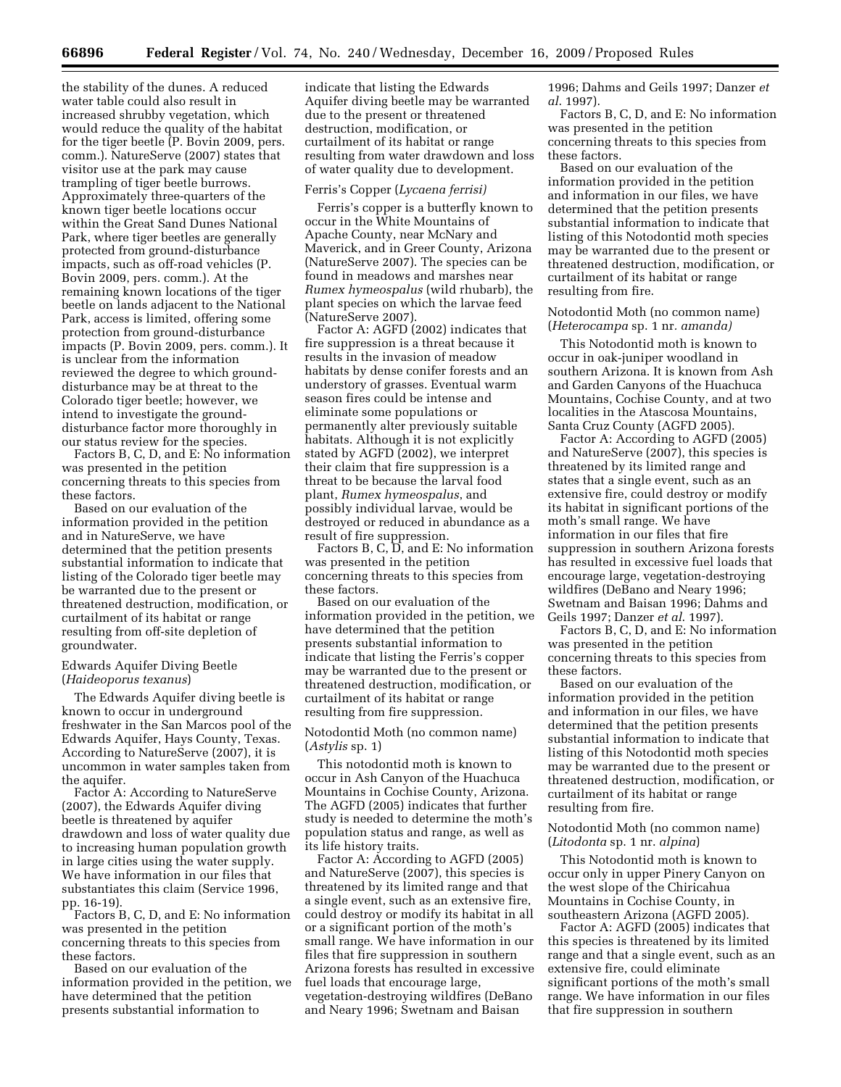the stability of the dunes. A reduced water table could also result in increased shrubby vegetation, which would reduce the quality of the habitat for the tiger beetle (P. Bovin 2009, pers. comm.). NatureServe (2007) states that visitor use at the park may cause trampling of tiger beetle burrows. Approximately three-quarters of the known tiger beetle locations occur within the Great Sand Dunes National Park, where tiger beetles are generally protected from ground-disturbance impacts, such as off-road vehicles (P. Bovin 2009, pers. comm.). At the remaining known locations of the tiger beetle on lands adjacent to the National Park, access is limited, offering some protection from ground-disturbance impacts (P. Bovin 2009, pers. comm.). It is unclear from the information reviewed the degree to which grounddisturbance may be at threat to the Colorado tiger beetle; however, we intend to investigate the grounddisturbance factor more thoroughly in our status review for the species.

Factors B, C, D, and E: No information was presented in the petition concerning threats to this species from these factors.

Based on our evaluation of the information provided in the petition and in NatureServe, we have determined that the petition presents substantial information to indicate that listing of the Colorado tiger beetle may be warranted due to the present or threatened destruction, modification, or curtailment of its habitat or range resulting from off-site depletion of groundwater.

Edwards Aquifer Diving Beetle (*Haideoporus texanus*)

The Edwards Aquifer diving beetle is known to occur in underground freshwater in the San Marcos pool of the Edwards Aquifer, Hays County, Texas. According to NatureServe (2007), it is uncommon in water samples taken from the aquifer.

Factor A: According to NatureServe (2007), the Edwards Aquifer diving beetle is threatened by aquifer drawdown and loss of water quality due to increasing human population growth in large cities using the water supply. We have information in our files that substantiates this claim (Service 1996, pp. 16-19).

Factors B, C, D, and E: No information was presented in the petition concerning threats to this species from these factors.

Based on our evaluation of the information provided in the petition, we have determined that the petition presents substantial information to

indicate that listing the Edwards Aquifer diving beetle may be warranted due to the present or threatened destruction, modification, or curtailment of its habitat or range resulting from water drawdown and loss of water quality due to development.

#### Ferris's Copper (*Lycaena ferrisi)*

Ferris's copper is a butterfly known to occur in the White Mountains of Apache County, near McNary and Maverick, and in Greer County, Arizona (NatureServe 2007). The species can be found in meadows and marshes near *Rumex hymeospalus* (wild rhubarb), the plant species on which the larvae feed (NatureServe 2007).

Factor A: AGFD (2002) indicates that fire suppression is a threat because it results in the invasion of meadow habitats by dense conifer forests and an understory of grasses. Eventual warm season fires could be intense and eliminate some populations or permanently alter previously suitable habitats. Although it is not explicitly stated by AGFD (2002), we interpret their claim that fire suppression is a threat to be because the larval food plant, *Rumex hymeospalus*, and possibly individual larvae, would be destroyed or reduced in abundance as a result of fire suppression.

Factors B, C, D, and E: No information was presented in the petition concerning threats to this species from these factors.

Based on our evaluation of the information provided in the petition, we have determined that the petition presents substantial information to indicate that listing the Ferris's copper may be warranted due to the present or threatened destruction, modification, or curtailment of its habitat or range resulting from fire suppression.

Notodontid Moth (no common name) (*Astylis* sp. 1)

This notodontid moth is known to occur in Ash Canyon of the Huachuca Mountains in Cochise County, Arizona. The AGFD (2005) indicates that further study is needed to determine the moth's population status and range, as well as its life history traits.

Factor A: According to AGFD (2005) and NatureServe (2007), this species is threatened by its limited range and that a single event, such as an extensive fire, could destroy or modify its habitat in all or a significant portion of the moth's small range. We have information in our files that fire suppression in southern Arizona forests has resulted in excessive fuel loads that encourage large, vegetation-destroying wildfires (DeBano and Neary 1996; Swetnam and Baisan

1996; Dahms and Geils 1997; Danzer *et al*. 1997).

Factors B, C, D, and E: No information was presented in the petition concerning threats to this species from these factors.

Based on our evaluation of the information provided in the petition and information in our files, we have determined that the petition presents substantial information to indicate that listing of this Notodontid moth species may be warranted due to the present or threatened destruction, modification, or curtailment of its habitat or range resulting from fire.

# Notodontid Moth (no common name) (*Heterocampa* sp. 1 nr*. amanda)*

This Notodontid moth is known to occur in oak-juniper woodland in southern Arizona. It is known from Ash and Garden Canyons of the Huachuca Mountains, Cochise County, and at two localities in the Atascosa Mountains, Santa Cruz County (AGFD 2005).

Factor A: According to AGFD (2005) and NatureServe (2007), this species is threatened by its limited range and states that a single event, such as an extensive fire, could destroy or modify its habitat in significant portions of the moth's small range. We have information in our files that fire suppression in southern Arizona forests has resulted in excessive fuel loads that encourage large, vegetation-destroying wildfires (DeBano and Neary 1996; Swetnam and Baisan 1996; Dahms and Geils 1997; Danzer *et al*. 1997).

Factors B, C, D, and E: No information was presented in the petition concerning threats to this species from these factors.

Based on our evaluation of the information provided in the petition and information in our files, we have determined that the petition presents substantial information to indicate that listing of this Notodontid moth species may be warranted due to the present or threatened destruction, modification, or curtailment of its habitat or range resulting from fire.

# Notodontid Moth (no common name) (*Litodonta* sp. 1 nr. *alpina*)

This Notodontid moth is known to occur only in upper Pinery Canyon on the west slope of the Chiricahua Mountains in Cochise County, in southeastern Arizona (AGFD 2005).

Factor A: AGFD (2005) indicates that this species is threatened by its limited range and that a single event, such as an extensive fire, could eliminate significant portions of the moth's small range. We have information in our files that fire suppression in southern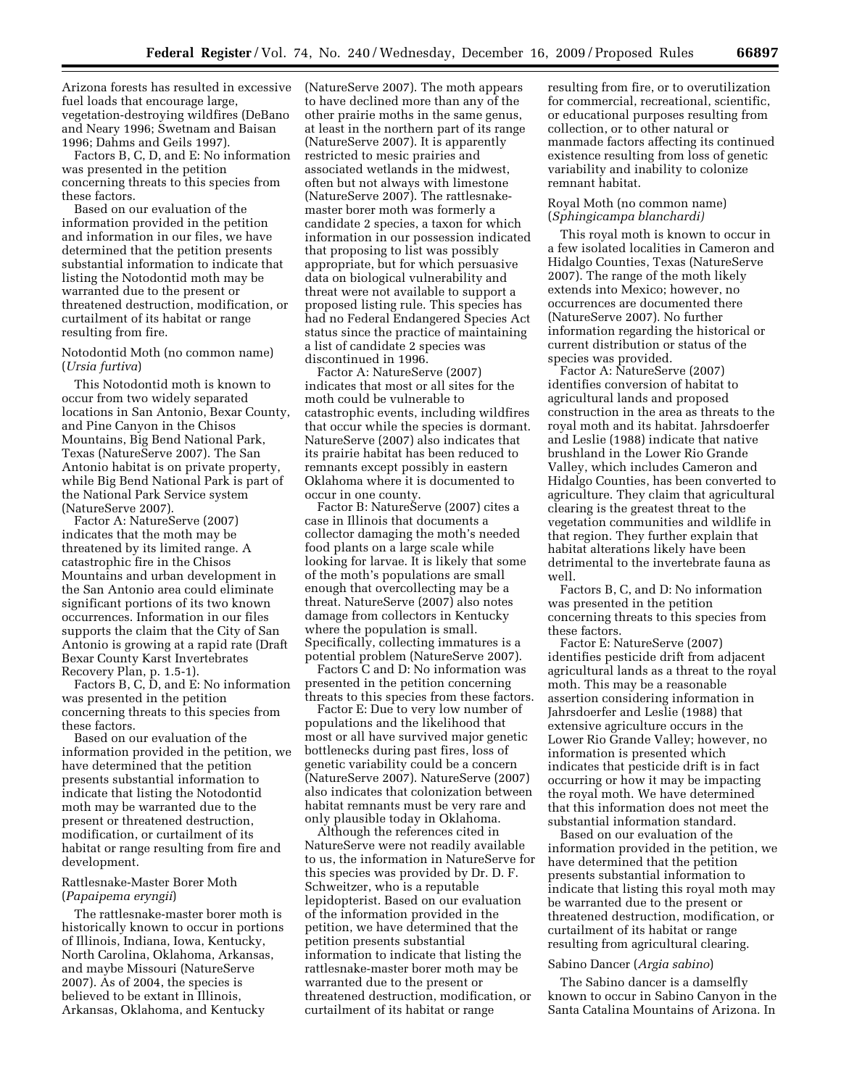Arizona forests has resulted in excessive fuel loads that encourage large, vegetation-destroying wildfires (DeBano and Neary 1996; Swetnam and Baisan 1996; Dahms and Geils 1997).

Factors B, C, D, and E: No information was presented in the petition concerning threats to this species from these factors.

Based on our evaluation of the information provided in the petition and information in our files, we have determined that the petition presents substantial information to indicate that listing the Notodontid moth may be warranted due to the present or threatened destruction, modification, or curtailment of its habitat or range resulting from fire.

Notodontid Moth (no common name) (*Ursia furtiva*)

This Notodontid moth is known to occur from two widely separated locations in San Antonio, Bexar County, and Pine Canyon in the Chisos Mountains, Big Bend National Park, Texas (NatureServe 2007). The San Antonio habitat is on private property, while Big Bend National Park is part of the National Park Service system (NatureServe 2007).

Factor A: NatureServe (2007) indicates that the moth may be threatened by its limited range. A catastrophic fire in the Chisos Mountains and urban development in the San Antonio area could eliminate significant portions of its two known occurrences. Information in our files supports the claim that the City of San Antonio is growing at a rapid rate (Draft Bexar County Karst Invertebrates Recovery Plan, p. 1.5-1).

Factors B, C, D, and E: No information was presented in the petition concerning threats to this species from these factors.

Based on our evaluation of the information provided in the petition, we have determined that the petition presents substantial information to indicate that listing the Notodontid moth may be warranted due to the present or threatened destruction, modification, or curtailment of its habitat or range resulting from fire and development.

## Rattlesnake-Master Borer Moth (*Papaipema eryngii*)

The rattlesnake-master borer moth is historically known to occur in portions of Illinois, Indiana, Iowa, Kentucky, North Carolina, Oklahoma, Arkansas, and maybe Missouri (NatureServe 2007). As of 2004, the species is believed to be extant in Illinois, Arkansas, Oklahoma, and Kentucky

(NatureServe 2007). The moth appears to have declined more than any of the other prairie moths in the same genus, at least in the northern part of its range (NatureServe 2007). It is apparently restricted to mesic prairies and associated wetlands in the midwest, often but not always with limestone (NatureServe 2007). The rattlesnakemaster borer moth was formerly a candidate 2 species, a taxon for which information in our possession indicated that proposing to list was possibly appropriate, but for which persuasive data on biological vulnerability and threat were not available to support a proposed listing rule. This species has had no Federal Endangered Species Act status since the practice of maintaining a list of candidate 2 species was discontinued in 1996.

Factor A: NatureServe (2007) indicates that most or all sites for the moth could be vulnerable to catastrophic events, including wildfires that occur while the species is dormant. NatureServe (2007) also indicates that its prairie habitat has been reduced to remnants except possibly in eastern Oklahoma where it is documented to occur in one county.

Factor B: NatureServe (2007) cites a case in Illinois that documents a collector damaging the moth's needed food plants on a large scale while looking for larvae. It is likely that some of the moth's populations are small enough that overcollecting may be a threat. NatureServe (2007) also notes damage from collectors in Kentucky where the population is small. Specifically, collecting immatures is a potential problem (NatureServe 2007).

Factors C and D: No information was presented in the petition concerning threats to this species from these factors.

Factor E: Due to very low number of populations and the likelihood that most or all have survived major genetic bottlenecks during past fires, loss of genetic variability could be a concern (NatureServe 2007). NatureServe (2007) also indicates that colonization between habitat remnants must be very rare and only plausible today in Oklahoma.

Although the references cited in NatureServe were not readily available to us, the information in NatureServe for this species was provided by Dr. D. F. Schweitzer, who is a reputable lepidopterist. Based on our evaluation of the information provided in the petition, we have determined that the petition presents substantial information to indicate that listing the rattlesnake-master borer moth may be warranted due to the present or threatened destruction, modification, or curtailment of its habitat or range

resulting from fire, or to overutilization for commercial, recreational, scientific, or educational purposes resulting from collection, or to other natural or manmade factors affecting its continued existence resulting from loss of genetic variability and inability to colonize remnant habitat.

# Royal Moth (no common name) (*Sphingicampa blanchardi)*

This royal moth is known to occur in a few isolated localities in Cameron and Hidalgo Counties, Texas (NatureServe 2007). The range of the moth likely extends into Mexico; however, no occurrences are documented there (NatureServe 2007). No further information regarding the historical or current distribution or status of the species was provided.

Factor A: NatureServe (2007) identifies conversion of habitat to agricultural lands and proposed construction in the area as threats to the royal moth and its habitat. Jahrsdoerfer and Leslie (1988) indicate that native brushland in the Lower Rio Grande Valley, which includes Cameron and Hidalgo Counties, has been converted to agriculture. They claim that agricultural clearing is the greatest threat to the vegetation communities and wildlife in that region. They further explain that habitat alterations likely have been detrimental to the invertebrate fauna as well.

Factors B, C, and D: No information was presented in the petition concerning threats to this species from these factors.

Factor E: NatureServe (2007) identifies pesticide drift from adjacent agricultural lands as a threat to the royal moth. This may be a reasonable assertion considering information in Jahrsdoerfer and Leslie (1988) that extensive agriculture occurs in the Lower Rio Grande Valley; however, no information is presented which indicates that pesticide drift is in fact occurring or how it may be impacting the royal moth. We have determined that this information does not meet the substantial information standard.

Based on our evaluation of the information provided in the petition, we have determined that the petition presents substantial information to indicate that listing this royal moth may be warranted due to the present or threatened destruction, modification, or curtailment of its habitat or range resulting from agricultural clearing.

# Sabino Dancer (*Argia sabino*)

The Sabino dancer is a damselfly known to occur in Sabino Canyon in the Santa Catalina Mountains of Arizona. In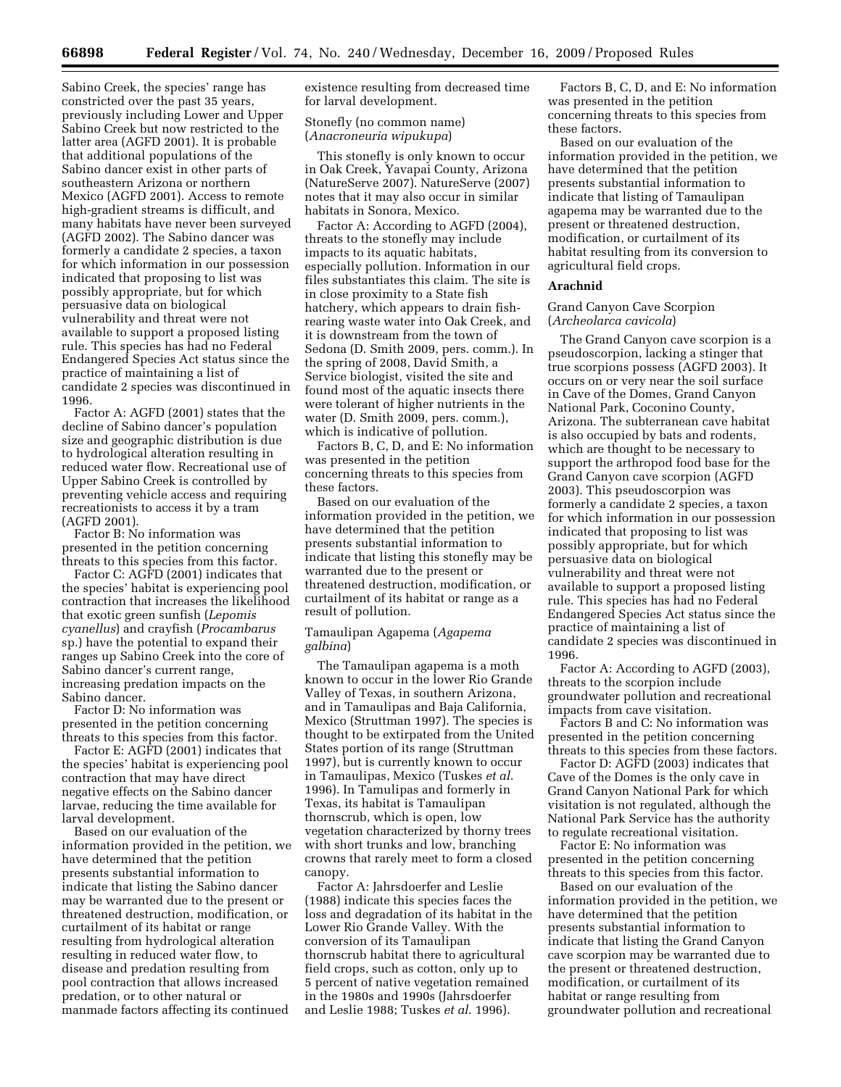Sabino Creek, the species' range has constricted over the past 35 years, previously including Lower and Upper Sabino Creek but now restricted to the latter area (AGFD 2001). It is probable that additional populations of the Sabino dancer exist in other parts of southeastern Arizona or northern Mexico (AGFD 2001). Access to remote high-gradient streams is difficult, and many habitats have never been surveyed (AGFD 2002). The Sabino dancer was formerly a candidate 2 species, a taxon for which information in our possession indicated that proposing to list was possibly appropriate, but for which persuasive data on biological vulnerability and threat were not available to support a proposed listing rule. This species has had no Federal Endangered Species Act status since the practice of maintaining a list of candidate 2 species was discontinued in 1996.

Factor A: AGFD (2001) states that the decline of Sabino dancer's population size and geographic distribution is due to hydrological alteration resulting in reduced water flow. Recreational use of Upper Sabino Creek is controlled by preventing vehicle access and requiring recreationists to access it by a tram (AGFD 2001).

Factor B: No information was presented in the petition concerning threats to this species from this factor.

Factor C: AGFD (2001) indicates that the species' habitat is experiencing pool contraction that increases the likelihood that exotic green sunfish (*Lepomis cyanellus*) and crayfish (*Procambarus*  sp.) have the potential to expand their ranges up Sabino Creek into the core of Sabino dancer's current range, increasing predation impacts on the Sabino dancer.

Factor D: No information was presented in the petition concerning threats to this species from this factor.

Factor E: AGFD (2001) indicates that the species' habitat is experiencing pool contraction that may have direct negative effects on the Sabino dancer larvae, reducing the time available for larval development.

Based on our evaluation of the information provided in the petition, we have determined that the petition presents substantial information to indicate that listing the Sabino dancer may be warranted due to the present or threatened destruction, modification, or curtailment of its habitat or range resulting from hydrological alteration resulting in reduced water flow, to disease and predation resulting from pool contraction that allows increased predation, or to other natural or manmade factors affecting its continued

existence resulting from decreased time for larval development.

# Stonefly (no common name) (*Anacroneuria wipukupa*)

This stonefly is only known to occur in Oak Creek, Yavapai County, Arizona (NatureServe 2007). NatureServe (2007) notes that it may also occur in similar habitats in Sonora, Mexico.

Factor A: According to AGFD (2004), threats to the stonefly may include impacts to its aquatic habitats, especially pollution. Information in our files substantiates this claim. The site is in close proximity to a State fish hatchery, which appears to drain fishrearing waste water into Oak Creek, and it is downstream from the town of Sedona (D. Smith 2009, pers. comm.). In the spring of 2008, David Smith, a Service biologist, visited the site and found most of the aquatic insects there were tolerant of higher nutrients in the water (D. Smith 2009, pers. comm.), which is indicative of pollution.

Factors B, C, D, and E: No information was presented in the petition concerning threats to this species from these factors.

Based on our evaluation of the information provided in the petition, we have determined that the petition presents substantial information to indicate that listing this stonefly may be warranted due to the present or threatened destruction, modification, or curtailment of its habitat or range as a result of pollution.

# Tamaulipan Agapema (*Agapema galbina*)

The Tamaulipan agapema is a moth known to occur in the lower Rio Grande Valley of Texas, in southern Arizona, and in Tamaulipas and Baja California, Mexico (Struttman 1997). The species is thought to be extirpated from the United States portion of its range (Struttman 1997), but is currently known to occur in Tamaulipas, Mexico (Tuskes *et al*. 1996). In Tamulipas and formerly in Texas, its habitat is Tamaulipan thornscrub, which is open, low vegetation characterized by thorny trees with short trunks and low, branching crowns that rarely meet to form a closed canopy.

Factor A: Jahrsdoerfer and Leslie (1988) indicate this species faces the loss and degradation of its habitat in the Lower Rio Grande Valley. With the conversion of its Tamaulipan thornscrub habitat there to agricultural field crops, such as cotton, only up to 5 percent of native vegetation remained in the 1980s and 1990s (Jahrsdoerfer and Leslie 1988; Tuskes *et al*. 1996).

Factors B, C, D, and E: No information was presented in the petition concerning threats to this species from these factors.

Based on our evaluation of the information provided in the petition, we have determined that the petition presents substantial information to indicate that listing of Tamaulipan agapema may be warranted due to the present or threatened destruction, modification, or curtailment of its habitat resulting from its conversion to agricultural field crops.

#### **Arachnid**

# Grand Canyon Cave Scorpion (*Archeolarca cavicola*)

The Grand Canyon cave scorpion is a pseudoscorpion, lacking a stinger that true scorpions possess (AGFD 2003). It occurs on or very near the soil surface in Cave of the Domes, Grand Canyon National Park, Coconino County, Arizona. The subterranean cave habitat is also occupied by bats and rodents, which are thought to be necessary to support the arthropod food base for the Grand Canyon cave scorpion (AGFD 2003). This pseudoscorpion was formerly a candidate 2 species, a taxon for which information in our possession indicated that proposing to list was possibly appropriate, but for which persuasive data on biological vulnerability and threat were not available to support a proposed listing rule. This species has had no Federal Endangered Species Act status since the practice of maintaining a list of candidate 2 species was discontinued in 1996.

Factor A: According to AGFD (2003), threats to the scorpion include groundwater pollution and recreational impacts from cave visitation.

Factors B and C: No information was presented in the petition concerning threats to this species from these factors.

Factor D: AGFD (2003) indicates that Cave of the Domes is the only cave in Grand Canyon National Park for which visitation is not regulated, although the National Park Service has the authority to regulate recreational visitation.

Factor E: No information was presented in the petition concerning threats to this species from this factor.

Based on our evaluation of the information provided in the petition, we have determined that the petition presents substantial information to indicate that listing the Grand Canyon cave scorpion may be warranted due to the present or threatened destruction, modification, or curtailment of its habitat or range resulting from groundwater pollution and recreational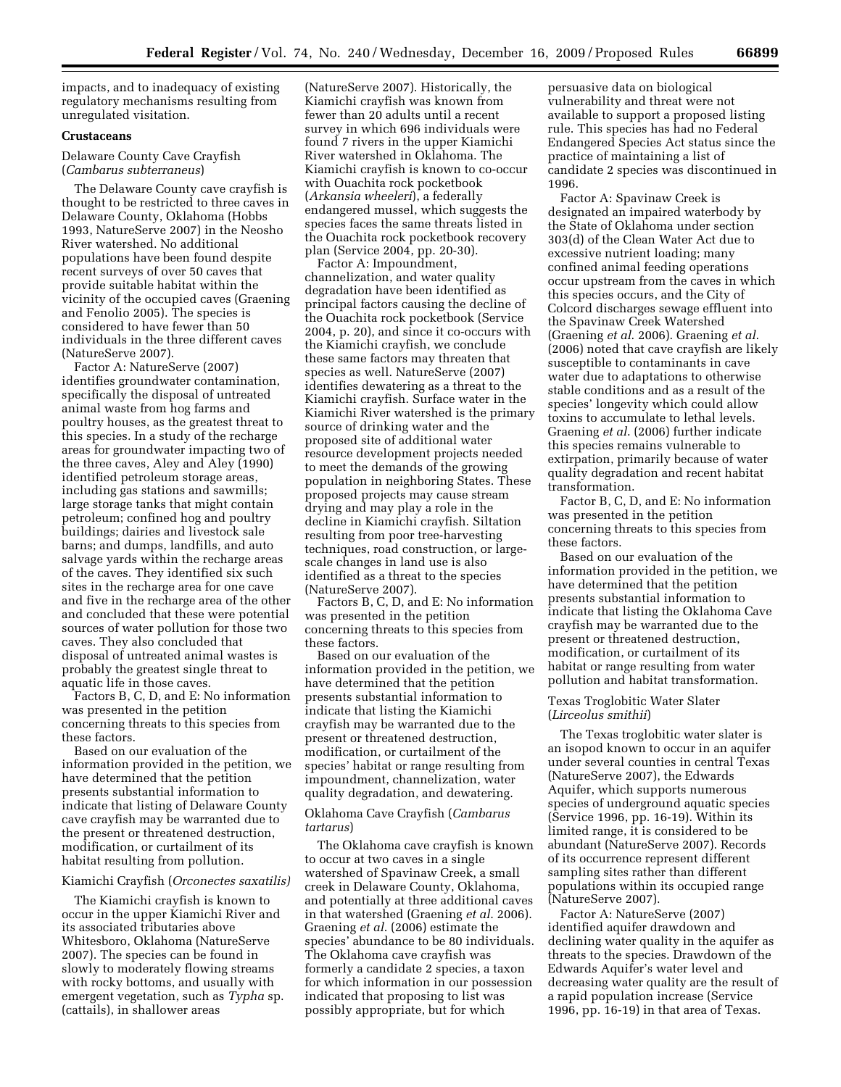impacts, and to inadequacy of existing regulatory mechanisms resulting from unregulated visitation.

# **Crustaceans**

Delaware County Cave Crayfish (*Cambarus subterraneus*)

The Delaware County cave crayfish is thought to be restricted to three caves in Delaware County, Oklahoma (Hobbs 1993, NatureServe 2007) in the Neosho River watershed. No additional populations have been found despite recent surveys of over 50 caves that provide suitable habitat within the vicinity of the occupied caves (Graening and Fenolio 2005). The species is considered to have fewer than 50 individuals in the three different caves (NatureServe 2007).

Factor A: NatureServe (2007) identifies groundwater contamination, specifically the disposal of untreated animal waste from hog farms and poultry houses, as the greatest threat to this species. In a study of the recharge areas for groundwater impacting two of the three caves, Aley and Aley (1990) identified petroleum storage areas, including gas stations and sawmills; large storage tanks that might contain petroleum; confined hog and poultry buildings; dairies and livestock sale barns; and dumps, landfills, and auto salvage yards within the recharge areas of the caves. They identified six such sites in the recharge area for one cave and five in the recharge area of the other and concluded that these were potential sources of water pollution for those two caves. They also concluded that disposal of untreated animal wastes is probably the greatest single threat to aquatic life in those caves.

Factors B, C, D, and E: No information was presented in the petition concerning threats to this species from these factors.

Based on our evaluation of the information provided in the petition, we have determined that the petition presents substantial information to indicate that listing of Delaware County cave crayfish may be warranted due to the present or threatened destruction, modification, or curtailment of its habitat resulting from pollution.

# Kiamichi Crayfish (*Orconectes saxatilis)*

The Kiamichi crayfish is known to occur in the upper Kiamichi River and its associated tributaries above Whitesboro, Oklahoma (NatureServe 2007). The species can be found in slowly to moderately flowing streams with rocky bottoms, and usually with emergent vegetation, such as *Typha* sp. (cattails), in shallower areas

(NatureServe 2007). Historically, the Kiamichi crayfish was known from fewer than 20 adults until a recent survey in which 696 individuals were found 7 rivers in the upper Kiamichi River watershed in Oklahoma. The Kiamichi crayfish is known to co-occur with Ouachita rock pocketbook (*Arkansia wheeleri*), a federally endangered mussel, which suggests the species faces the same threats listed in the Ouachita rock pocketbook recovery plan (Service 2004, pp. 20-30).

Factor A: Impoundment, channelization, and water quality degradation have been identified as principal factors causing the decline of the Ouachita rock pocketbook (Service 2004, p. 20), and since it co-occurs with the Kiamichi crayfish, we conclude these same factors may threaten that species as well. NatureServe (2007) identifies dewatering as a threat to the Kiamichi crayfish. Surface water in the Kiamichi River watershed is the primary source of drinking water and the proposed site of additional water resource development projects needed to meet the demands of the growing population in neighboring States. These proposed projects may cause stream drying and may play a role in the decline in Kiamichi crayfish. Siltation resulting from poor tree-harvesting techniques, road construction, or largescale changes in land use is also identified as a threat to the species (NatureServe 2007).

Factors B, C, D, and E: No information was presented in the petition concerning threats to this species from these factors.

Based on our evaluation of the information provided in the petition, we have determined that the petition presents substantial information to indicate that listing the Kiamichi crayfish may be warranted due to the present or threatened destruction, modification, or curtailment of the species' habitat or range resulting from impoundment, channelization, water quality degradation, and dewatering.

Oklahoma Cave Crayfish (*Cambarus tartarus*)

The Oklahoma cave crayfish is known to occur at two caves in a single watershed of Spavinaw Creek, a small creek in Delaware County, Oklahoma, and potentially at three additional caves in that watershed (Graening *et al*. 2006). Graening *et al*. (2006) estimate the species' abundance to be 80 individuals. The Oklahoma cave crayfish was formerly a candidate 2 species, a taxon for which information in our possession indicated that proposing to list was possibly appropriate, but for which

persuasive data on biological vulnerability and threat were not available to support a proposed listing rule. This species has had no Federal Endangered Species Act status since the practice of maintaining a list of candidate 2 species was discontinued in 1996.

Factor A: Spavinaw Creek is designated an impaired waterbody by the State of Oklahoma under section 303(d) of the Clean Water Act due to excessive nutrient loading; many confined animal feeding operations occur upstream from the caves in which this species occurs, and the City of Colcord discharges sewage effluent into the Spavinaw Creek Watershed (Graening *et al*. 2006). Graening *et al*. (2006) noted that cave crayfish are likely susceptible to contaminants in cave water due to adaptations to otherwise stable conditions and as a result of the species' longevity which could allow toxins to accumulate to lethal levels. Graening *et al*. (2006) further indicate this species remains vulnerable to extirpation, primarily because of water quality degradation and recent habitat transformation.

Factor B, C, D, and E: No information was presented in the petition concerning threats to this species from these factors.

Based on our evaluation of the information provided in the petition, we have determined that the petition presents substantial information to indicate that listing the Oklahoma Cave crayfish may be warranted due to the present or threatened destruction, modification, or curtailment of its habitat or range resulting from water pollution and habitat transformation.

# Texas Troglobitic Water Slater (*Lirceolus smithii*)

The Texas troglobitic water slater is an isopod known to occur in an aquifer under several counties in central Texas (NatureServe 2007), the Edwards Aquifer, which supports numerous species of underground aquatic species (Service 1996, pp. 16-19). Within its limited range, it is considered to be abundant (NatureServe 2007). Records of its occurrence represent different sampling sites rather than different populations within its occupied range (NatureServe 2007).

Factor A: NatureServe (2007) identified aquifer drawdown and declining water quality in the aquifer as threats to the species. Drawdown of the Edwards Aquifer's water level and decreasing water quality are the result of a rapid population increase (Service 1996, pp. 16-19) in that area of Texas.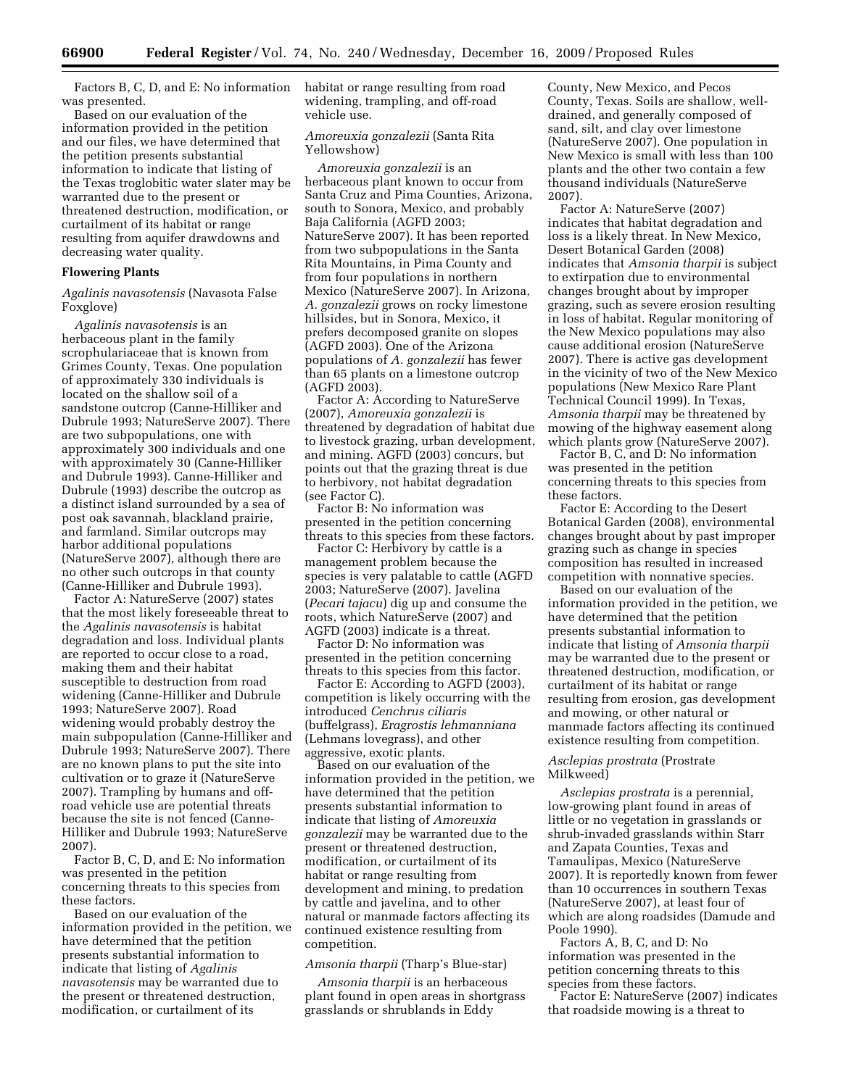Factors B, C, D, and E: No information was presented.

Based on our evaluation of the information provided in the petition and our files, we have determined that the petition presents substantial information to indicate that listing of the Texas troglobitic water slater may be warranted due to the present or threatened destruction, modification, or curtailment of its habitat or range resulting from aquifer drawdowns and decreasing water quality.

# **Flowering Plants**

*Agalinis navasotensis* (Navasota False Foxglove)

*Agalinis navasotensis* is an herbaceous plant in the family scrophulariaceae that is known from Grimes County, Texas. One population of approximately 330 individuals is located on the shallow soil of a sandstone outcrop (Canne-Hilliker and Dubrule 1993; NatureServe 2007). There are two subpopulations, one with approximately 300 individuals and one with approximately 30 (Canne-Hilliker and Dubrule 1993). Canne-Hilliker and Dubrule (1993) describe the outcrop as a distinct island surrounded by a sea of post oak savannah, blackland prairie, and farmland. Similar outcrops may harbor additional populations (NatureServe 2007), although there are no other such outcrops in that county (Canne-Hilliker and Dubrule 1993).

Factor A: NatureServe (2007) states that the most likely foreseeable threat to the *Agalinis navasotensis* is habitat degradation and loss. Individual plants are reported to occur close to a road, making them and their habitat susceptible to destruction from road widening (Canne-Hilliker and Dubrule 1993; NatureServe 2007). Road widening would probably destroy the main subpopulation (Canne-Hilliker and Dubrule 1993; NatureServe 2007). There are no known plans to put the site into cultivation or to graze it (NatureServe 2007). Trampling by humans and offroad vehicle use are potential threats because the site is not fenced (Canne-Hilliker and Dubrule 1993; NatureServe 2007).

Factor B, C, D, and E: No information was presented in the petition concerning threats to this species from these factors.

Based on our evaluation of the information provided in the petition, we have determined that the petition presents substantial information to indicate that listing of *Agalinis navasotensis* may be warranted due to the present or threatened destruction, modification, or curtailment of its

habitat or range resulting from road widening, trampling, and off-road vehicle use.

# *Amoreuxia gonzalezii* (Santa Rita Yellowshow)

*Amoreuxia gonzalezii* is an herbaceous plant known to occur from Santa Cruz and Pima Counties, Arizona, south to Sonora, Mexico, and probably Baja California (AGFD 2003; NatureServe 2007). It has been reported from two subpopulations in the Santa Rita Mountains, in Pima County and from four populations in northern Mexico (NatureServe 2007). In Arizona, *A. gonzalezii* grows on rocky limestone hillsides, but in Sonora, Mexico, it prefers decomposed granite on slopes (AGFD 2003). One of the Arizona populations of *A. gonzalezii* has fewer than 65 plants on a limestone outcrop (AGFD 2003).

Factor A: According to NatureServe (2007), *Amoreuxia gonzalezii* is threatened by degradation of habitat due to livestock grazing, urban development, and mining. AGFD (2003) concurs, but points out that the grazing threat is due to herbivory, not habitat degradation (see Factor C).

Factor B: No information was presented in the petition concerning threats to this species from these factors.

Factor C: Herbivory by cattle is a management problem because the species is very palatable to cattle (AGFD 2003; NatureServe (2007). Javelina (*Pecari tajacu*) dig up and consume the roots, which NatureServe (2007) and AGFD (2003) indicate is a threat.

Factor D: No information was presented in the petition concerning threats to this species from this factor.

Factor E: According to AGFD (2003), competition is likely occurring with the introduced *Cenchrus ciliaris*  (buffelgrass), *Eragrostis lehmanniana*  (Lehmans lovegrass), and other aggressive, exotic plants.

Based on our evaluation of the information provided in the petition, we have determined that the petition presents substantial information to indicate that listing of *Amoreuxia gonzalezii* may be warranted due to the present or threatened destruction, modification, or curtailment of its habitat or range resulting from development and mining, to predation by cattle and javelina, and to other natural or manmade factors affecting its continued existence resulting from competition.

# *Amsonia tharpii* (Tharp's Blue-star)

*Amsonia tharpii* is an herbaceous plant found in open areas in shortgrass grasslands or shrublands in Eddy

County, New Mexico, and Pecos County, Texas. Soils are shallow, welldrained, and generally composed of sand, silt, and clay over limestone (NatureServe 2007). One population in New Mexico is small with less than 100 plants and the other two contain a few thousand individuals (NatureServe 2007).

Factor A: NatureServe (2007) indicates that habitat degradation and loss is a likely threat. In New Mexico, Desert Botanical Garden (2008) indicates that *Amsonia tharpii* is subject to extirpation due to environmental changes brought about by improper grazing, such as severe erosion resulting in loss of habitat. Regular monitoring of the New Mexico populations may also cause additional erosion (NatureServe 2007). There is active gas development in the vicinity of two of the New Mexico populations (New Mexico Rare Plant Technical Council 1999). In Texas, *Amsonia tharpii* may be threatened by mowing of the highway easement along which plants grow (NatureServe 2007).

Factor B, C, and D: No information was presented in the petition concerning threats to this species from these factors.

Factor E: According to the Desert Botanical Garden (2008), environmental changes brought about by past improper grazing such as change in species composition has resulted in increased competition with nonnative species.

Based on our evaluation of the information provided in the petition, we have determined that the petition presents substantial information to indicate that listing of *Amsonia tharpii*  may be warranted due to the present or threatened destruction, modification, or curtailment of its habitat or range resulting from erosion, gas development and mowing, or other natural or manmade factors affecting its continued existence resulting from competition.

# *Asclepias prostrata* (Prostrate Milkweed)

*Asclepias prostrata* is a perennial, low-growing plant found in areas of little or no vegetation in grasslands or shrub-invaded grasslands within Starr and Zapata Counties, Texas and Tamaulipas, Mexico (NatureServe 2007). It is reportedly known from fewer than 10 occurrences in southern Texas (NatureServe 2007), at least four of which are along roadsides (Damude and Poole 1990).

Factors A, B, C, and D: No information was presented in the petition concerning threats to this species from these factors.

Factor E: NatureServe (2007) indicates that roadside mowing is a threat to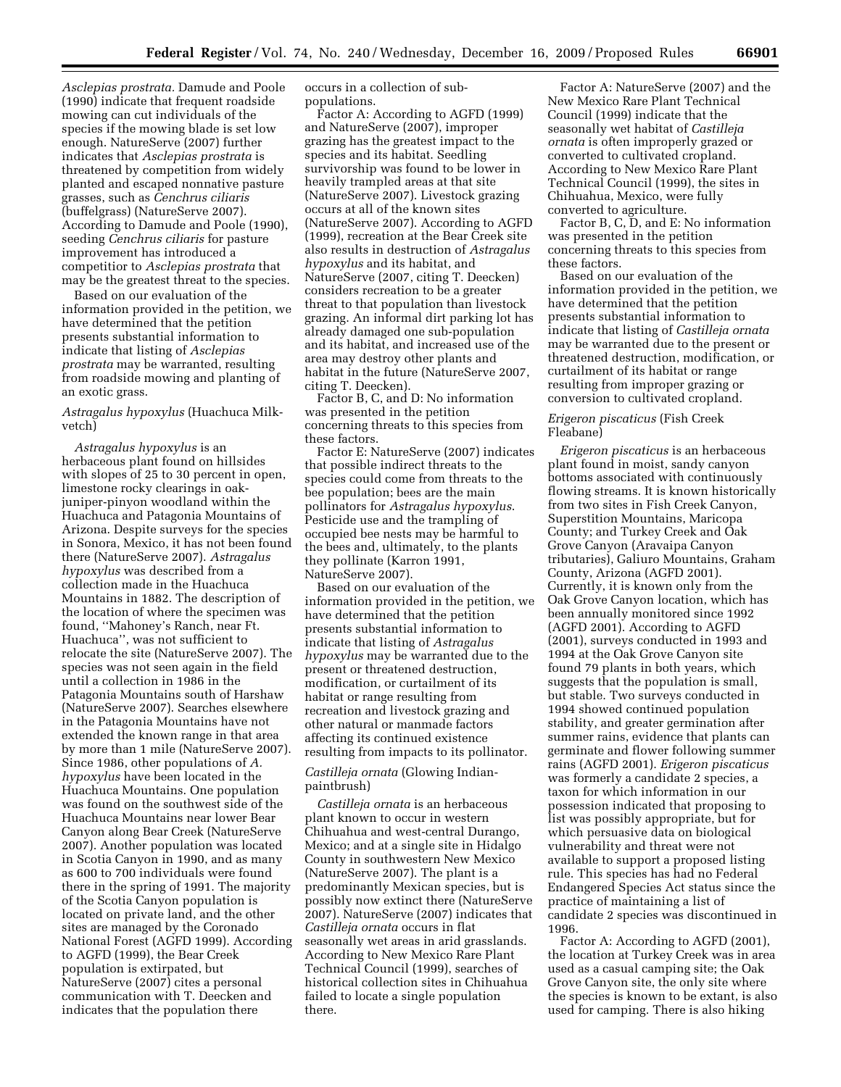*Asclepias prostrata.* Damude and Poole (1990) indicate that frequent roadside mowing can cut individuals of the species if the mowing blade is set low enough. NatureServe (2007) further indicates that *Asclepias prostrata* is threatened by competition from widely planted and escaped nonnative pasture grasses, such as *Cenchrus ciliaris*  (buffelgrass) (NatureServe 2007). According to Damude and Poole (1990), seeding *Cenchrus ciliaris* for pasture improvement has introduced a competitior to *Asclepias prostrata* that may be the greatest threat to the species.

Based on our evaluation of the information provided in the petition, we have determined that the petition presents substantial information to indicate that listing of *Asclepias prostrata* may be warranted, resulting from roadside mowing and planting of an exotic grass.

# *Astragalus hypoxylus* (Huachuca Milkvetch)

*Astragalus hypoxylus* is an herbaceous plant found on hillsides with slopes of 25 to 30 percent in open, limestone rocky clearings in oakjuniper-pinyon woodland within the Huachuca and Patagonia Mountains of Arizona. Despite surveys for the species in Sonora, Mexico, it has not been found there (NatureServe 2007). *Astragalus hypoxylus* was described from a collection made in the Huachuca Mountains in 1882. The description of the location of where the specimen was found, ''Mahoney's Ranch, near Ft. Huachuca'', was not sufficient to relocate the site (NatureServe 2007). The species was not seen again in the field until a collection in 1986 in the Patagonia Mountains south of Harshaw (NatureServe 2007). Searches elsewhere in the Patagonia Mountains have not extended the known range in that area by more than 1 mile (NatureServe 2007). Since 1986, other populations of *A. hypoxylus* have been located in the Huachuca Mountains. One population was found on the southwest side of the Huachuca Mountains near lower Bear Canyon along Bear Creek (NatureServe 2007). Another population was located in Scotia Canyon in 1990, and as many as 600 to 700 individuals were found there in the spring of 1991. The majority of the Scotia Canyon population is located on private land, and the other sites are managed by the Coronado National Forest (AGFD 1999). According to AGFD (1999), the Bear Creek population is extirpated, but NatureServe (2007) cites a personal communication with T. Deecken and indicates that the population there

occurs in a collection of subpopulations.

Factor A: According to AGFD (1999) and NatureServe (2007), improper grazing has the greatest impact to the species and its habitat. Seedling survivorship was found to be lower in heavily trampled areas at that site (NatureServe 2007). Livestock grazing occurs at all of the known sites (NatureServe 2007). According to AGFD (1999), recreation at the Bear Creek site also results in destruction of *Astragalus hypoxylus* and its habitat, and NatureServe (2007, citing T. Deecken) considers recreation to be a greater threat to that population than livestock grazing. An informal dirt parking lot has already damaged one sub-population and its habitat, and increased use of the area may destroy other plants and habitat in the future (NatureServe 2007, citing T. Deecken).

Factor B, C, and D: No information was presented in the petition concerning threats to this species from these factors.

Factor E: NatureServe (2007) indicates that possible indirect threats to the species could come from threats to the bee population; bees are the main pollinators for *Astragalus hypoxylus*. Pesticide use and the trampling of occupied bee nests may be harmful to the bees and, ultimately, to the plants they pollinate (Karron 1991, NatureServe 2007).

Based on our evaluation of the information provided in the petition, we have determined that the petition presents substantial information to indicate that listing of *Astragalus hypoxylus* may be warranted due to the present or threatened destruction, modification, or curtailment of its habitat or range resulting from recreation and livestock grazing and other natural or manmade factors affecting its continued existence resulting from impacts to its pollinator.

# *Castilleja ornata* (Glowing Indianpaintbrush)

*Castilleja ornata* is an herbaceous plant known to occur in western Chihuahua and west-central Durango, Mexico; and at a single site in Hidalgo County in southwestern New Mexico (NatureServe 2007). The plant is a predominantly Mexican species, but is possibly now extinct there (NatureServe 2007). NatureServe (2007) indicates that *Castilleja ornata* occurs in flat seasonally wet areas in arid grasslands. According to New Mexico Rare Plant Technical Council (1999), searches of historical collection sites in Chihuahua failed to locate a single population there.

Factor A: NatureServe (2007) and the New Mexico Rare Plant Technical Council (1999) indicate that the seasonally wet habitat of *Castilleja ornata* is often improperly grazed or converted to cultivated cropland. According to New Mexico Rare Plant Technical Council (1999), the sites in Chihuahua, Mexico, were fully converted to agriculture.

Factor B, C, D, and E: No information was presented in the petition concerning threats to this species from these factors.

Based on our evaluation of the information provided in the petition, we have determined that the petition presents substantial information to indicate that listing of *Castilleja ornata*  may be warranted due to the present or threatened destruction, modification, or curtailment of its habitat or range resulting from improper grazing or conversion to cultivated cropland.

#### *Erigeron piscaticus* (Fish Creek Fleabane)

*Erigeron piscaticus* is an herbaceous plant found in moist, sandy canyon bottoms associated with continuously flowing streams. It is known historically from two sites in Fish Creek Canyon, Superstition Mountains, Maricopa County; and Turkey Creek and Oak Grove Canyon (Aravaipa Canyon tributaries), Galiuro Mountains, Graham County, Arizona (AGFD 2001). Currently, it is known only from the Oak Grove Canyon location, which has been annually monitored since 1992 (AGFD 2001). According to AGFD (2001), surveys conducted in 1993 and 1994 at the Oak Grove Canyon site found 79 plants in both years, which suggests that the population is small, but stable. Two surveys conducted in 1994 showed continued population stability, and greater germination after summer rains, evidence that plants can germinate and flower following summer rains (AGFD 2001). *Erigeron piscaticus*  was formerly a candidate 2 species, a taxon for which information in our possession indicated that proposing to list was possibly appropriate, but for which persuasive data on biological vulnerability and threat were not available to support a proposed listing rule. This species has had no Federal Endangered Species Act status since the practice of maintaining a list of candidate 2 species was discontinued in 1996.

Factor A: According to AGFD (2001), the location at Turkey Creek was in area used as a casual camping site; the Oak Grove Canyon site, the only site where the species is known to be extant, is also used for camping. There is also hiking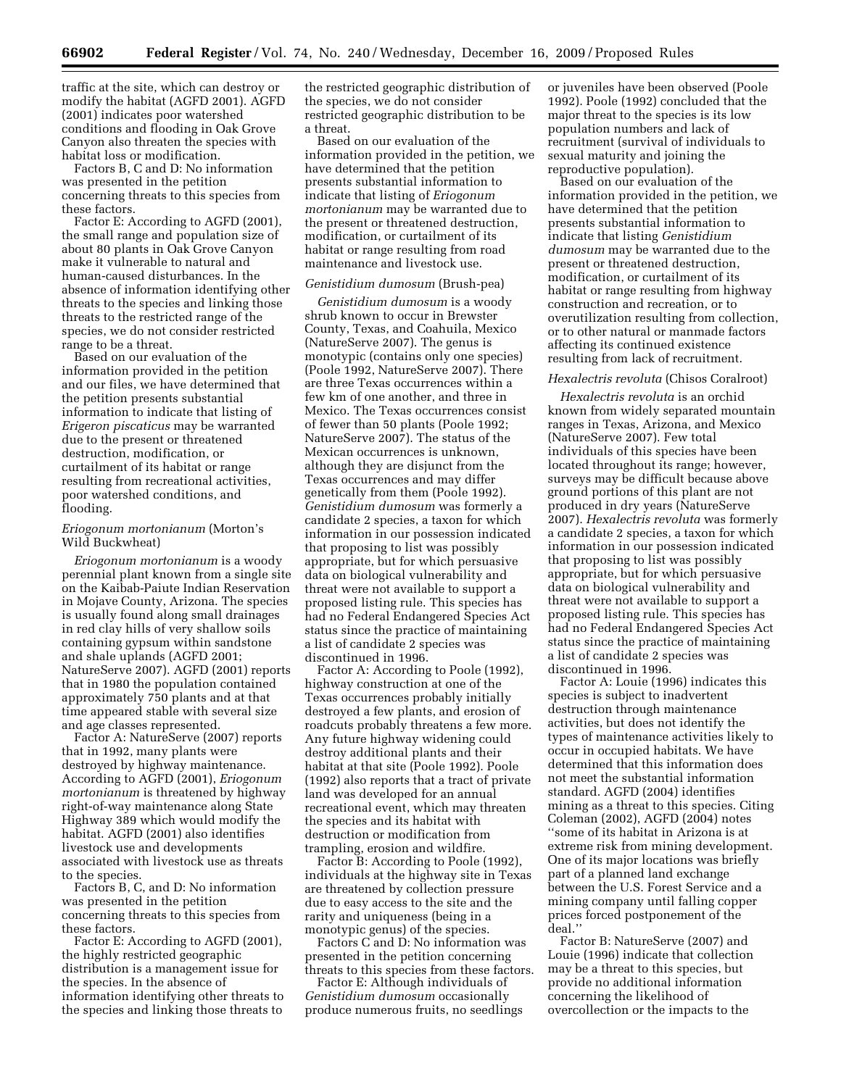traffic at the site, which can destroy or modify the habitat (AGFD 2001). AGFD (2001) indicates poor watershed conditions and flooding in Oak Grove Canyon also threaten the species with habitat loss or modification.

Factors B, C and D: No information was presented in the petition concerning threats to this species from these factors.

Factor E: According to AGFD (2001), the small range and population size of about 80 plants in Oak Grove Canyon make it vulnerable to natural and human-caused disturbances. In the absence of information identifying other threats to the species and linking those threats to the restricted range of the species, we do not consider restricted range to be a threat.

Based on our evaluation of the information provided in the petition and our files, we have determined that the petition presents substantial information to indicate that listing of *Erigeron piscaticus* may be warranted due to the present or threatened destruction, modification, or curtailment of its habitat or range resulting from recreational activities, poor watershed conditions, and flooding.

# *Eriogonum mortonianum* (Morton's Wild Buckwheat)

*Eriogonum mortonianum* is a woody perennial plant known from a single site on the Kaibab-Paiute Indian Reservation in Mojave County, Arizona. The species is usually found along small drainages in red clay hills of very shallow soils containing gypsum within sandstone and shale uplands (AGFD 2001; NatureServe 2007). AGFD (2001) reports that in 1980 the population contained approximately 750 plants and at that time appeared stable with several size and age classes represented.

Factor A: NatureServe (2007) reports that in 1992, many plants were destroyed by highway maintenance. According to AGFD (2001), *Eriogonum mortonianum* is threatened by highway right-of-way maintenance along State Highway 389 which would modify the habitat. AGFD (2001) also identifies livestock use and developments associated with livestock use as threats to the species.

Factors B, C, and D: No information was presented in the petition concerning threats to this species from these factors.

Factor E: According to AGFD (2001), the highly restricted geographic distribution is a management issue for the species. In the absence of information identifying other threats to the species and linking those threats to

the restricted geographic distribution of the species, we do not consider restricted geographic distribution to be a threat.

Based on our evaluation of the information provided in the petition, we have determined that the petition presents substantial information to indicate that listing of *Eriogonum mortonianum* may be warranted due to the present or threatened destruction, modification, or curtailment of its habitat or range resulting from road maintenance and livestock use.

### *Genistidium dumosum* (Brush-pea)

*Genistidium dumosum* is a woody shrub known to occur in Brewster County, Texas, and Coahuila, Mexico (NatureServe 2007). The genus is monotypic (contains only one species) (Poole 1992, NatureServe 2007). There are three Texas occurrences within a few km of one another, and three in Mexico. The Texas occurrences consist of fewer than 50 plants (Poole 1992; NatureServe 2007). The status of the Mexican occurrences is unknown, although they are disjunct from the Texas occurrences and may differ genetically from them (Poole 1992). *Genistidium dumosum* was formerly a candidate 2 species, a taxon for which information in our possession indicated that proposing to list was possibly appropriate, but for which persuasive data on biological vulnerability and threat were not available to support a proposed listing rule. This species has had no Federal Endangered Species Act status since the practice of maintaining a list of candidate 2 species was discontinued in 1996.

Factor A: According to Poole (1992), highway construction at one of the Texas occurrences probably initially destroyed a few plants, and erosion of roadcuts probably threatens a few more. Any future highway widening could destroy additional plants and their habitat at that site (Poole 1992). Poole (1992) also reports that a tract of private land was developed for an annual recreational event, which may threaten the species and its habitat with destruction or modification from trampling, erosion and wildfire.

Factor B: According to Poole (1992), individuals at the highway site in Texas are threatened by collection pressure due to easy access to the site and the rarity and uniqueness (being in a monotypic genus) of the species.

Factors C and D: No information was presented in the petition concerning threats to this species from these factors.

Factor E: Although individuals of *Genistidium dumosum* occasionally produce numerous fruits, no seedlings or juveniles have been observed (Poole 1992). Poole (1992) concluded that the major threat to the species is its low population numbers and lack of recruitment (survival of individuals to sexual maturity and joining the reproductive population).

Based on our evaluation of the information provided in the petition, we have determined that the petition presents substantial information to indicate that listing *Genistidium dumosum* may be warranted due to the present or threatened destruction, modification, or curtailment of its habitat or range resulting from highway construction and recreation, or to overutilization resulting from collection, or to other natural or manmade factors affecting its continued existence resulting from lack of recruitment.

#### *Hexalectris revoluta* (Chisos Coralroot)

*Hexalectris revoluta* is an orchid known from widely separated mountain ranges in Texas, Arizona, and Mexico (NatureServe 2007). Few total individuals of this species have been located throughout its range; however, surveys may be difficult because above ground portions of this plant are not produced in dry years (NatureServe 2007). *Hexalectris revoluta* was formerly a candidate 2 species, a taxon for which information in our possession indicated that proposing to list was possibly appropriate, but for which persuasive data on biological vulnerability and threat were not available to support a proposed listing rule. This species has had no Federal Endangered Species Act status since the practice of maintaining a list of candidate 2 species was discontinued in 1996.

Factor A: Louie (1996) indicates this species is subject to inadvertent destruction through maintenance activities, but does not identify the types of maintenance activities likely to occur in occupied habitats. We have determined that this information does not meet the substantial information standard. AGFD (2004) identifies mining as a threat to this species. Citing Coleman (2002), AGFD (2004) notes ''some of its habitat in Arizona is at extreme risk from mining development. One of its major locations was briefly part of a planned land exchange between the U.S. Forest Service and a mining company until falling copper prices forced postponement of the deal.''

Factor B: NatureServe (2007) and Louie (1996) indicate that collection may be a threat to this species, but provide no additional information concerning the likelihood of overcollection or the impacts to the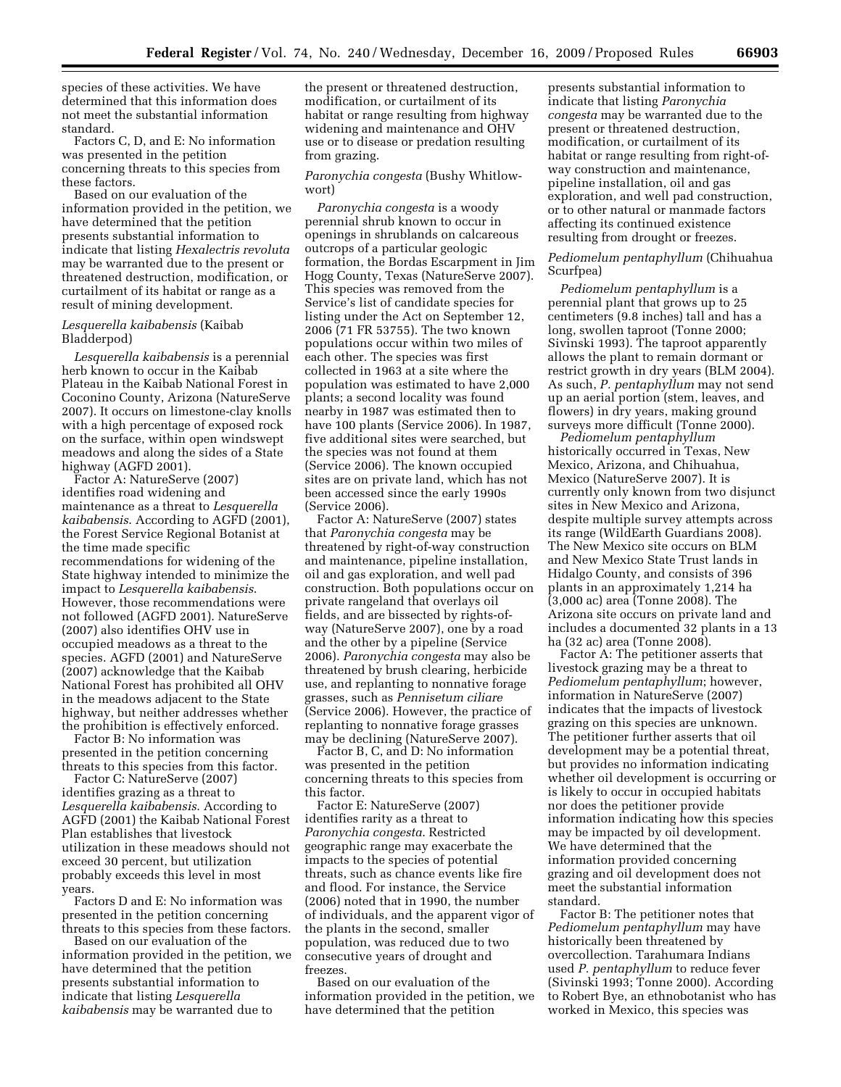species of these activities. We have determined that this information does not meet the substantial information standard.

Factors C, D, and E: No information was presented in the petition concerning threats to this species from these factors.

Based on our evaluation of the information provided in the petition, we have determined that the petition presents substantial information to indicate that listing *Hexalectris revoluta*  may be warranted due to the present or threatened destruction, modification, or curtailment of its habitat or range as a result of mining development.

# *Lesquerella kaibabensis* (Kaibab Bladderpod)

*Lesquerella kaibabensis* is a perennial herb known to occur in the Kaibab Plateau in the Kaibab National Forest in Coconino County, Arizona (NatureServe 2007). It occurs on limestone-clay knolls with a high percentage of exposed rock on the surface, within open windswept meadows and along the sides of a State highway (AGFD 2001).

Factor A: NatureServe (2007) identifies road widening and maintenance as a threat to *Lesquerella kaibabensis*. According to AGFD (2001), the Forest Service Regional Botanist at the time made specific recommendations for widening of the State highway intended to minimize the impact to *Lesquerella kaibabensis*. However, those recommendations were not followed (AGFD 2001). NatureServe (2007) also identifies OHV use in occupied meadows as a threat to the species. AGFD (2001) and NatureServe (2007) acknowledge that the Kaibab National Forest has prohibited all OHV in the meadows adjacent to the State highway, but neither addresses whether the prohibition is effectively enforced.

Factor B: No information was presented in the petition concerning threats to this species from this factor.

Factor C: NatureServe (2007) identifies grazing as a threat to *Lesquerella kaibabensis*. According to AGFD (2001) the Kaibab National Forest Plan establishes that livestock utilization in these meadows should not exceed 30 percent, but utilization probably exceeds this level in most years.

Factors D and E: No information was presented in the petition concerning threats to this species from these factors.

Based on our evaluation of the information provided in the petition, we have determined that the petition presents substantial information to indicate that listing *Lesquerella kaibabensis* may be warranted due to

the present or threatened destruction, modification, or curtailment of its habitat or range resulting from highway widening and maintenance and OHV use or to disease or predation resulting from grazing.

*Paronychia congesta* (Bushy Whitlowwort)

*Paronychia congesta* is a woody perennial shrub known to occur in openings in shrublands on calcareous outcrops of a particular geologic formation, the Bordas Escarpment in Jim Hogg County, Texas (NatureServe 2007). This species was removed from the Service's list of candidate species for listing under the Act on September 12, 2006 (71 FR 53755). The two known populations occur within two miles of each other. The species was first collected in 1963 at a site where the population was estimated to have 2,000 plants; a second locality was found nearby in 1987 was estimated then to have 100 plants (Service 2006). In 1987, five additional sites were searched, but the species was not found at them (Service 2006). The known occupied sites are on private land, which has not been accessed since the early 1990s (Service 2006).

Factor A: NatureServe (2007) states that *Paronychia congesta* may be threatened by right-of-way construction and maintenance, pipeline installation, oil and gas exploration, and well pad construction. Both populations occur on private rangeland that overlays oil fields, and are bissected by rights-ofway (NatureServe 2007), one by a road and the other by a pipeline (Service 2006). *Paronychia congesta* may also be threatened by brush clearing, herbicide use, and replanting to nonnative forage grasses, such as *Pennisetum ciliare*  (Service 2006). However, the practice of replanting to nonnative forage grasses may be declining (NatureServe 2007).

Factor B, C, and D: No information was presented in the petition concerning threats to this species from this factor.

Factor E: NatureServe (2007) identifies rarity as a threat to *Paronychia congesta*. Restricted geographic range may exacerbate the impacts to the species of potential threats, such as chance events like fire and flood. For instance, the Service (2006) noted that in 1990, the number of individuals, and the apparent vigor of the plants in the second, smaller population, was reduced due to two consecutive years of drought and freezes.

Based on our evaluation of the information provided in the petition, we have determined that the petition

presents substantial information to indicate that listing *Paronychia congesta* may be warranted due to the present or threatened destruction, modification, or curtailment of its habitat or range resulting from right-ofway construction and maintenance, pipeline installation, oil and gas exploration, and well pad construction, or to other natural or manmade factors affecting its continued existence resulting from drought or freezes.

# *Pediomelum pentaphyllum* (Chihuahua Scurfpea)

*Pediomelum pentaphyllum* is a perennial plant that grows up to 25 centimeters (9.8 inches) tall and has a long, swollen taproot (Tonne 2000; Sivinski 1993). The taproot apparently allows the plant to remain dormant or restrict growth in dry years (BLM 2004). As such, *P. pentaphyllum* may not send up an aerial portion (stem, leaves, and flowers) in dry years, making ground surveys more difficult (Tonne 2000).

*Pediomelum pentaphyllum*  historically occurred in Texas, New Mexico, Arizona, and Chihuahua, Mexico (NatureServe 2007). It is currently only known from two disjunct sites in New Mexico and Arizona, despite multiple survey attempts across its range (WildEarth Guardians 2008). The New Mexico site occurs on BLM and New Mexico State Trust lands in Hidalgo County, and consists of 396 plants in an approximately 1,214 ha (3,000 ac) area (Tonne 2008). The Arizona site occurs on private land and includes a documented 32 plants in a 13 ha (32 ac) area (Tonne 2008).

Factor A: The petitioner asserts that livestock grazing may be a threat to *Pediomelum pentaphyllum*; however, information in NatureServe (2007) indicates that the impacts of livestock grazing on this species are unknown. The petitioner further asserts that oil development may be a potential threat, but provides no information indicating whether oil development is occurring or is likely to occur in occupied habitats nor does the petitioner provide information indicating how this species may be impacted by oil development. We have determined that the information provided concerning grazing and oil development does not meet the substantial information standard.

Factor B: The petitioner notes that *Pediomelum pentaphyllum* may have historically been threatened by overcollection. Tarahumara Indians used *P. pentaphyllum* to reduce fever (Sivinski 1993; Tonne 2000). According to Robert Bye, an ethnobotanist who has worked in Mexico, this species was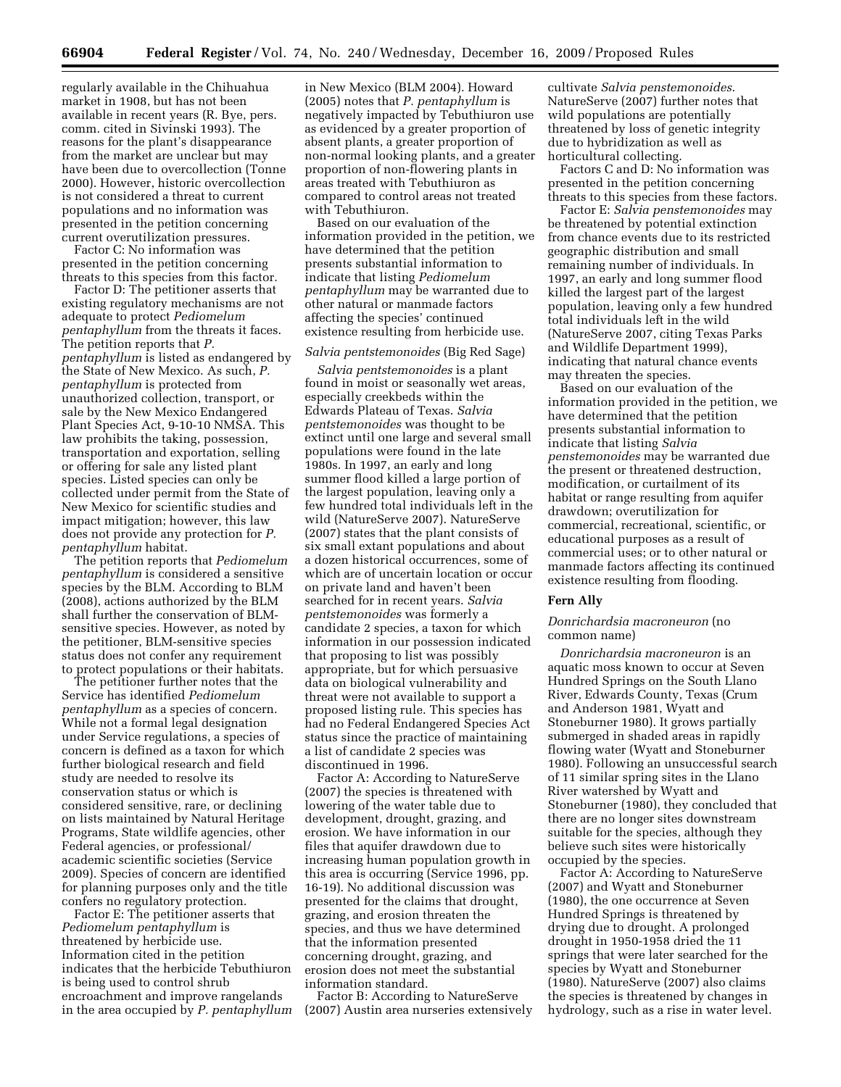regularly available in the Chihuahua market in 1908, but has not been available in recent years (R. Bye, pers. comm. cited in Sivinski 1993). The reasons for the plant's disappearance from the market are unclear but may have been due to overcollection (Tonne 2000). However, historic overcollection is not considered a threat to current populations and no information was presented in the petition concerning current overutilization pressures.

Factor C: No information was presented in the petition concerning threats to this species from this factor.

Factor D: The petitioner asserts that existing regulatory mechanisms are not adequate to protect *Pediomelum pentaphyllum* from the threats it faces. The petition reports that *P. pentaphyllum* is listed as endangered by the State of New Mexico. As such, *P. pentaphyllum* is protected from unauthorized collection, transport, or sale by the New Mexico Endangered Plant Species Act, 9-10-10 NMSA. This law prohibits the taking, possession, transportation and exportation, selling or offering for sale any listed plant species. Listed species can only be collected under permit from the State of New Mexico for scientific studies and impact mitigation; however, this law does not provide any protection for *P. pentaphyllum* habitat.

The petition reports that *Pediomelum pentaphyllum* is considered a sensitive species by the BLM. According to BLM (2008), actions authorized by the BLM shall further the conservation of BLMsensitive species. However, as noted by the petitioner, BLM-sensitive species status does not confer any requirement to protect populations or their habitats.

The petitioner further notes that the Service has identified *Pediomelum pentaphyllum* as a species of concern. While not a formal legal designation under Service regulations, a species of concern is defined as a taxon for which further biological research and field study are needed to resolve its conservation status or which is considered sensitive, rare, or declining on lists maintained by Natural Heritage Programs, State wildlife agencies, other Federal agencies, or professional/ academic scientific societies (Service 2009). Species of concern are identified for planning purposes only and the title confers no regulatory protection.

Factor E: The petitioner asserts that *Pediomelum pentaphyllum* is threatened by herbicide use. Information cited in the petition indicates that the herbicide Tebuthiuron is being used to control shrub encroachment and improve rangelands in the area occupied by *P. pentaphyllum*  in New Mexico (BLM 2004). Howard (2005) notes that *P. pentaphyllum* is negatively impacted by Tebuthiuron use as evidenced by a greater proportion of absent plants, a greater proportion of non-normal looking plants, and a greater proportion of non-flowering plants in areas treated with Tebuthiuron as compared to control areas not treated with Tebuthiuron.

Based on our evaluation of the information provided in the petition, we have determined that the petition presents substantial information to indicate that listing *Pediomelum pentaphyllum* may be warranted due to other natural or manmade factors affecting the species' continued existence resulting from herbicide use.

### *Salvia pentstemonoides* (Big Red Sage)

*Salvia pentstemonoides* is a plant found in moist or seasonally wet areas, especially creekbeds within the Edwards Plateau of Texas. *Salvia pentstemonoides* was thought to be extinct until one large and several small populations were found in the late 1980s. In 1997, an early and long summer flood killed a large portion of the largest population, leaving only a few hundred total individuals left in the wild (NatureServe 2007). NatureServe (2007) states that the plant consists of six small extant populations and about a dozen historical occurrences, some of which are of uncertain location or occur on private land and haven't been searched for in recent years. *Salvia pentstemonoides* was formerly a candidate 2 species, a taxon for which information in our possession indicated that proposing to list was possibly appropriate, but for which persuasive data on biological vulnerability and threat were not available to support a proposed listing rule. This species has had no Federal Endangered Species Act status since the practice of maintaining a list of candidate 2 species was discontinued in 1996.

Factor A: According to NatureServe (2007) the species is threatened with lowering of the water table due to development, drought, grazing, and erosion. We have information in our files that aquifer drawdown due to increasing human population growth in this area is occurring (Service 1996, pp. 16-19). No additional discussion was presented for the claims that drought, grazing, and erosion threaten the species, and thus we have determined that the information presented concerning drought, grazing, and erosion does not meet the substantial information standard.

Factor B: According to NatureServe (2007) Austin area nurseries extensively

cultivate *Salvia penstemonoides*. NatureServe (2007) further notes that wild populations are potentially threatened by loss of genetic integrity due to hybridization as well as horticultural collecting.

Factors C and D: No information was presented in the petition concerning threats to this species from these factors.

Factor E: *Salvia penstemonoides* may be threatened by potential extinction from chance events due to its restricted geographic distribution and small remaining number of individuals. In 1997, an early and long summer flood killed the largest part of the largest population, leaving only a few hundred total individuals left in the wild (NatureServe 2007, citing Texas Parks and Wildlife Department 1999), indicating that natural chance events may threaten the species.

Based on our evaluation of the information provided in the petition, we have determined that the petition presents substantial information to indicate that listing *Salvia penstemonoides* may be warranted due the present or threatened destruction, modification, or curtailment of its habitat or range resulting from aquifer drawdown; overutilization for commercial, recreational, scientific, or educational purposes as a result of commercial uses; or to other natural or manmade factors affecting its continued existence resulting from flooding.

### **Fern Ally**

#### *Donrichardsia macroneuron* (no common name)

*Donrichardsia macroneuron* is an aquatic moss known to occur at Seven Hundred Springs on the South Llano River, Edwards County, Texas (Crum and Anderson 1981, Wyatt and Stoneburner 1980). It grows partially submerged in shaded areas in rapidly flowing water (Wyatt and Stoneburner 1980). Following an unsuccessful search of 11 similar spring sites in the Llano River watershed by Wyatt and Stoneburner (1980), they concluded that there are no longer sites downstream suitable for the species, although they believe such sites were historically occupied by the species.

Factor A: According to NatureServe (2007) and Wyatt and Stoneburner (1980), the one occurrence at Seven Hundred Springs is threatened by drying due to drought. A prolonged drought in 1950-1958 dried the 11 springs that were later searched for the species by Wyatt and Stoneburner (1980). NatureServe (2007) also claims the species is threatened by changes in hydrology, such as a rise in water level.